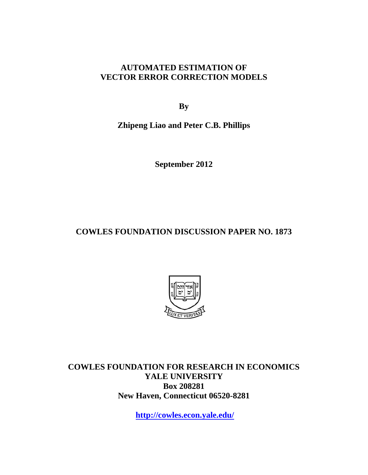# **AUTOMATED ESTIMATION OF VECTOR ERROR CORRECTION MODELS**

**By** 

**Zhipeng Liao and Peter C.B. Phillips** 

**September 2012** 

**COWLES FOUNDATION DISCUSSION PAPER NO. 1873** 



**COWLES FOUNDATION FOR RESEARCH IN ECONOMICS YALE UNIVERSITY Box 208281 New Haven, Connecticut 06520-8281** 

**http://cowles.econ.yale.edu/**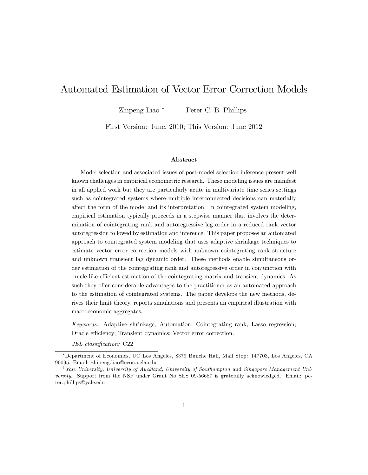# Automated Estimation of Vector Error Correction Models

Zhipeng Liao \* Peter C. B. Phillips  $\dagger$ 

First Version: June, 2010; This Version: June 2012

#### Abstract

Model selection and associated issues of post-model selection inference present well known challenges in empirical econometric research. These modeling issues are manifest in all applied work but they are particularly acute in multivariate time series settings such as cointegrated systems where multiple interconnected decisions can materially affect the form of the model and its interpretation. In cointegrated system modeling, empirical estimation typically proceeds in a stepwise manner that involves the determination of cointegrating rank and autoregressive lag order in a reduced rank vector autoregression followed by estimation and inference. This paper proposes an automated approach to cointegrated system modeling that uses adaptive shrinkage techniques to estimate vector error correction models with unknown cointegrating rank structure and unknown transient lag dynamic order. These methods enable simultaneous order estimation of the cointegrating rank and autoregressive order in conjunction with oracle-like efficient estimation of the cointegrating matrix and transient dynamics. As such they offer considerable advantages to the practitioner as an automated approach to the estimation of cointegrated systems. The paper develops the new methods, derives their limit theory, reports simulations and presents an empirical illustration with macroeconomic aggregates.

Keywords: Adaptive shrinkage; Automation; Cointegrating rank, Lasso regression; Oracle efficiency; Transient dynamics; Vector error correction.

JEL classification: C22

Department of Economics, UC Los Angeles, 8379 Bunche Hall, Mail Stop: 147703, Los Angeles, CA 90095. Email: zhipeng.liao@econ.ucla.edu

<sup>&</sup>lt;sup>†</sup> Yale University, University of Auckland, University of Southampton and Singapore Management University. Support from the NSF under Grant No SES 09-56687 is gratefully acknowledged. Email: peter.phillips@yale.edu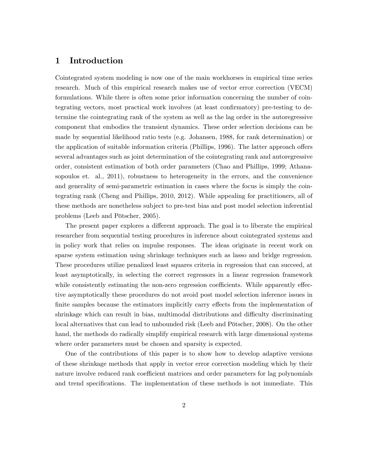### 1 Introduction

Cointegrated system modeling is now one of the main workhorses in empirical time series research. Much of this empirical research makes use of vector error correction (VECM) formulations. While there is often some prior information concerning the number of cointegrating vectors, most practical work involves (at least confirmatory) pre-testing to determine the cointegrating rank of the system as well as the lag order in the autoregressive component that embodies the transient dynamics. These order selection decisions can be made by sequential likelihood ratio tests (e.g. Johansen, 1988, for rank determination) or the application of suitable information criteria (Phillips, 1996). The latter approach offers several advantages such as joint determination of the cointegrating rank and autoregressive order, consistent estimation of both order parameters (Chao and Phillips, 1999; Athanasopoulos et. al., 2011), robustness to heterogeneity in the errors, and the convenience and generality of semi-parametric estimation in cases where the focus is simply the cointegrating rank (Cheng and Phillips, 2010, 2012). While appealing for practitioners, all of these methods are nonetheless subject to pre-test bias and post model selection inferential problems (Leeb and Pötscher, 2005).

The present paper explores a different approach. The goal is to liberate the empirical researcher from sequential testing procedures in inference about cointegrated systems and in policy work that relies on impulse responses. The ideas originate in recent work on sparse system estimation using shrinkage techniques such as lasso and bridge regression. These procedures utilize penalized least squares criteria in regression that can succeed, at least asymptotically, in selecting the correct regressors in a linear regression framework while consistently estimating the non-zero regression coefficients. While apparently effective asymptotically these procedures do not avoid post model selection inference issues in finite samples because the estimators implicitly carry effects from the implementation of shrinkage which can result in bias, multimodal distributions and difficulty discriminating local alternatives that can lead to unbounded risk (Leeb and Pötscher, 2008). On the other hand, the methods do radically simplify empirical research with large dimensional systems where order parameters must be chosen and sparsity is expected.

One of the contributions of this paper is to show how to develop adaptive versions of these shrinkage methods that apply in vector error correction modeling which by their nature involve reduced rank coefficient matrices and order parameters for lag polynomials and trend specifications. The implementation of these methods is not immediate. This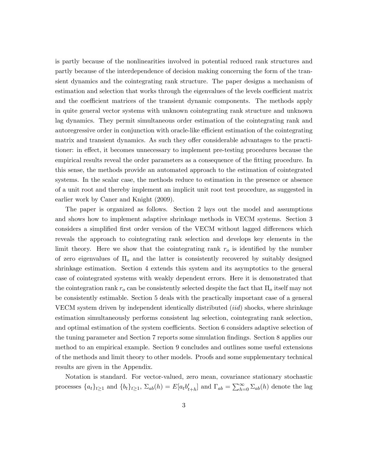is partly because of the nonlinearities involved in potential reduced rank structures and partly because of the interdependence of decision making concerning the form of the transient dynamics and the cointegrating rank structure. The paper designs a mechanism of estimation and selection that works through the eigenvalues of the levels coefficient matrix and the coefficient matrices of the transient dynamic components. The methods apply in quite general vector systems with unknown cointegrating rank structure and unknown lag dynamics. They permit simultaneous order estimation of the cointegrating rank and autoregressive order in conjunction with oracle-like efficient estimation of the cointegrating matrix and transient dynamics. As such they offer considerable advantages to the practitioner: in effect, it becomes unnecessary to implement pre-testing procedures because the empirical results reveal the order parameters as a consequence of the fitting procedure. In this sense, the methods provide an automated approach to the estimation of cointegrated systems. In the scalar case, the methods reduce to estimation in the presence or absence of a unit root and thereby implement an implicit unit root test procedure, as suggested in earlier work by Caner and Knight (2009).

The paper is organized as follows. Section 2 lays out the model and assumptions and shows how to implement adaptive shrinkage methods in VECM systems. Section 3 considers a simplified first order version of the VECM without lagged differences which reveals the approach to cointegrating rank selection and develops key elements in the limit theory. Here we show that the cointegrating rank  $r<sub>o</sub>$  is identified by the number of zero eigenvalues of  $\Pi_o$  and the latter is consistently recovered by suitably designed shrinkage estimation. Section 4 extends this system and its asymptotics to the general case of cointegrated systems with weakly dependent errors. Here it is demonstrated that the cointegration rank  $r_o$  can be consistently selected despite the fact that  $\Pi_o$  itself may not be consistently estimable. Section 5 deals with the practically important case of a general VECM system driven by independent identically distributed (iid) shocks, where shrinkage estimation simultaneously performs consistent lag selection, cointegrating rank selection, and optimal estimation of the system coefficients. Section 6 considers adaptive selection of the tuning parameter and Section 7 reports some simulation findings. Section 8 applies our method to an empirical example. Section 9 concludes and outlines some useful extensions of the methods and limit theory to other models. Proofs and some supplementary technical results are given in the Appendix.

Notation is standard. For vector-valued, zero mean, covariance stationary stochastic processes  $\{a_t\}_{t\geq1}$  and  $\{b_t\}_{t\geq1}$ ,  $\Sigma_{ab}(h) = E[a_t b'_{t+h}]$  and  $\Gamma_{ab} = \sum_{h=0}^{\infty} \Sigma_{ab}(h)$  denote the lag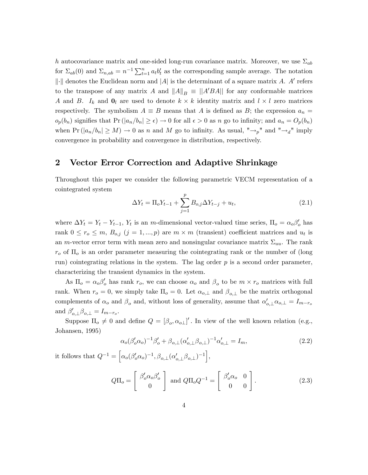h autocovariance matrix and one-sided long-run covariance matrix. Moreover, we use  $\Sigma_{ab}$ for  $\Sigma_{ab}(0)$  and  $\Sigma_{n,ab} = n^{-1} \sum_{t=1}^n a_t b_t'$  as the corresponding sample average. The notation  $\|\cdot\|$  denotes the Euclidean norm and  $|A|$  is the determinant of a square matrix A. A' refers to the transpose of any matrix A and  $||A||_B \equiv ||A'BA||$  for any conformable matrices A and B.  $I_k$  and  $\mathbf{0}_l$  are used to denote  $k \times k$  identity matrix and  $l \times l$  zero matrices respectively. The symbolism  $A \equiv B$  means that A is defined as B; the expression  $a_n =$  $o_p(b_n)$  signifies that  $Pr(|a_n/b_n| \geq \epsilon) \to 0$  for all  $\epsilon > 0$  as n go to infinity; and  $a_n = O_p(b_n)$ when  $Pr(|a_n/b_n| \geq M) \to 0$  as n and M go to infinity. As usual, " $\rightarrow_p$ " and " $\rightarrow_d$ " imply convergence in probability and convergence in distribution, respectively.

### 2 Vector Error Correction and Adaptive Shrinkage

Throughout this paper we consider the following parametric VECM representation of a cointegrated system

<span id="page-4-0"></span>
$$
\Delta Y_t = \Pi_o Y_{t-1} + \sum_{j=1}^p B_{o,j} \Delta Y_{t-j} + u_t,
$$
\n(2.1)

where  $\Delta Y_t = Y_t - Y_{t-1}$ ,  $Y_t$  is an m-dimensional vector-valued time series,  $\Pi_o = \alpha_o \beta_o'$  has rank  $0 \leq r_o \leq m$ ,  $B_{o,j}$   $(j = 1,...,p)$  are  $m \times m$  (transient) coefficient matrices and  $u_t$  is an m-vector error term with mean zero and nonsingular covariance matrix  $\Sigma_{uu}$ . The rank  $r_o$  of  $\Pi_o$  is an order parameter measuring the cointegrating rank or the number of (long run) cointegrating relations in the system. The lag order  $p$  is a second order parameter, characterizing the transient dynamics in the system.

As  $\Pi_o = \alpha_o \beta_o'$  has rank  $r_o$ , we can choose  $\alpha_o$  and  $\beta_o$  to be  $m \times r_o$  matrices with full rank. When  $r_o = 0$ , we simply take  $\Pi_o = 0$ . Let  $\alpha_{o,\perp}$  and  $\beta_{o,\perp}$  be the matrix orthogonal complements of  $\alpha_o$  and  $\beta_o$  and, without loss of generality, assume that  $\alpha'_{o,\perp}\alpha_{o,\perp} = I_{m-r_o}$ and  $\beta'_{o,\perp}\beta_{o,\perp}=I_{m-r_o}$ .

Suppose  $\Pi_o \neq 0$  and define  $Q = [\beta_o, \alpha_{o\perp}]'$ . In view of the well known relation (e.g., Johansen, 1995)

$$
\alpha_o(\beta_o' \alpha_o)^{-1} \beta_o' + \beta_{o,\perp} (\alpha_{o,\perp}' \beta_{o,\perp})^{-1} \alpha_{o,\perp}' = I_m,
$$
\n(2.2)

it follows that  $Q^{-1} = \left[ \alpha_o(\beta_o' \alpha_o)^{-1}, \beta_{o,\perp}(\alpha_{o,\perp}' \beta_{o,\perp})^{-1} \right],$ 

$$
Q\Pi_o = \begin{bmatrix} \beta_o' \alpha_o \beta_o' \\ 0 \end{bmatrix} \text{ and } Q\Pi_o Q^{-1} = \begin{bmatrix} \beta_o' \alpha_o & 0 \\ 0 & 0 \end{bmatrix}.
$$
 (2.3)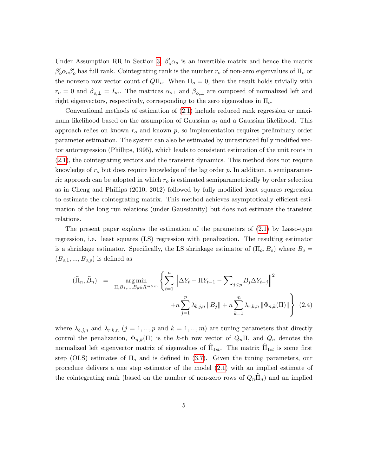Under Assumption RR in Section [3,](#page-7-0)  $\beta_o' \alpha_o$  is an invertible matrix and hence the matrix  $\beta_o' \alpha_o \beta_o'$  has full rank. Cointegrating rank is the number  $r_o$  of non-zero eigenvalues of  $\Pi_o$  or the nonzero row vector count of  $Q\Pi_o$ . When  $\Pi_o = 0$ , then the result holds trivially with  $r_o = 0$  and  $\beta_{o,\perp} = I_m$ . The matrices  $\alpha_{o,\perp}$  and  $\beta_{o,\perp}$  are composed of normalized left and right eigenvectors, respectively, corresponding to the zero eigenvalues in  $\Pi_{o}$ .

Conventional methods of estimation of [\(2.1\)](#page-4-0) include reduced rank regression or maximum likelihood based on the assumption of Gaussian  $u_t$  and a Gaussian likelihood. This approach relies on known  $r<sub>o</sub>$  and known p, so implementation requires preliminary order parameter estimation. The system can also be estimated by unrestricted fully modified vector autoregression (Phillips, 1995), which leads to consistent estimation of the unit roots in [\(2.1\)](#page-4-0), the cointegrating vectors and the transient dynamics. This method does not require knowledge of  $r<sub>o</sub>$  but does require knowledge of the lag order p. In addition, a semiparametric approach can be adopted in which  $r<sub>o</sub>$  is estimated semiparametrically by order selection as in Cheng and Phillips (2010, 2012) followed by fully modified least squares regression to estimate the cointegrating matrix. This method achieves asymptotically efficient estimation of the long run relations (under Gaussianity) but does not estimate the transient relations.

The present paper explores the estimation of the parameters of [\(2.1\)](#page-4-0) by Lasso-type regression, i.e. least squares (LS) regression with penalization. The resulting estimator is a shrinkage estimator. Specifically, the LS shrinkage estimator of  $(\Pi_o, B_o)$  where  $B_o =$  $(B_{o,1},...,B_{o,p})$  is defined as

<span id="page-5-0"></span>
$$
(\widehat{\Pi}_n, \widehat{B}_n) = \arg\min_{\Pi, B_1, ..., B_p \in R^{m \times m}} \left\{ \sum_{t=1}^n \left\| \Delta Y_t - \Pi Y_{t-1} - \sum_{j \le p} B_j \Delta Y_{t-j} \right\|^2 + n \sum_{j=1}^p \lambda_{b,j,n} \|B_j\| + n \sum_{k=1}^m \lambda_{r,k,n} \|\Phi_{n,k}(\Pi)\| \right\}
$$
(2.4)

where  $\lambda_{b,j,n}$  and  $\lambda_{r,k,n}$   $(j = 1, ..., p$  and  $k = 1, ..., m)$  are tuning parameters that directly control the penalization,  $\Phi_{n,k}(\Pi)$  is the k-th row vector of  $Q_n\Pi$ , and  $Q_n$  denotes the normalized left eigenvector matrix of eigenvalues of  $\hat{\Pi}_{1st}$ . The matrix  $\hat{\Pi}_{1st}$  is some first step (OLS) estimates of  $\Pi_{\rm o}$  and is defined in [\(3.7\)](#page-9-0). Given the tuning parameters, our procedure delivers a one step estimator of the model [\(2.1\)](#page-4-0) with an implied estimate of the cointegrating rank (based on the number of non-zero rows of  $Q_n\overline{\Pi}_n$ ) and an implied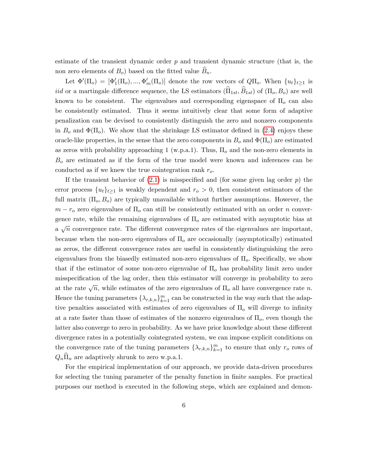estimate of the transient dynamic order  $p$  and transient dynamic structure (that is, the non zero elements of  $B_o$ ) based on the fitted value  $B_n$ .

Let  $\Phi'(\Pi_o) = [\Phi'_1(\Pi_o), ..., \Phi'_m(\Pi_o)]$  denote the row vectors of  $Q\Pi_o$ . When  $\{u_t\}_{t\geq 1}$  is *iid* or a martingale difference sequence, the LS estimators  $(\widehat{\Pi}_{1st}, \widehat{B}_{1st})$  of  $(\Pi_o, B_o)$  are well known to be consistent. The eigenvalues and corresponding eigenspace of  $\Pi_0$  can also be consistently estimated. Thus it seems intuitively clear that some form of adaptive penalization can be devised to consistently distinguish the zero and nonzero components in  $B_o$  and  $\Phi(\Pi_o)$ . We show that the shrinkage LS estimator defined in [\(2.4\)](#page-5-0) enjoys these oracle-like properties, in the sense that the zero components in  $B_0$  and  $\Phi(\Pi_o)$  are estimated as zeros with probability approaching 1 (w.p.a.1). Thus,  $\Pi_o$  and the non-zero elements in  $B<sub>o</sub>$  are estimated as if the form of the true model were known and inferences can be conducted as if we knew the true cointegration rank  $r_o$ .

If the transient behavior of  $(2.1)$  is misspecified and (for some given lag order p) the error process  $\{u_t\}_{t\geq 1}$  is weakly dependent and  $r_o > 0$ , then consistent estimators of the full matrix  $(\Pi_o, B_o)$  are typically unavailable without further assumptions. However, the  $m - r_o$  zero eigenvalues of  $\Pi_o$  can still be consistently estimated with an order n convergence rate, while the remaining eigenvalues of  $\Pi_o$  are estimated with asymptotic bias at a  $\sqrt{n}$  convergence rate. The different convergence rates of the eigenvalues are important, because when the non-zero eigenvalues of  $\Pi<sub>o</sub>$  are occasionally (asymptotically) estimated as zeros, the different convergence rates are useful in consistently distinguishing the zero eigenvalues from the biasedly estimated non-zero eigenvalues of  $\Pi_{o}$ . Specifically, we show that if the estimator of some non-zero eigenvalue of  $\Pi_{o}$  has probability limit zero under misspecification of the lag order, then this estimator will converge in probability to zero at the rate  $\sqrt{n}$ , while estimates of the zero eigenvalues of  $\Pi_o$  all have convergence rate n. Hence the tuning parameters  $\{\lambda_{r,k,n}\}_{k=1}^m$  can be constructed in the way such that the adaptive penalties associated with estimates of zero eigenvalues of  $\Pi_{o}$  will diverge to infinity at a rate faster than those of estimates of the nonzero eigenvalues of  $\Pi_o$ , even though the latter also converge to zero in probability. As we have prior knowledge about these different divergence rates in a potentially cointegrated system, we can impose explicit conditions on the convergence rate of the tuning parameters  $\{\lambda_{r,k,n}\}_{k=1}^m$  to ensure that only  $r_o$  rows of  $Q_n\Pi_n$  are adaptively shrunk to zero w.p.a.1.

For the empirical implementation of our approach, we provide data-driven procedures for selecting the tuning parameter of the penalty function in finite samples. For practical purposes our method is executed in the following steps, which are explained and demon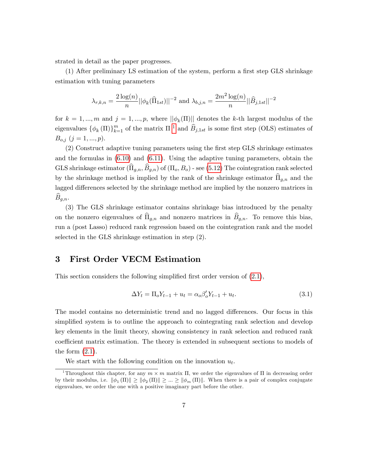strated in detail as the paper progresses.

 $(1)$  After preliminary LS estimation of the system, perform a first step GLS shrinkage estimation with tuning parameters

$$
\lambda_{r,k,n} = \frac{2\log(n)}{n} ||\phi_k(\widehat{\Pi}_{1st})||^{-2} \text{ and } \lambda_{b,j,n} = \frac{2m^2\log(n)}{n} ||\widehat{B}_{j,1st}||^{-2}
$$

for  $k = 1, ..., m$  and  $j = 1, ..., p$ , where  $\|\phi_k(\Pi)\|$  denotes the k-th largest modulus of the eigenvalues  $\{\phi_k(\Pi)\}_{k=1}^m$  $\{\phi_k(\Pi)\}_{k=1}^m$  $\{\phi_k(\Pi)\}_{k=1}^m$  of the matrix  $\Pi^{-1}$  and  $\widehat{B}_{j,1st}$  is some first step (OLS) estimates of  $B_{o,j}$   $(j = 1, ..., p).$ 

(2) Construct adaptive tuning parameters using the Örst step GLS shrinkage estimates and the formulas in [\(6.10\)](#page-28-0) and [\(6.11\)](#page-28-1). Using the adaptive tuning parameters, obtain the GLS shrinkage estimator  $(\widehat{\Pi}_{q,n}, \widehat{B}_{q,n})$  of  $(\Pi_o, B_o)$  - see [\(5.12\)](#page-21-0) The cointegration rank selected by the shrinkage method is implied by the rank of the shrinkage estimator  $\widehat{\Pi}_{g,n}$  and the lagged differences selected by the shrinkage method are implied by the nonzero matrices in  $B_{g,n}$ .

(3) The GLS shrinkage estimator contains shrinkage bias introduced by the penalty on the nonzero eigenvalues of  $\widehat{\Pi}_{g,n}$  and nonzero matrices in  $\widehat{B}_{g,n}$ . To remove this bias, run a (post Lasso) reduced rank regression based on the cointegration rank and the model selected in the GLS shrinkage estimation in step (2).

#### <span id="page-7-0"></span>3 First Order VECM Estimation

This section considers the following simplified first order version of  $(2.1)$ ,

<span id="page-7-3"></span>
$$
\Delta Y_t = \Pi_o Y_{t-1} + u_t = \alpha_o \beta_o' Y_{t-1} + u_t.
$$
\n(3.1)

The model contains no deterministic trend and no lagged differences. Our focus in this simplified system is to outline the approach to cointegrating rank selection and develop key elements in the limit theory, showing consistency in rank selection and reduced rank coefficient matrix estimation. The theory is extended in subsequent sections to models of the form  $(2.1)$ .

We start with the following condition on the innovation  $u_t$ .

<span id="page-7-2"></span><span id="page-7-1"></span><sup>&</sup>lt;sup>1</sup>Throughout this chapter, for any  $m \times m$  matrix  $\Pi$ , we order the eigenvalues of  $\Pi$  in decreasing order by their modulus, i.e.  $\|\phi_1(\Pi)\| \ge \|\phi_2(\Pi)\| \ge \dots \ge \|\phi_m(\Pi)\|$ . When there is a pair of complex conjugate eigenvalues, we order the one with a positive imaginary part before the other.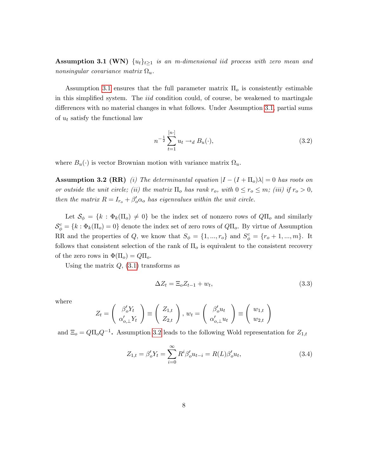**Assumption 3.1 (WN)**  $\{u_t\}_{t>1}$  is an m-dimensional iid process with zero mean and nonsingular covariance matrix  $\Omega_u$ .

Assumption [3.1](#page-7-2) ensures that the full parameter matrix  $\Pi_o$  is consistently estimable in this simplified system. The  $iid$  condition could, of course, be weakened to martingale differences with no material changes in what follows. Under Assumption [3.1,](#page-7-2) partial sums of  $u_t$  satisfy the functional law

<span id="page-8-1"></span>
$$
n^{-\frac{1}{2}} \sum_{t=1}^{[n\cdot]} u_t \to_d B_u(\cdot), \tag{3.2}
$$

<span id="page-8-0"></span>where  $B_u(\cdot)$  is vector Brownian motion with variance matrix  $\Omega_u$ .

**Assumption 3.2 (RR)** (i) The determinantal equation  $|I - (I + \Pi_o)\lambda| = 0$  has roots on or outside the unit circle; (ii) the matrix  $\Pi_o$  has rank  $r_o$ , with  $0 \le r_o \le m$ ; (iii) if  $r_o > 0$ , then the matrix  $R = I_{r_o} + \beta_o' \alpha_o$  has eigenvalues within the unit circle.

Let  $\mathcal{S}_{\phi} = \{k : \Phi_k(\Pi_o) \neq 0\}$  be the index set of nonzero rows of  $Q\Pi_o$  and similarly  $\mathcal{S}_{\phi}^c = \{k : \Phi_k(\Pi_o) = 0\}$  denote the index set of zero rows of  $Q\Pi_o$ . By virtue of Assumption RR and the properties of Q, we know that  $S_{\phi} = \{1, ..., r_o\}$  and  $S_{\phi}^c = \{r_o + 1, ..., m\}$ . It follows that consistent selection of the rank of  $\Pi<sub>o</sub>$  is equivalent to the consistent recovery of the zero rows in  $\Phi(\Pi_o) = Q\Pi_o$ .

Using the matrix  $Q$ ,  $(3.1)$  transforms as

$$
\Delta Z_t = \Xi_o Z_{t-1} + w_t,\tag{3.3}
$$

where

$$
Z_t = \begin{pmatrix} \beta_o' Y_t \\ \alpha_{o,\perp}' Y_t \end{pmatrix} \equiv \begin{pmatrix} Z_{1,t} \\ Z_{2,t} \end{pmatrix}, w_t = \begin{pmatrix} \beta_o' u_t \\ \alpha_{o,\perp}' u_t \end{pmatrix} \equiv \begin{pmatrix} w_{1,t} \\ w_{2,t} \end{pmatrix}
$$

and  $\Xi_o = Q\Pi_o Q^{-1}$ . Assumption [3.2](#page-8-0) leads to the following Wold representation for  $Z_{1,t}$ 

$$
Z_{1,t} = \beta_o' Y_t = \sum_{i=0}^{\infty} R^i \beta_o' u_{t-i} = R(L) \beta_o' u_t,
$$
\n(3.4)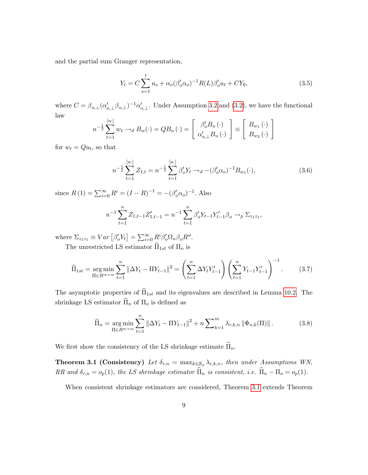and the partial sum Granger representation,

$$
Y_t = C \sum_{s=1}^t u_s + \alpha_o (\beta_o' \alpha_o)^{-1} R(L) \beta_o' u_t + C Y_0,
$$
\n(3.5)

where  $C = \beta_{o,\perp} (\alpha'_{o,\perp} \beta_{o,\perp})^{-1} \alpha'_{o,\perp}$ . Under Assumption [3.2](#page-8-0) and [\(3.2\)](#page-8-1), we have the functional law

$$
n^{-\frac{1}{2}}\sum_{t=1}^{[n\cdot]} w_t \rightarrow_d B_w(\cdot) = QB_u(\cdot) = \begin{bmatrix} \beta'_o B_u(\cdot) \\ \alpha'_{o,\perp} B_u(\cdot) \end{bmatrix} \equiv \begin{bmatrix} B_{w_1}(\cdot) \\ B_{w_2}(\cdot) \end{bmatrix}
$$

for  $w_t = Qu_t$ , so that

$$
n^{-\frac{1}{2}}\sum_{t=1}^{[n\cdot]}Z_{1,t}=n^{-\frac{1}{2}}\sum_{t=1}^{[n\cdot]}\beta_o'Y_t \to_d -(\beta_o'\alpha_o)^{-1}B_{w_1}(\cdot),\tag{3.6}
$$

since  $R(1) = \sum_{i=0}^{\infty} R^i = (I - R)^{-1} = -(\beta_o' \alpha_o)^{-1}$ . Also

$$
n^{-1} \sum_{t=1}^{n} Z_{1,t-1} Z'_{1,t-1} = n^{-1} \sum_{t=1}^{n} \beta'_{o} Y_{t-1} Y'_{t-1} \beta_{o} \longrightarrow_{p} \Sigma_{z_{1}z_{1}},
$$

where  $\Sigma_{z_1 z_1} \equiv Var \left[ \beta_o' Y_t \right] = \sum_{i=0}^{\infty} R^i \beta_o' \Omega_u \beta_o R^i'.$ 

The unrestricted LS estimator  $\widehat{\Pi}_{1st}$  of  $\Pi_o$  is

<span id="page-9-0"></span>
$$
\widehat{\Pi}_{1st} = \underset{\Pi \in R^{m \times m}}{\arg \min} \sum_{t=1}^{n} \|\Delta Y_t - \Pi Y_{t-1}\|^2 = \left(\sum_{t=1}^{n} \Delta Y_t Y_{t-1}'\right) \left(\sum_{t=1}^{n} Y_{t-1} Y_{t-1}'\right)^{-1}.
$$
 (3.7)

The asymptotic properties of  $\widehat{\Pi}_{1st}$  and its eigenvalues are described in Lemma [10.2.](#page-36-0) The shrinkage LS estimator  $\widehat{\Pi}_n$  of  $\Pi_o$  is defined as

$$
\widehat{\Pi}_n = \underset{\Pi \in R^{m \times m}}{\arg \min} \sum_{t=1}^n \|\Delta Y_t - \Pi Y_{t-1}\|^2 + n \sum_{k=1}^m \lambda_{r,k,n} \|\Phi_{n,k}(\Pi)\|.
$$
 (3.8)

<span id="page-9-1"></span>We first show the consistency of the LS shrinkage estimate  $\widehat{\Pi}_n$ .

**Theorem 3.1 (Consistency)** Let  $\delta_{r,n} = \max_{k \in S_{\phi}} \lambda_{r,k,n}$ , then under Assumptions WN, RR and  $\delta_{r,n} = o_p(1)$ , the LS shrinkage estimator  $\widehat{\Pi}_n$  is consistent, i.e.  $\widehat{\Pi}_n - \Pi_o = o_p(1)$ .

When consistent shrinkage estimators are considered, Theorem [3.1](#page-9-1) extends Theorem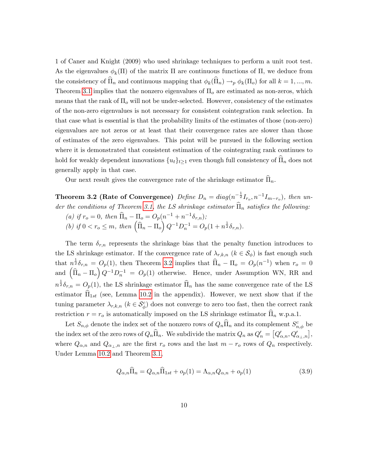1 of Caner and Knight (2009) who used shrinkage techniques to perform a unit root test. As the eigenvalues  $\phi_k(\Pi)$  of the matrix  $\Pi$  are continuous functions of  $\Pi$ , we deduce from the consistency of  $\Pi_n$  and continuous mapping that  $\phi_k(\Pi_n) \to_p \phi_k(\Pi_o)$  for all  $k = 1, ..., m$ . Theorem [3.1](#page-9-1) implies that the nonzero eigenvalues of  $\Pi_o$  are estimated as non-zeros, which means that the rank of  $\Pi_{\text{o}}$  will not be under-selected. However, consistency of the estimates of the non-zero eigenvalues is not necessary for consistent cointegration rank selection. In that case what is essential is that the probability limits of the estimates of those (non-zero) eigenvalues are not zeros or at least that their convergence rates are slower than those of estimates of the zero eigenvalues. This point will be pursued in the following section where it is demonstrated that consistent estimation of the cointegrating rank continues to hold for weakly dependent innovations  $\{u_t\}_{t>1}$  even though full consistency of  $\Pi_n$  does not generally apply in that case.

Our next result gives the convergence rate of the shrinkage estimator  $\overline{\Pi}_n$ .

<span id="page-10-0"></span>Theorem 3.2 (Rate of Convergence)  $Define D_n = diag(n^{-\frac{1}{2}}I_{r_o}, n^{-1}I_{m-r_o}), then$  un-der the conditions of Theorem [3.1,](#page-9-1) the LS shrinkage estimator  $\widehat{\Pi}_n$  satisfies the following:

(a) if  $r_o = 0$ , then  $\widehat{\Pi}_n - \Pi_o = O_p(n^{-1} + n^{-1}\delta_{r,n});$ (b) if  $0 < r_o \le m$ , then  $\left(\widehat{\Pi}_n - \Pi_o\right) Q^{-1} D_n^{-1} = O_p(1 + n^{\frac{1}{2}} \delta_{r,n}).$ 

The term  $\delta_{r,n}$  represents the shrinkage bias that the penalty function introduces to the LS shrinkage estimator. If the convergence rate of  $\lambda_{r,k,n}$   $(k \in S_{\phi})$  is fast enough such that  $n^{\frac{1}{2}}\delta_{r,n} = O_p(1)$ , then Theorem [3.2](#page-10-0) implies that  $\widehat{\Pi}_n - \Pi_o = O_p(n^{-1})$  when  $r_o = 0$ and  $\left(\widehat{\Pi}_n - \Pi_o\right) Q^{-1} D_n^{-1} = O_p(1)$  otherwise. Hence, under Assumption WN, RR and  $n^{\frac{1}{2}}\delta_{r,n} = O_p(1)$ , the LS shrinkage estimator  $\widehat{\Pi}_n$  has the same convergence rate of the LS estimator  $\hat{\Pi}_{1st}$  (see, Lemma [10.2](#page-36-0) in the appendix). However, we next show that if the tuning parameter  $\lambda_{r,k,n}$   $(k \in S^c_{\phi})$  does not converge to zero too fast, then the correct rank restriction  $r = r_o$  is automatically imposed on the LS shrinkage estimator  $\overline{\Pi}_n$  w.p.a.1.

Let  $S_{n,\phi}$  denote the index set of the nonzero rows of  $Q_n\widehat{\Pi}_n$  and its complement  $S_{n,\phi}^c$  be the index set of the zero rows of  $Q_n\widehat{\Pi}_n$ . We subdivide the matrix  $Q_n$  as  $Q_n' = [Q'_{\alpha,n}, Q'_{\alpha_{\perp},n}]$ , where  $Q_{\alpha,n}$  and  $Q_{\alpha\mu,n}$  are the first  $r_o$  rows and the last  $m - r_o$  rows of  $Q_n$  respectively. Under Lemma [10.2](#page-36-0) and Theorem [3.1,](#page-9-1)

<span id="page-10-1"></span>
$$
Q_{\alpha,n}\hat{\Pi}_n = Q_{\alpha,n}\hat{\Pi}_{1st} + o_p(1) = \Lambda_{\alpha,n}Q_{\alpha,n} + o_p(1)
$$
\n(3.9)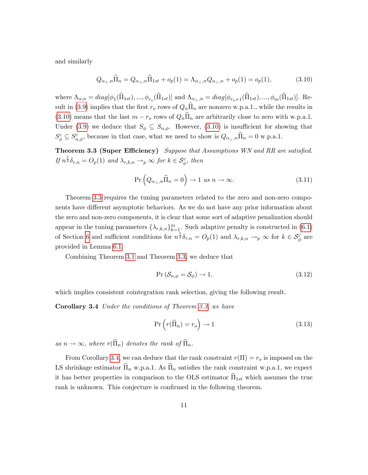and similarly

<span id="page-11-0"></span>
$$
Q_{\alpha_{\perp},n}\hat{\Pi}_n = Q_{\alpha_{\perp},n}\hat{\Pi}_{1st} + o_p(1) = \Lambda_{\alpha_{\perp},n}Q_{\alpha_{\perp},n} + o_p(1) = o_p(1),
$$
\n(3.10)

where  $\Lambda_{\alpha,n} = diag[\phi_1(\Pi_{1st}),...,\phi_{r_o}(\Pi_{1st})]$  and  $\Lambda_{\alpha_{\perp},n} = diag[\phi_{r_o+1}(\Pi_{1st}),...,\phi_m(\Pi_{1st})]$ . Re-sult in [\(3.9\)](#page-10-1) implies that the first  $r_o$  rows of  $Q_n\hat{\Pi}_n$  are nonzero w.p.a.1., while the results in [\(3.10\)](#page-11-0) means that the last  $m - r_o$  rows of  $Q_n\hat{\Pi}_n$  are arbitrarily close to zero with w.p.a.1. Under [\(3.9\)](#page-10-1) we deduce that  $S_{\phi} \subseteq S_{n,\phi}$ . However, [\(3.10\)](#page-11-0) is insufficient for showing that  $S_{\phi}^{c} \subseteq S_{n,\phi}^{c}$ , because in that case, what we need to show is  $Q_{\alpha_{\perp},n}\hat{\Pi}_{n} = 0$  w.p.a.1.

<span id="page-11-1"></span>**Theorem 3.3 (Super Efficiency)** Suppose that Assumptions WN and RR are satisfied. If  $n^{\frac{1}{2}}\delta_{r,n} = O_p(1)$  and  $\lambda_{r,k,n} \to_p \infty$  for  $k \in S_\phi^c$ , then

$$
\Pr\left(Q_{\alpha_{\perp},n}\hat{\Pi}_n=0\right) \to 1 \text{ as } n \to \infty. \tag{3.11}
$$

Theorem [3.3](#page-11-1) requires the tuning parameters related to the zero and non-zero components have different asymptotic behaviors. As we do not have any prior information about the zero and non-zero components, it is clear that some sort of adaptive penalization should appear in the tuning parameters  $\{\lambda_{r,k,n}\}_{k=1}^m$ . Such adaptive penalty is constructed in [\(6.1\)](#page-23-0) of Section [6](#page-23-1) and sufficient conditions for  $n^{\frac{1}{2}}\delta_{r,n} = O_p(1)$  and  $\lambda_{r,k,n} \to_p \infty$  for  $k \in S^c_\phi$  are provided in Lemma [6.1.](#page-24-0)

Combining Theorem [3.1](#page-9-1) and Theorem [3.3,](#page-11-1) we deduce that

$$
Pr\left(\mathcal{S}_{n,\phi} = \mathcal{S}_{\phi}\right) \to 1, \tag{3.12}
$$

<span id="page-11-2"></span>which implies consistent cointegration rank selection, giving the following result.

Corollary 3.4 Under the conditions of Theorem [3.3,](#page-11-1) we have

$$
\Pr\left(r(\widehat{\Pi}_n) = r_o\right) \to 1\tag{3.13}
$$

as  $n \to \infty$ , where  $r(\widehat{\Pi}_n)$  denotes the rank of  $\widehat{\Pi}_n$ .

<span id="page-11-3"></span>From Corollary [3.4,](#page-11-2) we can deduce that the rank constraint  $r(\Pi) = r_o$  is imposed on the LS shrinkage estimator  $\widehat{\Pi}_n$  w.p.a.1. As  $\widehat{\Pi}_n$  satisfies the rank constraint w.p.a.1, we expect it has better properties in comparison to the OLS estimator  $\widehat{\Pi}_{1st}$  which assumes the true rank is unknown. This conjecture is confirmed in the following theorem.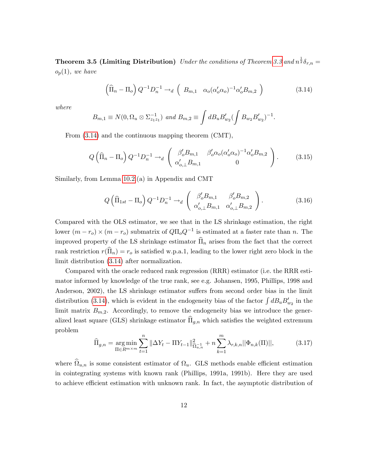**Theorem 3.5 (Limiting Distribution)** Under the conditions of Theorem [3.3](#page-11-1) and  $n^{\frac{1}{2}}\delta_{r,n} =$  $o_p(1)$ , we have

<span id="page-12-0"></span>
$$
\left(\widehat{\Pi}_n - \Pi_o\right) Q^{-1} D_n^{-1} \to_d \left(B_{m,1} \quad \alpha_o(\alpha'_o \alpha_o)^{-1} \alpha'_o B_{m,2}\right) \tag{3.14}
$$

where

$$
B_{m,1} \equiv N(0, \Omega_u \otimes \Sigma_{z_1 z_1}^{-1}) \text{ and } B_{m,2} \equiv \int dB_u B'_{w_2} (\int B_{w_2} B'_{w_2})^{-1}.
$$

From [\(3.14\)](#page-12-0) and the continuous mapping theorem (CMT),

$$
Q\left(\widehat{\Pi}_n - \Pi_o\right) Q^{-1} D_n^{-1} \to_d \begin{pmatrix} \beta'_o B_{m,1} & \beta'_o \alpha_o (\alpha'_o \alpha_o)^{-1} \alpha'_o B_{m,2} \\ \alpha'_{o,\perp} B_{m,1} & 0 \end{pmatrix}.
$$
 (3.15)

Similarly, from Lemma [10.2.](#page-36-0)(a) in Appendix and CMT

$$
Q\left(\widehat{\Pi}_{1st} - \Pi_o\right) Q^{-1} D_n^{-1} \to_d \begin{pmatrix} \beta_o' B_{m,1} & \beta_o' B_{m,2} \\ \alpha_{o,\perp}' B_{m,1} & \alpha_{o,\perp}' B_{m,2} \end{pmatrix}.
$$
 (3.16)

Compared with the OLS estimator, we see that in the LS shrinkage estimation, the right lower  $(m - r_o) \times (m - r_o)$  submatrix of  $Q\Pi_o Q^{-1}$  is estimated at a faster rate than n. The improved property of the LS shrinkage estimator  $\widehat{\Pi}_n$  arises from the fact that the correct rank restriction  $r(\widehat{\Pi}_n) = r_o$  is satisfied w.p.a.1, leading to the lower right zero block in the limit distribution [\(3.14\)](#page-12-0) after normalization.

Compared with the oracle reduced rank regression (RRR) estimator (i.e. the RRR estimator informed by knowledge of the true rank, see e.g. Johansen, 1995, Phillips, 1998 and Anderson, 2002), the LS shrinkage estimator suffers from second order bias in the limit distribution [\(3.14\)](#page-12-0), which is evident in the endogeneity bias of the factor  $\int dB_u B_{w_2}$  in the limit matrix  $B_{m,2}$ . Accordingly, to remove the endogeneity bias we introduce the generalized least square (GLS) shrinkage estimator  $\widehat{\Pi}_{g,n}$  which satisfies the weighted extremum problem

$$
\widehat{\Pi}_{g,n} = \underset{\Pi \in R^{m \times m}}{\arg \min} \sum_{t=1}^{n} \|\Delta Y_t - \Pi Y_{t-1}\|_{\widehat{\Omega}_{u,n}}^2 + n \sum_{k=1}^{m} \lambda_{r,k,n} ||\Phi_{n,k}(\Pi)||, \tag{3.17}
$$

where  $\Omega_{u,n}$  is some consistent estimator of  $\Omega_u$ . GLS methods enable efficient estimation in cointegrating systems with known rank (Phillips, 1991a, 1991b). Here they are used to achieve efficient estimation with unknown rank. In fact, the asymptotic distribution of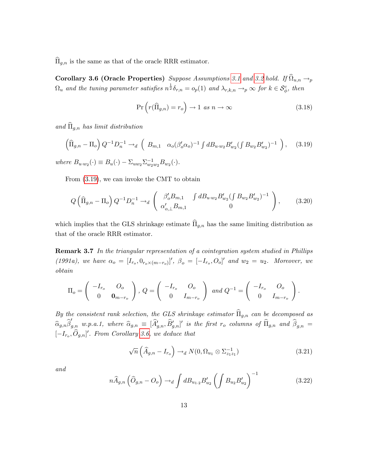<span id="page-13-1"></span> $\widehat{\Pi}_{g,n}$  is the same as that of the oracle RRR estimator.

**Corollary 3.6 (Oracle Properties)** Suppose Assumptions [3.1](#page-7-2) and [3.2](#page-8-0) hold. If  $\Omega_{u,n} \to_p$  $\Omega_u$  and the tuning parameter satisfies  $n^{\frac{1}{2}}\delta_{r,n} = o_p(1)$  and  $\lambda_{r,k,n} \to_p \infty$  for  $k \in S^c_{\phi}$ , then

$$
\Pr\left(r(\widehat{\Pi}_{g,n}) = r_o\right) \to 1 \text{ as } n \to \infty \tag{3.18}
$$

and  $\widehat{\Pi}_{q,n}$  has limit distribution

<span id="page-13-0"></span>
$$
\left(\widehat{\Pi}_{g,n} - \Pi_o\right) Q^{-1} D_n^{-1} \to_d \left(B_{m,1} \quad \alpha_o (\beta_o' \alpha_o)^{-1} \int d B_{u \cdot w_2} B'_{w_2} (\int B_{w_2} B'_{w_2})^{-1}\right), \quad (3.19)
$$

where  $B_{u \cdot w_2}(\cdot) \equiv B_u(\cdot) - \sum_{uw_2} \sum_{w_2}^{-1} B_{w_2}(\cdot)$ .

From [\(3.19\)](#page-13-0), we can invoke the CMT to obtain

$$
Q\left(\widehat{\Pi}_{g,n} - \Pi_o\right) Q^{-1} D_n^{-1} \to_d \begin{pmatrix} \beta'_o B_{m,1} & \int d B_{u \cdot w_2} B'_{w_2} (\int B_{w_2} B'_{w_2})^{-1} \\ \alpha'_{o,\perp} B_{m,1} & 0 \end{pmatrix}, \quad (3.20)
$$

which implies that the GLS shrinkage estimate  $\widehat{\Pi}_{g,n}$  has the same limiting distribution as that of the oracle RRR estimator.

Remark 3.7 In the triangular representation of a cointegration system studied in Phillips (1991a), we have  $\alpha_o = [I_{r_o}, 0_{r_o \times (m-r_o)}]'$ ,  $\beta_o = [-I_{r_o}, O_o]'$  and  $w_2 = u_2$ . Moreover, we obtain

$$
\Pi_o = \begin{pmatrix} -I_{r_o} & O_o \\ 0 & \mathbf{0}_{m-r_o} \end{pmatrix}, \ Q = \begin{pmatrix} -I_{r_o} & O_o \\ 0 & I_{m-r_o} \end{pmatrix} \text{ and } Q^{-1} = \begin{pmatrix} -I_{r_o} & O_o \\ 0 & I_{m-r_o} \end{pmatrix}.
$$

By the consistent rank selection, the GLS shrinkage estimator  $\widehat{\Pi}_{g,n}$  can be decomposed as  $\widehat{\alpha}_{g,n}\widehat{\beta}'_{g,n}$  w.p.a.1, where  $\widehat{\alpha}_{g,n} \equiv [\widehat{A}'_{g,n}, \widehat{B}'_{g,n}]'$  is the first  $r_o$  columns of  $\widehat{\Pi}_{g,n}$  and  $\widehat{\beta}_{g,n} =$  $[-I_{r_o}, O_{g,n}]'$ . From Corollary [3.6,](#page-13-1) we deduce that

<span id="page-13-2"></span>
$$
\sqrt{n}\left(\widehat{A}_{g,n} - I_{r_o}\right) \to_d N(0, \Omega_{u_1} \otimes \Sigma_{z_1 z_1}^{-1})
$$
\n(3.21)

and

<span id="page-13-3"></span>
$$
n\widehat{A}_{g,n}\left(\widehat{O}_{g,n} - O_o\right) \to_d \int dB_{u_{1}\cdot 2} B'_{u_2}\left(\int B_{u_2} B'_{u_2}\right)^{-1} \tag{3.22}
$$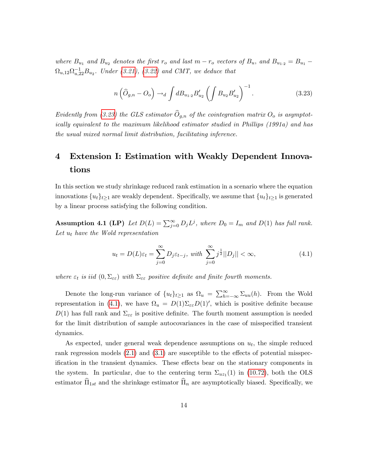where  $B_{u_1}$  and  $B_{u_2}$  denotes the first  $r_o$  and last  $m - r_o$  vectors of  $B_u$ , and  $B_{u_1,2} = B_{u_1} \Omega_{u,12}\Omega_{u,22}^{-1}B_{u_2}$ . Under [\(3.21\)](#page-13-2), [\(3.22\)](#page-13-3) and CMT, we deduce that

<span id="page-14-0"></span>
$$
n\left(\widehat{O}_{g,n} - O_o\right) \to_d \int dB_{u_{1}\cdot 2} B'_{u_2} \left(\int B_{u_2} B'_{u_2}\right)^{-1}.
$$
 (3.23)

Evidently from [\(3.23\)](#page-14-0) the GLS estimator  $\widehat{O}_{g,n}$  of the cointegration matrix  $O_o$  is asymptotically equivalent to the maximum likelihood estimator studied in Phillips (1991a) and has the usual mixed normal limit distribution, facilitating inference.

# 4 Extension I: Estimation with Weakly Dependent Innovations

In this section we study shrinkage reduced rank estimation in a scenario where the equation innovations  $\{u_t\}_{t>1}$  are weakly dependent. Specifically, we assume that  $\{u_t\}_{t\geq 1}$  is generated by a linear process satisfying the following condition.

**Assumption 4.1 (LP)** Let  $D(L) = \sum_{j=0}^{\infty} D_j L^j$ , where  $D_0 = I_m$  and  $D(1)$  has full rank. Let  $u_t$  have the Wold representation

<span id="page-14-1"></span>
$$
u_t = D(L)\varepsilon_t = \sum_{j=0}^{\infty} D_j \varepsilon_{t-j}, \text{ with } \sum_{j=0}^{\infty} j^{\frac{1}{2}} ||D_j|| < \infty,
$$
\n(4.1)

where  $\varepsilon_t$  is iid  $(0, \Sigma_{\varepsilon \varepsilon})$  with  $\Sigma_{\varepsilon \varepsilon}$  positive definite and finite fourth moments.

Denote the long-run variance of  $\{u_t\}_{t\geq1}$  as  $\Omega_u = \sum_{h=-\infty}^{\infty} \Sigma_{uu}(h)$ . From the Wold representation in [\(4.1\)](#page-14-1), we have  $\Omega_u = D(1)\Sigma_{\varepsilon\varepsilon}D(1)'$ , which is positive definite because  $D(1)$  has full rank and  $\Sigma_{\varepsilon_{\varepsilon}}$  is positive definite. The fourth moment assumption is needed for the limit distribution of sample autocovariances in the case of misspecified transient dynamics.

As expected, under general weak dependence assumptions on  $u_t$ , the simple reduced rank regression models  $(2.1)$  and  $(3.1)$  are susceptible to the effects of potential misspecification in the transient dynamics. These effects bear on the stationary components in the system. In particular, due to the centering term  $\Sigma_{uz_1}(1)$  in [\(10.72\)](#page-52-0), both the OLS estimator  $\widehat{\Pi}_{1st}$  and the shrinkage estimator  $\widehat{\Pi}_n$  are asymptotically biased. Specifically, we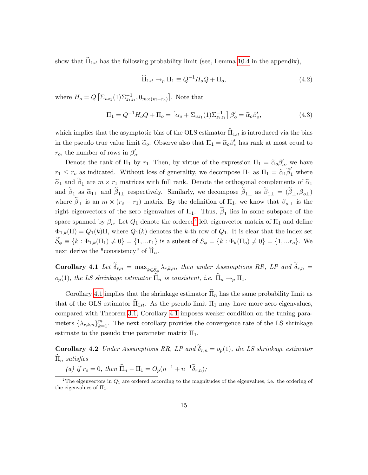show that  $\Pi_{1st}$  has the following probability limit (see, Lemma [10.4](#page-54-0) in the appendix),

$$
\widehat{\Pi}_{1st} \to_p \Pi_1 \equiv Q^{-1} H_o Q + \Pi_o,\tag{4.2}
$$

where  $H_o = Q \left[ \sum_{u z_1}(1) \sum_{z_1 z_1}^{-1}, 0_{m \times (m-r_o)} \right]$ . Note that

$$
\Pi_1 = Q^{-1}H_o Q + \Pi_o = \left[ \alpha_o + \Sigma_{uz_1}(1)\Sigma_{z_1 z_1}^{-1} \right] \beta_o' = \tilde{\alpha}_o \beta_o', \tag{4.3}
$$

which implies that the asymptotic bias of the OLS estimator  $\widehat{\Pi}_{1st}$  is introduced via the bias in the pseudo true value limit  $\tilde{\alpha}_o$ . Observe also that  $\Pi_1 = \tilde{\alpha}_o \beta'_o$  has rank at most equal to  $r_o$ , the number of rows in  $\beta_o'$ .

Denote the rank of  $\Pi_1$  by  $r_1$ . Then, by virtue of the expression  $\Pi_1 = \tilde{\alpha}_o \beta'_o$ , we have  $r_1 \leq r_o$  as indicated. Without loss of generality, we decompose  $\Pi_1$  as  $\Pi_1 = \tilde{\alpha}_1 \tilde{\beta}'_1$  where  $\tilde{\alpha}_1$  and  $\beta_1$  are  $m \times r_1$  matrices with full rank. Denote the orthogonal complements of  $\tilde{\alpha}_1$ and  $\beta_{1\perp}$  as  $\tilde{\alpha}_{1\perp}$  and  $\beta_{1\perp}$  respectively. Similarly, we decompose  $\beta_{1\perp}$  as  $\beta_{1\perp} = (\beta_{\perp}, \beta_{o\perp})$ where  $\beta_{\perp}$  is an  $m \times (r_o - r_1)$  matrix. By the definition of  $\Pi_1$ , we know that  $\beta_{o,\perp}$  is the right eigenvectors of the zero eigenvalues of  $\Pi_1$ . Thus,  $\beta_1$  lies in some subspace of the space spanned by  $\beta_o$ . Let  $Q_1$  denote the ordered<sup>[2](#page-15-0)</sup> left eigenvector matrix of  $\Pi_1$  and define  $\Phi_{1,k}(\Pi) = Q_1(k)\Pi$ , where  $Q_1(k)$  denotes the k-th row of  $Q_1$ . It is clear that the index set  $\widetilde{\mathcal{S}}_{\phi} \equiv \{k : \Phi_{1,k}(\Pi_1) \neq 0\} = \{1, ...r_1\}$  is a subset of  $S_{\phi} = \{k : \Phi_k(\Pi_o) \neq 0\} = \{1, ...r_o\}$ . We next derive the "consistency" of  $\widehat{\Pi}_n$ .

<span id="page-15-1"></span>**Corollary 4.1** Let  $\delta_{r,n} = \max_{k \in \tilde{S}_{\phi}} \lambda_{r,k,n}$ , then under Assumptions RR, LP and  $\delta_{r,n} =$  $o_p(1)$ , the LS shrinkage estimator  $\widehat{\Pi}_n$  is consistent, i.e.  $\widehat{\Pi}_n \rightarrow_p \Pi_1$ .

Corollary [4.1](#page-15-1) implies that the shrinkage estimator  $\widehat{\Pi}_n$  has the same probability limit as that of the OLS estimator  $\hat{\Pi}_{1st}$ . As the pseudo limit  $\Pi_1$  may have more zero eigenvalues, compared with Theorem [3.1,](#page-9-1) Corollary [4.1](#page-15-1) imposes weaker condition on the tuning parameters  $\{\lambda_{r,k,n}\}_{k=1}^m$ . The next corollary provides the convergence rate of the LS shrinkage estimate to the pseudo true parameter matrix  $\Pi_1$ .

<span id="page-15-2"></span>**Corollary 4.2** Under Assumptions RR, LP and  $\delta_{r,n} = o_p(1)$ , the LS shrinkage estimator  $\widehat{\Pi}_n$  satisfies

(a) if  $r_o = 0$ , then  $\widehat{\Pi}_n - \Pi_1 = O_p(n^{-1} + n^{-1}\widetilde{\delta}_{r,n});$ 

<span id="page-15-0"></span><sup>&</sup>lt;sup>2</sup>The eigenvectors in  $Q_1$  are ordered according to the magnitudes of the eigenvalues, i.e. the ordering of the eigenvalues of  $\Pi_1$ .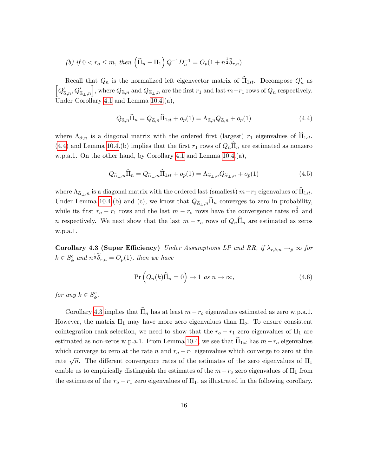(b) if 
$$
0 < r_o \le m
$$
, then  $(\hat{\Pi}_n - \Pi_1) Q^{-1} D_n^{-1} = O_p(1 + n^{\frac{1}{2}} \tilde{\delta}_{r,n}).$ 

Recall that  $Q_n$  is the normalized left eigenvector matrix of  $\Pi_{1st}$ . Decompose  $Q'_n$  as  $\left[Q'_{\tilde{\alpha},n},Q'_{\tilde{\alpha}_{\perp},n}\right]$ , where  $Q_{\tilde{\alpha},n}$  and  $Q_{\tilde{\alpha}_{\perp},n}$  are the first  $r_1$  and last  $m-r_1$  rows of  $Q_n$  respectively. Under Corollary [4.1](#page-15-1) and Lemma [10.4.](#page-54-0)(a),

<span id="page-16-0"></span>
$$
Q_{\widetilde{\alpha},n}\widehat{\Pi}_n = Q_{\widetilde{\alpha},n}\widehat{\Pi}_{1st} + o_p(1) = \Lambda_{\widetilde{\alpha},n}Q_{\widetilde{\alpha},n} + o_p(1)
$$
\n(4.4)

where  $\Lambda_{\tilde{\alpha},n}$  is a diagonal matrix with the ordered first (largest)  $r_1$  eigenvalues of  $\widehat{\Pi}_{1st}$ . [\(4.4\)](#page-16-0) and Lemma [10.4.](#page-54-0)(b) implies that the first  $r_1$  rows of  $Q_n\Pi_n$  are estimated as nonzero w.p.a.1. On the other hand, by Corollary [4.1](#page-15-1) and Lemma [10.4.](#page-54-0)(a),

$$
Q_{\widetilde{\alpha}_{\perp},n}\widehat{\Pi}_n = Q_{\widetilde{\alpha}_{\perp},n}\widehat{\Pi}_{1st} + o_p(1) = \Lambda_{\widetilde{\alpha}_{\perp},n}Q_{\widetilde{\alpha}_{\perp},n} + o_p(1)
$$
\n(4.5)

where  $\Lambda_{\tilde{\alpha}_\perp,n}$  is a diagonal matrix with the ordered last (smallest)  $m-r_1$  eigenvalues of  $\tilde{\Pi}_{1st}$ . Under Lemma [10.4.](#page-54-0)(b) and (c), we know that  $Q_{\alpha_1,n}\hat{\Pi}_n$  converges to zero in probability, while its first  $r_o - r_1$  rows and the last  $m - r_o$  rows have the convergence rates  $n^{\frac{1}{2}}$  and n respectively. We next show that the last  $m - r_o$  rows of  $Q_n\widehat{\Pi}_n$  are estimated as zeros w.p.a.1.

<span id="page-16-1"></span>Corollary 4.3 (Super Efficiency) Under Assumptions LP and RR, if  $\lambda_{r,k,n} \rightarrow_{p} \infty$  for  $k \in S^c_\phi$  and  $n^{\frac{1}{2}} \widetilde{\delta}_{r,n} = O_p(1)$ , then we have

$$
\Pr\left(Q_n(k)\widehat{\Pi}_n=0\right) \to 1 \text{ as } n \to \infty,\tag{4.6}
$$

for any  $k \in S^c_{\phi}$ .

<span id="page-16-2"></span>Corollary [4.3](#page-16-1) implies that  $\hat{\Pi}_n$  has at least  $m - r_o$  eigenvalues estimated as zero w.p.a.1. However, the matrix  $\Pi_1$  may have more zero eigenvalues than  $\Pi_o$ . To ensure consistent cointegration rank selection, we need to show that the  $r_o - r_1$  zero eigenvalues of  $\Pi_1$  are estimated as non-zeros w.p.a.1. From Lemma [10.4,](#page-54-0) we see that  $\hat{\Pi}_{1st}$  has  $m-r_o$  eigenvalues which converge to zero at the rate n and  $r_o - r_1$  eigenvalues which converge to zero at the rate  $\sqrt{n}$ . The different convergence rates of the estimates of the zero eigenvalues of  $\Pi_1$ enable us to empirically distinguish the estimates of the  $m-r_0$  zero eigenvalues of  $\Pi_1$  from the estimates of the  $r_o - r_1$  zero eigenvalues of  $\Pi_1$ , as illustrated in the following corollary.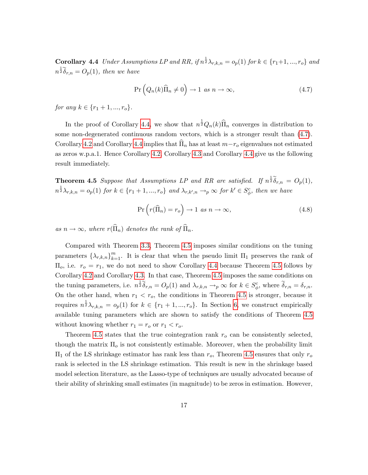**Corollary 4.4** Under Assumptions LP and RR, if  $n^{\frac{1}{2}}\lambda_{r,k,n} = o_p(1)$  for  $k \in \{r_1+1, ..., r_o\}$  and  $n^{\frac{1}{2}}\tilde{\delta}_{r,n} = O_p(1)$ , then we have

<span id="page-17-0"></span>
$$
\Pr\left(Q_n(k)\widehat{\Pi}_n \neq 0\right) \to 1 \text{ as } n \to \infty,\tag{4.7}
$$

for any  $k \in \{r_1 + 1, ..., r_o\}$ .

In the proof of Corollary [4.4,](#page-16-2) we show that  $n^{\frac{1}{2}}Q_n(k)\hat{\Pi}_n$  converges in distribution to some non-degenerated continuous random vectors, which is a stronger result than [\(4.7\)](#page-17-0). Corollary [4.2](#page-15-2) and Corollary [4.4](#page-16-2) implies that  $\prod_n$  has at least  $m-r_o$  eigenvalues not estimated as zeros w.p.a.1. Hence Corollary [4.2,](#page-15-2) Corollary [4.3](#page-16-1) and Corollary [4.4](#page-16-2) give us the following result immediately.

<span id="page-17-1"></span>**Theorem 4.5** Suppose that Assumptions LP and RR are satisfied. If  $n^{\frac{1}{2}}\tilde{\delta}_{r,n} = O_p(1)$ ,  $n^{\frac{1}{2}}\lambda_{r,k,n} = o_p(1)$  for  $k \in \{r_1+1,\dots,r_o\}$  and  $\lambda_{r,k',n} \to_p \infty$  for  $k' \in S^c_{\phi}$ , then we have

$$
\Pr\left(r(\widehat{\Pi}_n) = r_o\right) \to 1 \text{ as } n \to \infty,\tag{4.8}
$$

as  $n \to \infty$ , where  $r(\widehat{\Pi}_n)$  denotes the rank of  $\widehat{\Pi}_n$ .

Compared with Theorem [3.3,](#page-11-1) Theorem [4.5](#page-17-1) imposes similar conditions on the tuning parameters  $\{\lambda_{r,k,n}\}_{k=1}^m$ . It is clear that when the pseudo limit  $\Pi_1$  preserves the rank of  $\Pi_o$ , i.e.  $r_o = r_1$ , we do not need to show Corollary [4.4](#page-16-2) because Theorem [4.5](#page-17-1) follows by Corollary [4.2](#page-15-2) and Corollary [4.3.](#page-16-1) In that case, Theorem [4.5](#page-17-1) imposes the same conditions on the tuning parameters, i.e.  $n^{\frac{1}{2}}\tilde{\delta}_{r,n} = O_p(1)$  and  $\lambda_{r,k,n} \to_p \infty$  for  $k \in S^c_{\phi}$ , where  $\tilde{\delta}_{r,n} = \delta_{r,n}$ . On the other hand, when  $r_1 < r_0$ , the conditions in Theorem [4.5](#page-17-1) is stronger, because it requires  $n^{\frac{1}{2}}\lambda_{r,k,n} = o_p(1)$  for  $k \in \{r_1+1,\dots,r_o\}$ . In Section [6,](#page-23-1) we construct empirically available tuning parameters which are shown to satisfy the conditions of Theorem [4.5](#page-17-1) without knowing whether  $r_1 = r_o$  or  $r_1 < r_o$ .

Theorem [4.5](#page-17-1) states that the true cointegration rank  $r<sub>o</sub>$  can be consistently selected, though the matrix  $\Pi_o$  is not consistently estimable. Moreover, when the probability limit  $\Pi_1$  of the LS shrinkage estimator has rank less than  $r_o$ , Theorem [4.5](#page-17-1) ensures that only  $r_o$ rank is selected in the LS shrinkage estimation. This result is new in the shrinkage based model selection literature, as the Lasso-type of techniques are usually advocated because of their ability of shrinking small estimates (in magnitude) to be zeros in estimation. However,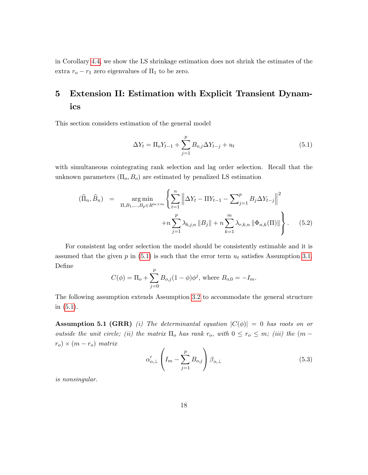in Corollary [4.4,](#page-16-2) we show the LS shrinkage estimation does not shrink the estimates of the extra  $r_o - r_1$  zero eigenvalues of  $\Pi_1$  to be zero.

# 5 Extension II: Estimation with Explicit Transient Dynamics

This section considers estimation of the general model

<span id="page-18-0"></span>
$$
\Delta Y_t = \Pi_o Y_{t-1} + \sum_{j=1}^p B_{o,j} \Delta Y_{t-j} + u_t
$$
\n(5.1)

with simultaneous cointegrating rank selection and lag order selection. Recall that the unknown parameters  $(\Pi_o, B_o)$  are estimated by penalized LS estimation

<span id="page-18-2"></span>
$$
(\widehat{\Pi}_n, \widehat{B}_n) = \underset{\Pi, B_1, \dots, B_p \in R^{m \times m}}{\arg \min} \left\{ \sum_{t=1}^n \left\| \Delta Y_t - \Pi Y_{t-1} - \sum_{j=1}^p B_j \Delta Y_{t-j} \right\|^2 + n \sum_{j=1}^p \lambda_{b,j,n} \|B_j\| + n \sum_{k=1}^m \lambda_{r,k,n} \|\Phi_{n,k}(\Pi)\| \right\}.
$$
 (5.2)

For consistent lag order selection the model should be consistently estimable and it is assumed that the given p in  $(5.1)$  is such that the error term  $u_t$  satisfies Assumption [3.1.](#page-7-2) DeÖne

$$
C(\phi) = \Pi_o + \sum_{j=0}^{p} B_{o,j} (1 - \phi) \phi^j, \text{ where } B_{o,0} = -I_m.
$$

The following assumption extends Assumption [3.2](#page-8-0) to accommodate the general structure in [\(5.1\)](#page-18-0).

<span id="page-18-1"></span>**Assumption 5.1 (GRR)** (i) The determinantal equation  $|C(\phi)| = 0$  has roots on or outside the unit circle; (ii) the matrix  $\Pi_o$  has rank  $r_o$ , with  $0 \le r_o \le m$ ; (iii) the  $(m (r_o) \times (m - r_o)$  matrix

$$
\alpha'_{o,\perp} \left( I_m - \sum_{j=1}^p B_{o,j} \right) \beta_{o,\perp} \tag{5.3}
$$

is nonsingular.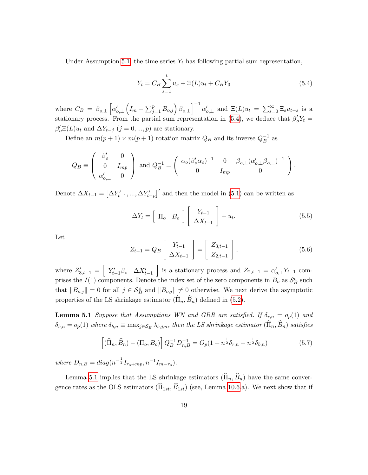Under Assumption [5.1,](#page-18-1) the time series  $Y_t$  has following partial sum representation,

<span id="page-19-0"></span>
$$
Y_t = C_B \sum_{s=1}^t u_s + \Xi(L)u_t + C_B Y_0
$$
\n(5.4)

where  $C_B = \beta_{o,\perp} \left[ \alpha'_{o,\perp} \right]$  $\left(I_m - \sum_{j=1}^p B_{o,j}\right)\beta_{o,\perp}\right]^{-1} \alpha'_{o,\perp}$  and  $\Xi(L)u_t = \sum_{s=0}^\infty \Xi_s u_{t-s}$  is a stationary process. From the partial sum representation in [\(5.4\)](#page-19-0), we deduce that  $\beta'_o Y_t =$  $\beta'_{o} \Xi(L) u_{t}$  and  $\Delta Y_{t-j}$   $(j = 0, ..., p)$  are stationary.

Define an  $m(p+1) \times m(p+1)$  rotation matrix  $Q_B$  and its inverse  $Q_B^{-1}$  as

$$
Q_B \equiv \left(\begin{array}{cc}\beta_o' & 0 \\ 0 & I_{mp} \\ \alpha_{o,\perp}' & 0\end{array}\right) \text{ and } Q_B^{-1} = \left(\begin{array}{cc}\alpha_o(\beta_o'\alpha_o)^{-1} & 0 & \beta_{o,\perp}(\alpha_{o,\perp}'\beta_{o,\perp})^{-1} \\ 0 & I_{mp} & 0\end{array}\right).
$$

Denote  $\Delta X_{t-1} = [\Delta Y'_{t-1}, ..., \Delta Y'_{t-p}]'$  and then the model in [\(5.1\)](#page-18-0) can be written as

$$
\Delta Y_t = \left[ \begin{array}{cc} \Pi_o & B_o \end{array} \right] \left[ \begin{array}{c} Y_{t-1} \\ \Delta X_{t-1} \end{array} \right] + u_t. \tag{5.5}
$$

Let

$$
Z_{t-1} = Q_B \left[ \begin{array}{c} Y_{t-1} \\ \Delta X_{t-1} \end{array} \right] = \left[ \begin{array}{c} Z_{3,t-1} \\ Z_{2,t-1} \end{array} \right],
$$
 (5.6)

where  $Z'_{3,t-1} = \begin{bmatrix} Y'_{t-1} \beta_o & \Delta X'_{t-1} \end{bmatrix}$ is a stationary process and  $Z_{2,t-1} = \alpha'_{o,\perp} Y_{t-1}$  comprises the  $I(1)$  components. Denote the index set of the zero components in  $B_0$  as  $\mathcal{S}_B^c$  such that  $||B_{o,j}|| = 0$  for all  $j \in S_B^c$  and  $||B_{o,j}|| \neq 0$  otherwise. We next derive the asymptotic properties of the LS shrinkage estimator  $(\widehat{\Pi}_n, \widehat{B}_n)$  defined in [\(5.2\)](#page-18-2).

<span id="page-19-1"></span>**Lemma 5.1** Suppose that Assumptions WN and GRR are satisfied. If  $\delta_{r,n} = o_p(1)$  and  $\delta_{b,n} = o_p(1)$  where  $\delta_{b,n} \equiv \max_{j \in S_B} \lambda_{b,j,n}$ , then the LS shrinkage estimator  $(\widehat{\Pi}_n, \widehat{B}_n)$  satisfies

$$
\left[ (\widehat{\Pi}_n, \widehat{B}_n) - (\Pi_o, B_o) \right] Q_B^{-1} D_{n,B}^{-1} = O_p (1 + n^{\frac{1}{2}} \delta_{r,n} + n^{\frac{1}{2}} \delta_{b,n}) \tag{5.7}
$$

where  $D_{n,B} = diag(n^{-\frac{1}{2}}I_{r_o+mp}, n^{-1}I_{m-r_o}).$ 

Lemma [5.1](#page-19-1) implies that the LS shrinkage estimators  $(\widehat{\Pi}_n, \widehat{B}_n)$  have the same convergence rates as the OLS estimators  $(\widehat{\Pi}_{1st}, \widehat{B}_{1st})$  (see, Lemma [10.6.](#page-71-0)a). We next show that if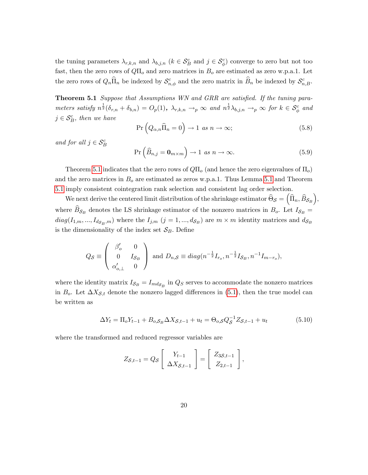the tuning parameters  $\lambda_{r,k,n}$  and  $\lambda_{b,j,n}$  ( $k \in S_B^c$  and  $j \in S_\phi^c$ ) converge to zero but not too fast, then the zero rows of  $Q\Pi_o$  and zero matrices in  $B_o$  are estimated as zero w.p.a.1. Let the zero rows of  $Q_n\hat{\Pi}_n$  be indexed by  $\mathcal{S}^c_{n,\phi}$  and the zero matrix in  $\widehat{B}_n$  be indexed by  $\mathcal{S}^c_{n,B}$ .

<span id="page-20-0"></span>Theorem 5.1 Suppose that Assumptions WN and GRR are satisfied. If the tuning parameters satisfy  $n^{\frac{1}{2}}(\delta_{r,n}+\delta_{b,n})=O_p(1)$ ,  $\lambda_{r,k,n}\to_p\infty$  and  $n^{\frac{1}{2}}\lambda_{b,j,n}\to_p\infty$  for  $k\in\mathcal{S}_{\phi}^c$  and  $j \in \mathcal{S}_{B}^{c}$ , then we have

$$
\Pr\left(Q_{\alpha,n}\widehat{\Pi}_n=0\right)\to 1 \text{ as } n\to\infty;\tag{5.8}
$$

and for all  $j \in \mathcal{S}_B^c$ 

$$
\Pr\left(\widehat{B}_{n,j} = \mathbf{0}_{m \times m}\right) \to 1 \text{ as } n \to \infty. \tag{5.9}
$$

Theorem [5.1](#page-20-0) indicates that the zero rows of  $Q\Pi_o$  (and hence the zero eigenvalues of  $\Pi_o$ ) and the zero matrices in  $B<sub>o</sub>$  are estimated as zeros w.p.a.1. Thus Lemma [5.1](#page-19-1) and Theorem [5.1](#page-20-0) imply consistent cointegration rank selection and consistent lag order selection.

We next derive the centered limit distribution of the shrinkage estimator  $\widehat{\Theta}_{\mathcal{S}} = (\widehat{\Pi}_n, \widehat{B}_{\mathcal{S}_B}),$ where  $B_{\mathcal{S}_B}$  denotes the LS shrinkage estimator of the nonzero matrices in  $B_o$ . Let  $I_{\mathcal{S}_B}$  =  $diag(I_{1,m},...,I_{d_{S_B},m})$  where the  $I_{j,m}$   $(j = 1,...,d_{S_B})$  are  $m \times m$  identity matrices and  $d_{S_B}$ is the dimensionality of the index set  $\mathcal{S}_B$ . Define

$$
Q_{\mathcal{S}} \equiv \begin{pmatrix} \beta_o' & 0 \\ 0 & I_{\mathcal{S}_B} \\ \alpha_{o,\perp}' & 0 \end{pmatrix} \text{ and } D_{n,\mathcal{S}} \equiv diag(n^{-\frac{1}{2}}I_{r_o}, n^{-\frac{1}{2}}I_{\mathcal{S}_B}, n^{-1}I_{m-r_o}),
$$

where the identity matrix  $I_{\mathcal{S}_B} = I_{md_{\mathcal{S}_B}}$  in  $Q_S$  serves to accommodate the nonzero matrices in  $B_o$ . Let  $\Delta X_{\mathcal{S},t}$  denote the nonzero lagged differences in [\(5.1\)](#page-18-0), then the true model can be written as

$$
\Delta Y_t = \Pi_o Y_{t-1} + B_{o,S_B} \Delta X_{S,t-1} + u_t = \Theta_{o,S} Q_S^{-1} Z_{S,t-1} + u_t \tag{5.10}
$$

where the transformed and reduced regressor variables are

$$
Z_{\mathcal{S},t-1} = Q_{\mathcal{S}} \left[ \begin{array}{c} Y_{t-1} \\ \Delta X_{\mathcal{S},t-1} \end{array} \right] = \left[ \begin{array}{c} Z_{3\mathcal{S},t-1} \\ Z_{2,t-1} \end{array} \right],
$$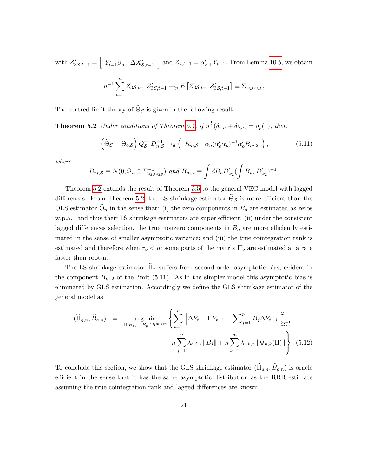with  $Z'_{3\mathcal{S},t-1} = \begin{bmatrix} Y'_{t-1}\beta_o & \Delta X'_{\mathcal{S},t-1} \end{bmatrix}$ and  $Z_{2,t-1} = \alpha'_{o,\perp} Y_{t-1}$ . From Lemma [10.5,](#page-70-0) we obtain  $n^{-1}\sum_{n=1}^{n}$  $t=1$  $Z_{3S,t-1}Z'_{3S,t-1} \to_{p} E \left[ Z_{3S,t-1}Z'_{3S,t-1} \right] \equiv \Sigma_{z_{3S}z_{3S}}.$ 

<span id="page-21-1"></span>The centred limit theory of  $\Theta_{\mathcal{S}}$  is given in the following result.

**Theorem 5.2** Under conditions of Theorem [5.1,](#page-20-0) if  $n^{\frac{1}{2}}(\delta_{r,n} + \delta_{b,n}) = o_p(1)$ , then

<span id="page-21-2"></span>
$$
\left(\widehat{\Theta}_{\mathcal{S}} - \Theta_{o,\mathcal{S}}\right) Q_{\mathcal{S}}^{-1} D_{n,\mathcal{S}}^{-1} \to_d \left(B_{m,\mathcal{S}} \quad \alpha_o (\alpha_o' \alpha_o)^{-1} \alpha_o' B_{m,2}\right),\tag{5.11}
$$

where

$$
B_{m,S} \equiv N(0, \Omega_u \otimes \Sigma_{z_3 z_3 z_3}^{-1}) \text{ and } B_{m,2} \equiv \int dB_u B'_{w_2} (\int B_{w_2} B'_{w_2})^{-1}.
$$

Theorem [5.2](#page-21-1) extends the result of Theorem [3.5](#page-11-3) to the general VEC model with lagged differences. From Theorem [5.2,](#page-21-1) the LS shrinkage estimator  $\Theta_{\mathcal{S}}$  is more efficient than the OLS estimator  $\Theta_n$  in the sense that: (i) the zero components in  $B_o$  are estimated as zeros w.p.a.1 and thus their LS shrinkage estimators are super efficient; (ii) under the consistent lagged differences selection, the true nonzero components in  $B<sub>o</sub>$  are more efficiently estimated in the sense of smaller asymptotic variance; and (iii) the true cointegration rank is estimated and therefore when  $r_o < m$  some parts of the matrix  $\Pi_o$  are estimated at a rate faster than root-n.

The LS shrinkage estimator  $\widehat{\Pi}_n$  suffers from second order asymptotic bias, evident in the component  $B_{m,2}$  of the limit [\(5.11\)](#page-21-2). As in the simpler model this asymptotic bias is eliminated by GLS estimation. Accordingly we define the GLS shrinkage estimator of the general model as

<span id="page-21-0"></span>
$$
(\widehat{\Pi}_{g,n}, \widehat{B}_{g,n}) = \underset{\Pi, B_1, \dots, B_p \in R^{m \times m}}{\arg \min} \left\{ \sum_{t=1}^n \left\| \Delta Y_t - \Pi Y_{t-1} - \sum_{j=1}^p B_j \Delta Y_{t-j} \right\|_{\widehat{\Omega}_{u,n}^{-1}}^2 + n \sum_{j=1}^p \lambda_{b,j,n} \|B_j\| + n \sum_{k=1}^m \lambda_{r,k,n} \|\Phi_{n,k}(\Pi)\| \right\}.
$$
\n(5.12)

<span id="page-21-3"></span>To conclude this section, we show that the GLS shrinkage estimator  $(\widehat{\Pi}_{g,n}, \widehat{B}_{g,n})$  is oracle efficient in the sense that it has the same asymptotic distribution as the RRR estimate assuming the true cointegration rank and lagged differences are known.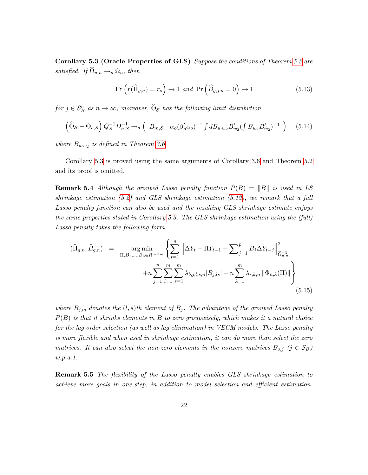Corollary 5.3 (Oracle Properties of GLS) Suppose the conditions of Theorem [5.2](#page-21-1) are satisfied. If  $\Omega_{u,n} \to_p \Omega_u$ , then

$$
\Pr\left(r(\widehat{\Pi}_{g,n}) = r_o\right) \to 1 \text{ and } \Pr\left(\widehat{B}_{g,j,n} = 0\right) \to 1 \tag{5.13}
$$

for  $j \in \mathcal{S}_{B}^{c}$  as  $n \to \infty$ ; moreover,  $\widehat{\Theta}_{\mathcal{S}}$  has the following limit distribution

$$
\left(\widehat{\Theta}_{\mathcal{S}} - \Theta_{o,\mathcal{S}}\right) Q_{\mathcal{S}}^{-1} D_{n,\mathcal{S}}^{-1} \rightarrow_d \left(B_{m,\mathcal{S}} \quad \alpha_o(\beta_o' \alpha_o)^{-1} \int d B_{u \cdot w_2} B_{w_2}' \left(\int B_{w_2} B_{w_2}'\right)^{-1}\right) \tag{5.14}
$$

where  $B_{u \cdot w_2}$  is defined in Theorem [3.6.](#page-13-1)

Corollary [5.3](#page-21-3) is proved using the same arguments of Corollary [3.6](#page-13-1) and Theorem [5.2](#page-21-1) and its proof is omitted.

**Remark 5.4** Although the grouped Lasso penalty function  $P(B) = ||B||$  is used in LS shrinkage estimation  $(5.2)$  and GLS shrinkage estimation  $(5.12)$ , we remark that a full Lasso penalty function can also be used and the resulting GLS shrinkage estimate enjoys the same properties stated in Corollary [5.3.](#page-21-3) The GLS shrinkage estimation using the (full) Lasso penalty takes the following form

$$
(\widehat{\Pi}_{g,n}, \widehat{B}_{g,n}) = \underset{\Pi, B_1, \dots, B_p \in R^{m \times m}}{\arg \min} \left\{ \sum_{t=1}^n \left\| \Delta Y_t - \Pi Y_{t-1} - \sum_{j=1}^p B_j \Delta Y_{t-j} \right\|_{\widehat{\Omega}_{u,n}^{-1}}^2 + n \sum_{j=1}^p \sum_{l=1}^m \sum_{s=1}^m \lambda_{b,j,l,s,n} |B_{j,ls}| + n \sum_{k=1}^m \lambda_{r,k,n} \left\| \Phi_{n,k}(\Pi) \right\| \right\}
$$
\n(5.15)

where  $B_{j,l,s}$  denotes the  $(l,s)$ th element of  $B_j$ . The advantage of the grouped Lasso penalty  $P(B)$  is that it shrinks elements in  $B$  to zero groupwisely, which makes it a natural choice for the lag order selection (as well as lag elimination) in VECM models. The Lasso penalty is more flexible and when used in shrinkage estimation, it can do more than select the zero matrices. It can also select the non-zero elements in the nonzero matrices  $B_{o,j}$  ( $j \in S_B$ ) w.p.a.1.

**Remark 5.5** The flexibility of the Lasso penalty enables GLS shrinkage estimation to achieve more goals in one-step, in addition to model selection and efficient estimation.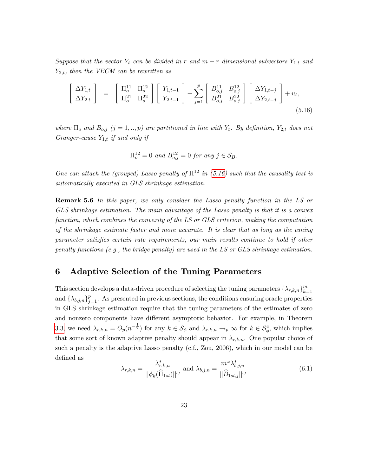Suppose that the vector  $Y_t$  can be divided in r and  $m-r$  dimensional subvectors  $Y_{1,t}$  and  $Y_{2,t}$ , then the VECM can be rewritten as

<span id="page-23-2"></span>
$$
\begin{bmatrix}\n\Delta Y_{1,t} \\
\Delta Y_{2,t}\n\end{bmatrix} = \begin{bmatrix}\n\Pi_o^{11} & \Pi_o^{12} \\
\Pi_o^{21} & \Pi_o^{22}\n\end{bmatrix} \begin{bmatrix}\nY_{1,t-1} \\
Y_{2,t-1}\n\end{bmatrix} + \sum_{j=1}^p \begin{bmatrix}\nB_{o,j}^{11} & B_{o,j}^{12} \\
B_{o,j}^{21} & B_{o,j}^{22}\n\end{bmatrix} \begin{bmatrix}\n\Delta Y_{1,t-j} \\
\Delta Y_{2,t-j}\n\end{bmatrix} + u_t,
$$
\n(5.16)

where  $\Pi_o$  and  $B_{o,j}$   $(j = 1,..,p)$  are partitioned in line with  $Y_t$ . By definition,  $Y_{2,t}$  does not Granger-cause  $Y_{1,t}$  if and only if

$$
\Pi_o^{12} = 0 \text{ and } B_{o,j}^{12} = 0 \text{ for any } j \in \mathcal{S}_B.
$$

One can attach the (grouped) Lasso penalty of  $\Pi^{12}$  in [\(5.16\)](#page-23-2) such that the causality test is automatically executed in GLS shrinkage estimation.

**Remark 5.6** In this paper, we only consider the Lasso penalty function in the LS or GLS shrinkage estimation. The main advantage of the Lasso penalty is that it is a convex function, which combines the convexity of the LS or GLS criterion, making the computation of the shrinkage estimate faster and more accurate. It is clear that as long as the tuning parameter satisfies certain rate requirements, our main results continue to hold if other penalty functions (e.g., the bridge penalty) are used in the LS or GLS shrinkage estimation.

### <span id="page-23-1"></span>6 Adaptive Selection of the Tuning Parameters

This section develops a data-driven procedure of selecting the tuning parameters  $\{\lambda_{r,k,n}\}_{k=1}^m$  $_{k=1}$ and  $\{\lambda_{b,j,n}\}_{j=1}^p$ . As presented in previous sections, the conditions ensuring oracle properties in GLS shrinkage estimation require that the tuning parameters of the estimates of zero and nonzero components have different asymptotic behavior. For example, in Theorem [3.3,](#page-11-1) we need  $\lambda_{r,k,n} = O_p(n^{-\frac{1}{2}})$  for any  $k \in S_\phi$  and  $\lambda_{r,k,n} \to_p \infty$  for  $k \in S_\phi^c$ , which implies that some sort of known adaptive penalty should appear in  $\lambda_{r,k,n}$ . One popular choice of such a penalty is the adaptive Lasso penalty (c.f., Zou, 2006), which in our model can be deÖned as

<span id="page-23-0"></span>
$$
\lambda_{r,k,n} = \frac{\lambda_{r,k,n}^*}{||\phi_k(\widehat{\Pi}_{1st})||^{\omega}} \text{ and } \lambda_{b,j,n} = \frac{m^{\omega}\lambda_{b,j,n}^*}{||\widehat{B}_{1st,j}||^{\omega}}
$$
(6.1)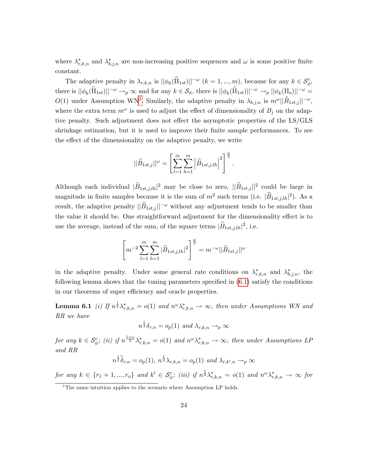where  $\lambda_{r,k,n}^*$  and  $\lambda_{b,j,n}^*$  are non-increasing positive sequences and  $\omega$  is some positive finite constant.

The adaptive penalty in  $\lambda_{r,k,n}$  is  $||\phi_k(\widehat{\Pi}_{1st})||^{-\omega}$   $(k = 1, ..., m)$ , because for any  $k \in \mathcal{S}_{\phi}^c$ , there is  $||\phi_k(\widehat{\Pi}_{1st})||^{-\omega} \to_p \infty$  and for any  $k \in \mathcal{S}_{\phi}$ , there is  $||\phi_k(\widehat{\Pi}_{1st})||^{-\omega} \to_p ||\phi_k(\Pi_o)||^{-\omega} =$  $O(1)$  under Assumption WN<sup>[3](#page-24-1)</sup>. Similarly, the adaptive penalty in  $\lambda_{b,j,n}$  is  $m^{\omega}||\widehat{B}_{1st,j}||^{-\omega}$ , where the extra term  $m^{\omega}$  is used to adjust the effect of dimensionality of  $B_j$  on the adaptive penalty. Such adjustment does not effect the asymptotic properties of the LS/GLS shrinkage estimation, but it is used to improve their finite sample performances. To see the effect of the dimensionality on the adaptive penalty, we write

$$
||\widehat{B}_{1st,j}||^{\omega} = \left[\sum_{l=1}^{m} \sum_{h=1}^{m} \left|\widehat{B}_{1st,j,lh}\right|^{2}\right]^{\frac{\omega}{2}}.
$$

Although each individual  $|\widehat{B}_{1st,j,h}|^2$  may be close to zero,  $||\widehat{B}_{1st,j}||^2$  could be large in magnitude in finite samples because it is the sum of  $m^2$  such terms (i.e.  $|\widehat{B}_{1st,j,h}|^2$ ). As a result, the adaptive penalty  $||\tilde{B}_{1st,j}||^{-\omega}$  without any adjustment tends to be smaller than the value it should be. One straightforward adjustment for the dimensionality effect is to use the average, instead of the sum, of the square terms  $|\widehat{B}_{1st,j,lh}|^2$ , i.e.

$$
\left[ m^{-2} \sum_{l=1}^{m} \sum_{h=1}^{m} |\widehat{B}_{1st,j,lh}|^2 \right]^{\frac{\omega}{2}} = m^{-\omega} ||\widehat{B}_{1st,j}||^{\omega}
$$

in the adaptive penalty. Under some general rate conditions on  $\lambda^*_{r,k,n}$  and  $\lambda^*_{b,j,n}$ , the following lemma shows that the tuning parameters specified in  $(6.1)$  satisfy the conditions in our theorems of super efficiency and oracle properties.

<span id="page-24-0"></span>**Lemma 6.1** (i) If  $n^{\frac{1}{2}}\lambda_{r,k,n}^* = o(1)$  and  $n^{\omega}\lambda_{r,k,n}^* \to \infty$ , then under Assumptions WN and RR we have

$$
n^{\frac{1}{2}}\delta_{r,n} = o_p(1) \text{ and } \lambda_{r,k,n} \to_p \infty
$$

for any  $k \in \mathcal{S}_{\phi}^c$ ; (ii) if  $n^{\frac{1+\omega}{2}}\lambda^*_{r,k,n} = o(1)$  and  $n^{\omega}\lambda^*_{r,k,n} \to \infty$ , then under Assumptions LP and RR

$$
n^{\frac{1}{2}}\widetilde{\delta}_{r,n} = o_p(1), \ n^{\frac{1}{2}}\lambda_{r,k,n} = o_p(1) \ \text{and} \ \lambda_{r,k',n} \to_p \infty
$$

for any  $k \in \{r_1 + 1, ..., r_o\}$  and  $k' \in \mathcal{S}_{\phi}^c$ ; (iii) if  $n^{\frac{1}{2}} \lambda_{r,k,n}^* = o(1)$  and  $n^{\omega} \lambda_{r,k,n}^* \to \infty$  for

<span id="page-24-1"></span><sup>&</sup>lt;sup>3</sup>The same intuition applies to the scenario where Assumption LP holds.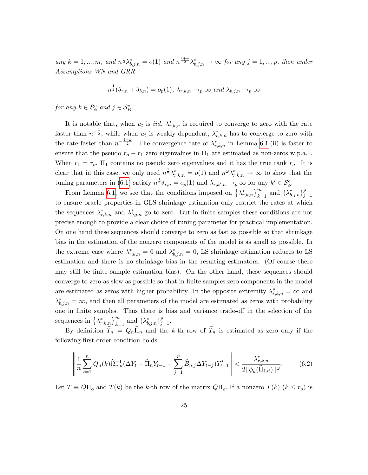any  $k = 1, ..., m$ , and  $n^{\frac{1}{2}} \lambda_{b,j,n}^* = o(1)$  and  $n^{\frac{1+\omega}{2}} \lambda_{b,j,n}^* \to \infty$  for any  $j = 1, ..., p$ , then under Assumptions WN and GRR

$$
n^{\frac{1}{2}}(\delta_{r,n} + \delta_{b,n}) = o_p(1), \ \lambda_{r,k,n} \to_p \infty \ \text{and} \ \lambda_{b,j,n} \to_p \infty
$$

for any  $k \in \mathcal{S}_{\phi}^c$  and  $j \in \mathcal{S}_{B}^c$ .

It is notable that, when  $u_t$  is *iid*,  $\lambda_{r,k,n}^*$  is required to converge to zero with the rate faster than  $n^{-\frac{1}{2}}$ , while when  $u_t$  is weakly dependent,  $\lambda_{r,k,n}^*$  has to converge to zero with the rate faster than  $n^{-\frac{1+\omega}{2}}$ . The convergence rate of  $\lambda^*_{r,k,n}$  in Lemma [6.1.](#page-24-0)(ii) is faster to ensure that the pseudo  $r_o - r_1$  zero eigenvalues in  $\Pi_1$  are estimated as non-zeros w.p.a.1. When  $r_1 = r_o$ ,  $\Pi_1$  contains no pseudo zero eigenvalues and it has the true rank  $r_o$ . It is clear that in this case, we only need  $n^{\frac{1}{2}} \lambda^*_{r,k,n} = o(1)$  and  $n^{\omega} \lambda^*_{r,k,n} \to \infty$  to show that the tuning parameters in [\(6.1\)](#page-23-0) satisfy  $n^{\frac{1}{2}}\delta_{r,n} = o_p(1)$  and  $\lambda_{r,k',n} \to_p \infty$  for any  $k' \in \mathcal{S}_{\phi}^c$ .

From Lemma [6.1,](#page-24-0) we see that the conditions imposed on  $\{\lambda_{r,k,n}^*\}_{k=1}^m$  and  $\{\lambda_{b,j,n}^*\}_{j=1}^p$  $j=1$ to ensure oracle properties in GLS shrinkage estimation only restrict the rates at which the sequences  $\lambda^*_{r,k,n}$  and  $\lambda^*_{b,j,n}$  go to zero. But in finite samples these conditions are not precise enough to provide a clear choice of tuning parameter for practical implementation. On one hand these sequences should converge to zero as fast as possible so that shrinkage bias in the estimation of the nonzero components of the model is as small as possible. In the extreme case where  $\lambda^*_{r,k,n} = 0$  and  $\lambda^*_{b,j,n} = 0$ , LS shrinkage estimation reduces to LS estimation and there is no shrinkage bias in the resulting estimators. (Of course there may still be finite sample estimation bias). On the other hand, these sequences should converge to zero as slow as possible so that in Önite samples zero components in the model are estimated as zeros with higher probability. In the opposite extremity  $\lambda^*_{r,k,n} = \infty$  and  $\lambda^*_{b,j,n} = \infty$ , and then all parameters of the model are estimated as zeros with probability one in finite samples. Thus there is bias and variance trade-off in the selection of the sequences in  $\{\lambda_{r,k,n}^*\}_{k=1}^m$  and  $\{\lambda_{b,j,n}^*\}_{j=1}^p$ .

By definition  $\hat{T}_n = Q_n \hat{\Pi}_n$  and the k-th row of  $\hat{T}_n$  is estimated as zero only if the following first order condition holds

<span id="page-25-0"></span>
$$
\left\| \frac{1}{n} \sum_{t=1}^{n} Q_n(k) \widehat{\Omega}_{u,n}^{-1} (\Delta Y_t - \widehat{\Pi}_n Y_{t-1} - \sum_{j=1}^{p} \widehat{B}_{n,j} \Delta Y_{t-j}) Y_{t-1}' \right\| < \frac{\lambda_{r,k,n}^*}{2 ||\phi_k(\widehat{\Pi}_{1st})||^{\omega}}.
$$
(6.2)

Let  $T \equiv Q\Pi_o$  and  $T(k)$  be the k-th row of the matrix  $Q\Pi_o$ . If a nonzero  $T(k)$   $(k \leq r_o)$  is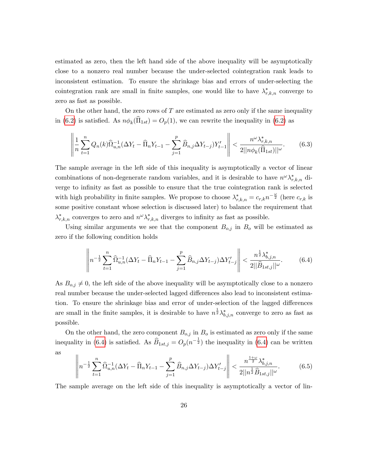estimated as zero, then the left hand side of the above inequality will be asymptotically close to a nonzero real number because the under-selected cointegration rank leads to inconsistent estimation. To ensure the shrinkage bias and errors of under-selecting the cointegration rank are small in finite samples, one would like to have  $\lambda^*_{r,k,n}$  converge to zero as fast as possible.

On the other hand, the zero rows of  $T$  are estimated as zero only if the same inequality in [\(6.2\)](#page-25-0) is satisfied. As  $n\phi_k(\Pi_{1st}) = O_p(1)$ , we can rewrite the inequality in (6.2) as

<span id="page-26-1"></span>
$$
\left\| \frac{1}{n} \sum_{t=1}^{n} Q_n(k) \widehat{\Omega}_{u,n}^{-1} (\Delta Y_t - \widehat{\Pi}_n Y_{t-1} - \sum_{j=1}^{p} \widehat{B}_{n,j} \Delta Y_{t-j}) Y_{t-1}' \right\| < \frac{n^{\omega} \lambda_{r,k,n}^*}{2 ||n \phi_k(\widehat{\Pi}_{1st})||^{\omega}}.
$$
(6.3)

The sample average in the left side of this inequality is asymptotically a vector of linear combinations of non-degenerate random variables, and it is desirable to have  $n^{\omega}\lambda_{r,k,n}^{*}$  diverge to infinity as fast as possible to ensure that the true cointegration rank is selected with high probability in finite samples. We propose to choose  $\lambda^*_{r,k,n} = c_{r,k} n^{-\frac{\omega}{2}}$  (here  $c_{r,k}$  is some positive constant whose selection is discussed later) to balance the requirement that  $\lambda_{r,k,n}^*$  converges to zero and  $n^{\omega}\lambda_{r,k,n}^*$  diverges to infinity as fast as possible.

Using similar arguments we see that the component  $B_{o,j}$  in  $B_o$  will be estimated as zero if the following condition holds

<span id="page-26-0"></span>
$$
\left\| n^{-\frac{1}{2}} \sum_{t=1}^{n} \widehat{\Omega}_{u,n}^{-1} (\Delta Y_t - \widehat{\Pi}_n Y_{t-1} - \sum_{j=1}^{p} \widehat{B}_{n,j} \Delta Y_{t-j}) \Delta Y'_{t-j} \right\| < \frac{n^{\frac{1}{2}} \lambda_{b,j,n}^*}{2 ||\widehat{B}_{1st,j}||^{\omega}}.
$$
 (6.4)

As  $B_{o,j} \neq 0$ , the left side of the above inequality will be asymptotically close to a nonzero real number because the under-selected lagged differences also lead to inconsistent estimation. To ensure the shrinkage bias and error of under-selection of the lagged differences are small in the finite samples, it is desirable to have  $n^{\frac{1}{2}}\lambda_{b,j,n}^{*}$  converge to zero as fast as possible.

On the other hand, the zero component  $B_{o,j}$  in  $B_o$  is estimated as zero only if the same inequality in [\(6.4\)](#page-26-0) is satisfied. As  $\widehat{B}_{1st,j} = O_p(n^{-\frac{1}{2}})$  the inequality in (6.4) can be written as

<span id="page-26-2"></span>
$$
\left\| n^{-\frac{1}{2}} \sum_{t=1}^{n} \widehat{\Omega}_{u,n}^{-1} (\Delta Y_t - \widehat{\Pi}_n Y_{t-1} - \sum_{j=1}^{p} \widehat{B}_{n,j} \Delta Y_{t-j}) \Delta Y'_{t-j} \right\| < \frac{n^{\frac{1+\omega}{2}} \lambda_{b,j,n}^*}{2||n^{\frac{1}{2}} \widehat{B}_{1st,j}||^{\omega}}.
$$
(6.5)

The sample average on the left side of this inequality is asymptotically a vector of lin-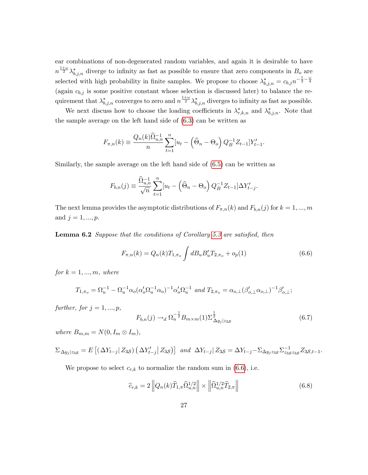ear combinations of non-degenerated random variables, and again it is desirable to have  $n^{\frac{1+\omega}{2}}\lambda_{b,j,n}^{*}$  diverge to infinity as fast as possible to ensure that zero components in  $B_{o}$  are selected with high probability in finite samples. We propose to choose  $\lambda_{b,j,n}^* = c_{b,j} n^{-\frac{1}{2} - \frac{\omega}{4}}$ (again  $c_{b,j}$  is some positive constant whose selection is discussed later) to balance the requirement that  $\lambda^*_{b,j,n}$  converges to zero and  $n^{\frac{1+\omega}{2}}\lambda^*_{b,j,n}$  diverges to infinity as fast as possible.

We next discuss how to choose the loading coefficients in  $\lambda^*_{r,k,n}$  and  $\lambda^*_{b,j,n}$ . Note that the sample average on the left hand side of [\(6.3\)](#page-26-1) can be written as

<span id="page-27-0"></span>
$$
F_{\pi,n}(k) \equiv \frac{Q_n(k)\hat{\Omega}_{u,n}^{-1}}{n} \sum_{t=1}^n [u_t - (\hat{\Theta}_n - \Theta_o) Q_B^{-1} Z_{t-1}] Y_{t-1}'.
$$

Similarly, the sample average on the left hand side of [\(6.5\)](#page-26-2) can be written as

$$
F_{b,n}(j) \equiv \frac{\widehat{\Omega}_{u,n}^{-1}}{\sqrt{n}} \sum_{t=1}^{n} [u_t - (\widehat{\Theta}_n - \Theta_o) Q_B^{-1} Z_{t-1}] \Delta Y'_{t-j}.
$$

The next lemma provides the asymptotic distributions of  $F_{\pi,n}(k)$  and  $F_{b,n}(j)$  for  $k = 1, ..., m$ and  $j = 1, ..., p$ .

**Lemma 6.2** Suppose that the conditions of Corollary [5.3](#page-21-3) are satisfied, then

$$
F_{\pi,n}(k) = Q_n(k) T_{1,\pi_o} \int dB_u B_u' T_{2,\pi_o} + o_p(1)
$$
\n(6.6)

for  $k = 1, ..., m$ , where

$$
T_{1,\pi_o} = \Omega_u^{-1} - \Omega_u^{-1} \alpha_o (\alpha_o' \Omega_u^{-1} \alpha_o)^{-1} \alpha_o' \Omega_u^{-1} \text{ and } T_{2,\pi_o} = \alpha_{o,\perp} (\beta_{o,\perp}' \alpha_{o,\perp})^{-1} \beta_{o,\perp}';
$$

further, for  $j = 1, ..., p$ ,

<span id="page-27-1"></span>
$$
F_{b,n}(j) \rightarrow_d \Omega_u^{-\frac{1}{2}} B_{m \times m}(1) \Sigma_{\Delta y_j|z_{3S}}^{\frac{1}{2}} \tag{6.7}
$$

where  $B_{m,m} = N(0, I_m \otimes I_m),$ 

$$
\Sigma_{\Delta y_j|z_{3S}} = E\left[ \left( \Delta Y_{t-j} | Z_{3S} \right) \left( \Delta Y'_{t-j} | Z_{3S} \right) \right] \text{ and } \Delta Y_{t-j} | Z_{3S} = \Delta Y_{t-j} - \Sigma_{\Delta y_j z_{3S}} \Sigma_{z_{3S} z_{3S}}^{-1} Z_{3S,t-1}.
$$

We propose to select  $c_{r,k}$  to normalize the random sum in [\(6.6\)](#page-27-0), i.e.

<span id="page-27-2"></span>
$$
\widehat{c}_{r,k} = 2 \left\| Q_n(k) \widehat{T}_{1,\pi} \widehat{\Omega}_{u,n}^{1/2} \right\| \times \left\| \widehat{\Omega}_{u,n}^{1/2} \widehat{T}_{2,\pi} \right\| \tag{6.8}
$$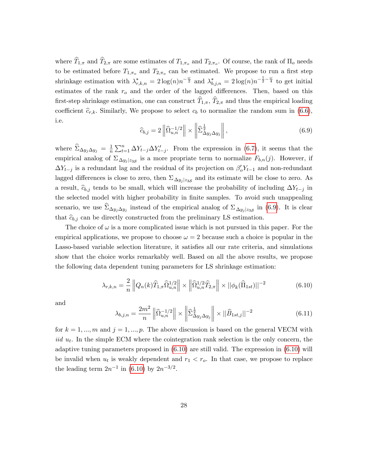where  $T_{1,\pi}$  and  $T_{2,\pi}$  are some estimates of  $T_{1,\pi_o}$  and  $T_{2,\pi_o}$ . Of course, the rank of  $\Pi_o$  needs to be estimated before  $T_{1,\pi_o}$  and  $T_{2,\pi_o}$  can be estimated. We propose to run a first step shrinkage estimation with  $\lambda^*_{r,k,n} = 2\log(n)n^{-\frac{\omega}{2}}$  and  $\lambda^*_{b,j,n} = 2\log(n)n^{-\frac{1}{2}-\frac{\omega}{4}}$  to get initial estimates of the rank  $r<sub>o</sub>$  and the order of the lagged differences. Then, based on this first-step shrinkage estimation, one can construct  $\widehat{T}_{1,\pi}$ ,  $\widehat{T}_{2,\pi}$  and thus the empirical loading coefficient  $\hat{c}_{r,k}$ . Similarly, We propose to select  $c_b$  to normalize the random sum in [\(6.6\)](#page-27-0), i.e.

<span id="page-28-2"></span>
$$
\widehat{c}_{b,j} = 2 \left\| \widehat{\Omega}_{u,n}^{-1/2} \right\| \times \left\| \widehat{\Sigma}_{\Delta y_j \Delta y_j}^{\frac{1}{2}} \right\|,
$$
\n(6.9)

where  $\widehat{\Sigma}_{\Delta y_j \Delta y_j} = \frac{1}{n}$  $\frac{1}{n} \sum_{t=1}^{n} \Delta Y_{t-j} \Delta Y'_{t-j}$ . From the expression in [\(6.7\)](#page-27-1), it seems that the empirical analog of  $\Sigma_{\Delta y_j|z_{3S}}$  is a more propriate term to normalize  $F_{b,n}(j)$ . However, if  $\Delta Y_{t-j}$  is a redundant lag and the residual of its projection on  $\beta'_o Y_{t-1}$  and non-redundant lagged differences is close to zero, then  $\Sigma_{\Delta y_j|z_{3S}}$  and its estimate will be close to zero. As a result,  $\hat{c}_{b,i}$  tends to be small, which will increase the probability of including  $\Delta Y_{t-i}$  in the selected model with higher probability in finite samples. To avoid such unappealing scenario, we use  $\Sigma_{\Delta y_j \Delta y_j}$  instead of the empirical analog of  $\Sigma_{\Delta y_j | z_{3S}}$  in [\(6.9\)](#page-28-2). It is clear that  $\hat{c}_{b,i}$  can be directly constructed from the preliminary LS estimation.

The choice of  $\omega$  is a more complicated issue which is not pursued in this paper. For the empirical applications, we propose to choose  $\omega = 2$  because such a choice is popular in the Lasso-based variable selection literature, it satisfies all our rate criteria, and simulations show that the choice works remarkably well. Based on all the above results, we propose the following data dependent tuning parameters for LS shrinkage estimation:

<span id="page-28-0"></span>
$$
\lambda_{r,k,n} = \frac{2}{n} \left\| Q_n(k) \widehat{T}_{1,\pi} \widehat{\Omega}_{u,n}^{1/2} \right\| \times \left\| \widehat{\Omega}_{u,n}^{1/2} \widehat{T}_{2,\pi} \right\| \times \left\| \phi_k(\widehat{\Pi}_{1st}) \right\|^{-2} \tag{6.10}
$$

and

<span id="page-28-1"></span>
$$
\lambda_{b,j,n} = \frac{2m^2}{n} \left\| \widehat{\Omega}_{u,n}^{-1/2} \right\| \times \left\| \widehat{\Sigma}_{\Delta y_j \Delta y_j}^{\frac{1}{2}} \right\| \times \left\| \widehat{B}_{1st,j} \right\|^{-2}
$$
(6.11)

for  $k = 1, ..., m$  and  $j = 1, ..., p$ . The above discussion is based on the general VECM with iid  $u_t$ . In the simple ECM where the cointegration rank selection is the only concern, the adaptive tuning parameters proposed in  $(6.10)$  are still valid. The expression in  $(6.10)$  will be invalid when  $u_t$  is weakly dependent and  $r_1 < r_o$ . In that case, we propose to replace the leading term  $2n^{-1}$  in [\(6.10\)](#page-28-0) by  $2n^{-3/2}$ .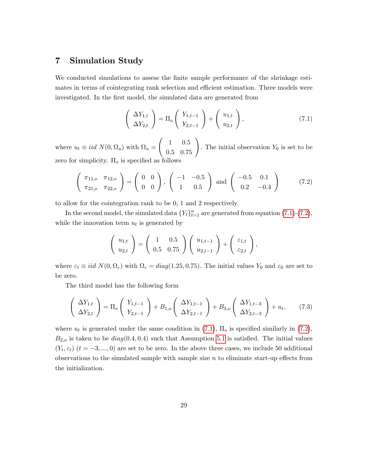### 7 Simulation Study

We conducted simulations to assess the finite sample performance of the shrinkage estimates in terms of cointegrating rank selection and efficient estimation. Three models were investigated. In the first model, the simulated data are generated from

<span id="page-29-0"></span>
$$
\left(\begin{array}{c}\Delta Y_{1,t} \\ \Delta Y_{2,t}\end{array}\right) = \Pi_o \left(\begin{array}{c}Y_{1,t-1} \\ Y_{2,t-1}\end{array}\right) + \left(\begin{array}{c}u_{1,t} \\ u_{2,t}\end{array}\right),\tag{7.1}
$$

where  $u_t \equiv iid \ N(0,\Omega_u)$  with  $\Omega_u =$  $\begin{pmatrix} 1 & 0.5 \\ 0.5 & 0.75 \end{pmatrix}$ . The initial observation  $Y_0$  is set to be zero for simplicity.  $\Pi_o$  is specified as follows

<span id="page-29-1"></span>
$$
\left(\begin{array}{cc} \pi_{11,o} & \pi_{12,o} \\ \pi_{21,o} & \pi_{22,o} \end{array}\right) = \left(\begin{array}{cc} 0 & 0 \\ 0 & 0 \end{array}\right), \left(\begin{array}{cc} -1 & -0.5 \\ 1 & 0.5 \end{array}\right) \text{ and } \left(\begin{array}{cc} -0.5 & 0.1 \\ 0.2 & -0.4 \end{array}\right) \tag{7.2}
$$

to allow for the cointegration rank to be 0, 1 and 2 respectively.

In the second model, the simulated data  ${Y_t}_{t=1}^n$  are generated from equation [\(7.1\)](#page-29-0)-[\(7.2\)](#page-29-1), while the innovation term  $u_t$  is generated by

$$
\left(\begin{array}{c} u_{1,t} \\ u_{2,t} \end{array}\right) = \left(\begin{array}{cc} 1 & 0.5 \\ 0.5 & 0.75 \end{array}\right) \left(\begin{array}{c} u_{1,t-1} \\ u_{2,t-1} \end{array}\right) + \left(\begin{array}{c} \varepsilon_{1,t} \\ \varepsilon_{2,t} \end{array}\right),
$$

where  $\varepsilon_t \equiv iid \ N(0, \Omega_\varepsilon)$  with  $\Omega_\varepsilon = diag(1.25, 0.75)$ . The initial values  $Y_0$  and  $\varepsilon_0$  are set to be zero.

The third model has the following form

<span id="page-29-2"></span>
$$
\left(\begin{array}{c} \Delta Y_{1,t} \\ \Delta Y_{2,t} \end{array}\right) = \Pi_o \left(\begin{array}{c} Y_{1,t-1} \\ Y_{2,t-1} \end{array}\right) + B_{1,o} \left(\begin{array}{c} \Delta Y_{1,t-1} \\ \Delta Y_{2,t-1} \end{array}\right) + B_{3,o} \left(\begin{array}{c} \Delta Y_{1,t-3} \\ \Delta Y_{2,t-3} \end{array}\right) + u_t, \tag{7.3}
$$

where  $u_t$  is generated under the same condition in [\(7.1\)](#page-29-0),  $\Pi_o$  is specified similarly in [\(7.2\)](#page-29-1),  $B_{2,o}$  is taken to be  $diag(0.4, 0.4)$  such that Assumption [5.1](#page-18-1) is satisfied. The initial values  $(Y_t, \varepsilon_t)$   $(t = -3, ..., 0)$  are set to be zero. In the above three cases, we include 50 additional observations to the simulated sample with sample size  $n$  to eliminate start-up effects from the initialization.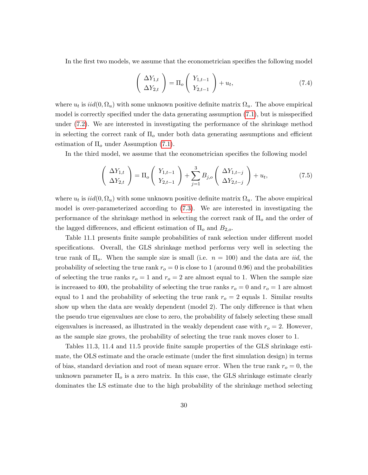In the first two models, we assume that the econometrician specifies the following model

$$
\left(\begin{array}{c}\Delta Y_{1,t} \\ \Delta Y_{2,t}\end{array}\right) = \Pi_o \left(\begin{array}{c}Y_{1,t-1} \\ Y_{2,t-1}\end{array}\right) + u_t,\tag{7.4}
$$

where  $u_t$  is  $iid(0, \Omega_u)$  with some unknown positive definite matrix  $\Omega_u$ . The above empirical model is correctly specified under the data generating assumption  $(7.1)$ , but is misspecified under [\(7.2\)](#page-29-1). We are interested in investigating the performance of the shrinkage method in selecting the correct rank of  $\Pi_o$  under both data generating assumptions and efficient estimation of  $\Pi_{o}$  under Assumption [\(7.1\)](#page-29-0).

In the third model, we assume that the econometrician specifies the following model

$$
\left(\begin{array}{c}\Delta Y_{1,t} \\ \Delta Y_{2,t}\end{array}\right) = \Pi_o \left(\begin{array}{c}Y_{1,t-1} \\ Y_{2,t-1}\end{array}\right) + \sum_{j=1}^3 B_{j,o} \left(\begin{array}{c}\Delta Y_{1,t-j} \\ \Delta Y_{2,t-j}\end{array}\right) + u_t,\tag{7.5}
$$

where  $u_t$  is  $iid(0, \Omega_u)$  with some unknown positive definite matrix  $\Omega_u$ . The above empirical model is over-parameterized according to [\(7.3\)](#page-29-2). We are interested in investigating the performance of the shrinkage method in selecting the correct rank of  $\Pi_{o}$  and the order of the lagged differences, and efficient estimation of  $\Pi_o$  and  $B_{2,o}$ .

Table 11.1 presents finite sample probabilities of rank selection under different model specifications. Overall, the GLS shrinkage method performs very well in selecting the true rank of  $\Pi_o$ . When the sample size is small (i.e.  $n = 100$ ) and the data are *iid*, the probability of selecting the true rank  $r<sub>o</sub> = 0$  is close to 1 (around 0.96) and the probabilities of selecting the true ranks  $r_o = 1$  and  $r_o = 2$  are almost equal to 1. When the sample size is increased to 400, the probability of selecting the true ranks  $r_o = 0$  and  $r_o = 1$  are almost equal to 1 and the probability of selecting the true rank  $r<sub>o</sub> = 2$  equals 1. Similar results show up when the data are weakly dependent (model 2). The only difference is that when the pseudo true eigenvalues are close to zero, the probability of falsely selecting these small eigenvalues is increased, as illustrated in the weakly dependent case with  $r_o = 2$ . However, as the sample size grows, the probability of selecting the true rank moves closer to 1.

Tables 11.3, 11.4 and 11.5 provide finite sample properties of the GLS shrinkage estimate, the OLS estimate and the oracle estimate (under the first simulation design) in terms of bias, standard deviation and root of mean square error. When the true rank  $r_o = 0$ , the unknown parameter  $\Pi_{\rm o}$  is a zero matrix. In this case, the GLS shrinkage estimate clearly dominates the LS estimate due to the high probability of the shrinkage method selecting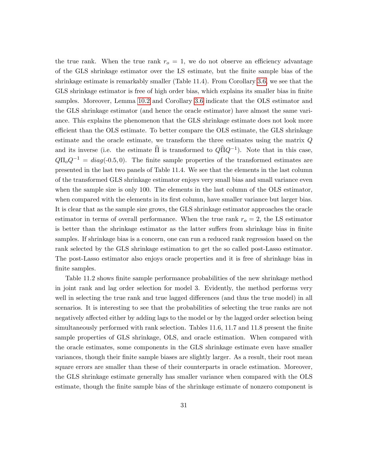the true rank. When the true rank  $r<sub>o</sub> = 1$ , we do not observe an efficiency advantage of the GLS shrinkage estimator over the LS estimate, but the Önite sample bias of the shrinkage estimate is remarkably smaller (Table 11.4). From Corollary [3.6,](#page-13-1) we see that the GLS shrinkage estimator is free of high order bias, which explains its smaller bias in finite samples. Moreover, Lemma [10.2](#page-36-0) and Corollary [3.6](#page-13-1) indicate that the OLS estimator and the GLS shrinkage estimator (and hence the oracle estimator) have almost the same variance. This explains the phenomenon that the GLS shrinkage estimate does not look more efficient than the OLS estimate. To better compare the OLS estimate, the GLS shrinkage estimate and the oracle estimate, we transform the three estimates using the matrix Q and its inverse (i.e. the estimate  $\hat{\Pi}$  is transformed to  $Q\hat{\Pi}Q^{-1}$ ). Note that in this case,  $Q\Pi_oQ^{-1} = diag(-0.5, 0)$ . The finite sample properties of the transformed estimates are presented in the last two panels of Table 11.4. We see that the elements in the last column of the transformed GLS shrinkage estimator enjoys very small bias and small variance even when the sample size is only 100. The elements in the last column of the OLS estimator, when compared with the elements in its first column, have smaller variance but larger bias. It is clear that as the sample size grows, the GLS shrinkage estimator approaches the oracle estimator in terms of overall performance. When the true rank  $r<sub>o</sub> = 2$ , the LS estimator is better than the shrinkage estimator as the latter suffers from shrinkage bias in finite samples. If shrinkage bias is a concern, one can run a reduced rank regression based on the rank selected by the GLS shrinkage estimation to get the so called post-Lasso estimator. The post-Lasso estimator also enjoys oracle properties and it is free of shrinkage bias in finite samples.

Table 11.2 shows finite sample performance probabilities of the new shrinkage method in joint rank and lag order selection for model 3. Evidently, the method performs very well in selecting the true rank and true lagged differences (and thus the true model) in all scenarios. It is interesting to see that the probabilities of selecting the true ranks are not negatively affected either by adding lags to the model or by the lagged order selection being simultaneously performed with rank selection. Tables 11.6, 11.7 and 11.8 present the finite sample properties of GLS shrinkage, OLS, and oracle estimation. When compared with the oracle estimates, some components in the GLS shrinkage estimate even have smaller variances, though their finite sample biases are slightly larger. As a result, their root mean square errors are smaller than these of their counterparts in oracle estimation. Moreover, the GLS shrinkage estimate generally has smaller variance when compared with the OLS estimate, though the finite sample bias of the shrinkage estimate of nonzero component is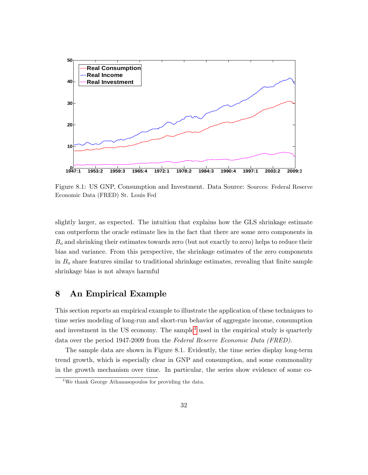

Figure 8.1: US GNP, Consumption and Investment. Data Source: Sources: Federal Reserve Economic Data (FRED) St. Louis Fed

slightly larger, as expected. The intuition that explains how the GLS shrinkage estimate can outperform the oracle estimate lies in the fact that there are some zero components in  $B<sub>o</sub>$  and shrinking their estimates towards zero (but not exactly to zero) helps to reduce their bias and variance. From this perspective, the shrinkage estimates of the zero components in  $B<sub>o</sub>$  share features similar to traditional shrinkage estimates, revealing that finite sample shrinkage bias is not always harmful

### 8 An Empirical Example

This section reports an empirical example to illustrate the application of these techniques to time series modeling of long-run and short-run behavior of aggregate income, consumption and investment in the US economy. The sample<sup>[4](#page-32-0)</sup> used in the empirical study is quarterly data over the period 1947-2009 from the Federal Reserve Economic Data (FRED).

The sample data are shown in Figure 8.1. Evidently, the time series display long-term trend growth, which is especially clear in GNP and consumption, and some commonality in the growth mechanism over time. In particular, the series show evidence of some co-

<span id="page-32-0"></span><sup>4</sup>We thank George Athanasopoulos for providing the data.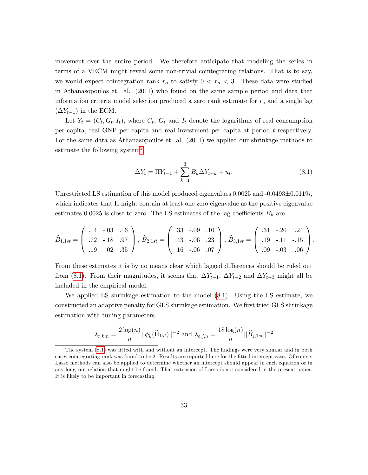movement over the entire period. We therefore anticipate that modeling the series in terms of a VECM might reveal some non-trivial cointegrating relations. That is to say, we would expect cointegration rank  $r_o$  to satisfy  $0 < r_o < 3$ . These data were studied in Athanasopoulos et. al. (2011) who found on the same sample period and data that information criteria model selection produced a zero rank estimate for  $r<sub>o</sub>$  and a single lag  $(\Delta Y_{t-1})$  in the ECM.

Let  $Y_t = (C_t, G_t, I_t)$ , where  $C_t$ ,  $G_t$  and  $I_t$  denote the logarithms of real consumption per capita, real GNP per capita and real investment per capita at period t respectively. For the same data as Athanasopoulos et. al. (2011) we applied our shrinkage methods to estimate the following system<sup>[5](#page-33-0)</sup>

<span id="page-33-1"></span>
$$
\Delta Y_t = \Pi Y_{t-1} + \sum_{k=1}^{3} B_k \Delta Y_{t-k} + u_t.
$$
\n(8.1)

Unrestricted LS estimation of this model produced eigenvalues  $0.0025$  and  $-0.0493\pm0.0119i$ , which indicates that  $\Pi$  might contain at least one zero eigenvalue as the positive eigenvalue estimates 0.0025 is close to zero. The LS estimates of the lag coefficients  $B_k$  are

$$
\widehat{B}_{1,1st} = \begin{pmatrix} .14 & -.03 & .16 \\ .72 & -.18 & .97 \\ .19 & .02 & .35 \end{pmatrix}, \ \widehat{B}_{2,1st} = \begin{pmatrix} .33 & -.09 & .10 \\ .43 & -.06 & .23 \\ .16 & -.06 & .07 \end{pmatrix}, \ \widehat{B}_{3,1st} = \begin{pmatrix} .31 & -.20 & .24 \\ .19 & -.11 & -.15 \\ .09 & -.03 & .06 \end{pmatrix}.
$$

From these estimates it is by no means clear which lagged differences should be ruled out from [\(8.1\)](#page-33-1). From their magnitudes, it seems that  $\Delta Y_{t-1}$ ,  $\Delta Y_{t-2}$  and  $\Delta Y_{t-3}$  might all be included in the empirical model.

We applied LS shrinkage estimation to the model [\(8.1\)](#page-33-1). Using the LS estimate, we constructed an adaptive penalty for GLS shrinkage estimation. We first tried GLS shrinkage estimation with tuning parameters

$$
\lambda_{r,k,n} = \frac{2\log(n)}{n} ||\phi_k(\widehat{\Pi}_{1st})||^{-2} \text{ and } \lambda_{b,j,n} = \frac{18\log(n)}{n} ||\widehat{B}_{j,1st}||^{-2}
$$

<span id="page-33-0"></span> $5$ The system  $(8.1)$  was fitted with and without an intercept. The findings were very similar and in both cases cointegrating rank was found to be 2. Results are reported here for the Ötted intercept case. Of course, Lasso methods can also be applied to determine whether an intercept should appear in each equation or in any long-run relation that might be found. That extension of Lasso is not considered in the present paper. It is likely to be important in forecasting.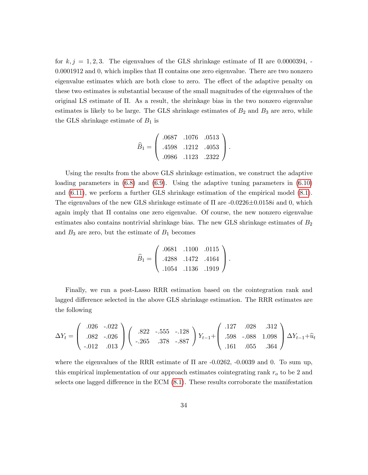for  $k, j = 1, 2, 3$ . The eigenvalues of the GLS shrinkage estimate of  $\Pi$  are 0.0000394, - $0.0001912$  and 0, which implies that  $\Pi$  contains one zero eigenvalue. There are two nonzero eigenvalue estimates which are both close to zero. The effect of the adaptive penalty on these two estimates is substantial because of the small magnitudes of the eigenvalues of the original LS estimate of  $\Pi$ . As a result, the shrinkage bias in the two nonzero eigenvalue estimates is likely to be large. The GLS shrinkage estimates of  $B_2$  and  $B_3$  are zero, while the GLS shrinkage estimate of  $B_1$  is

$$
\widehat{B}_1 = \left(\begin{array}{ccc} .0687 & .1076 & .0513 \\ .4598 & .1212 & .4053 \\ .0986 & .1123 & .2322 \end{array}\right).
$$

Using the results from the above GLS shrinkage estimation, we construct the adaptive loading parameters in  $(6.8)$  and  $(6.9)$ . Using the adaptive tuning parameters in  $(6.10)$ and [\(6.11\)](#page-28-1), we perform a further GLS shrinkage estimation of the empirical model [\(8.1\)](#page-33-1). The eigenvalues of the new GLS shrinkage estimate of  $\Pi$  are  $-0.0226\pm0.0158i$  and 0, which again imply that  $\Pi$  contains one zero eigenvalue. Of course, the new nonzero eigenvalue estimates also contains nontrivial shrinkage bias. The new GLS shrinkage estimates of  $B_2$ and  $B_3$  are zero, but the estimate of  $B_1$  becomes

$$
\widehat{B}_1 = \left(\begin{array}{ccc} .0681 & .1100 & .0115 \\ .4288 & .1472 & .4164 \\ .1054 & .1136 & .1919 \end{array}\right).
$$

Finally, we run a post-Lasso RRR estimation based on the cointegration rank and lagged difference selected in the above GLS shrinkage estimation. The RRR estimates are the following

$$
\Delta Y_t = \begin{pmatrix} .026 & -.022 \\ .082 & -.026 \\ -.012 & .013 \end{pmatrix} \begin{pmatrix} .822 & -.555 & -.128 \\ -.265 & .378 & -.887 \end{pmatrix} Y_{t-1} + \begin{pmatrix} .127 & .028 & .312 \\ .598 & -.088 & 1.098 \\ .161 & .055 & .364 \end{pmatrix} \Delta Y_{t-1} + \widehat{u}_t
$$

where the eigenvalues of the RRR estimate of  $\Pi$  are -0.0262, -0.0039 and 0. To sum up, this empirical implementation of our approach estimates cointegrating rank  $r<sub>o</sub>$  to be 2 and selects one lagged difference in the ECM  $(8.1)$ . These results corroborate the manifestation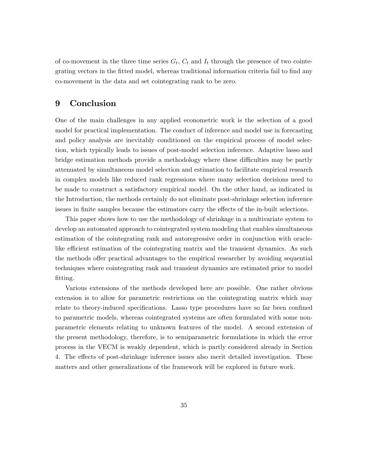of co-movement in the three time series  $G_t$ ,  $C_t$  and  $I_t$  through the presence of two cointegrating vectors in the fitted model, whereas traditional information criteria fail to find any co-movement in the data and set cointegrating rank to be zero.

### 9 Conclusion

One of the main challenges in any applied econometric work is the selection of a good model for practical implementation. The conduct of inference and model use in forecasting and policy analysis are inevitably conditioned on the empirical process of model selection, which typically leads to issues of post-model selection inference. Adaptive lasso and bridge estimation methods provide a methodology where these difficulties may be partly attenuated by simultaneous model selection and estimation to facilitate empirical research in complex models like reduced rank regressions where many selection decisions need to be made to construct a satisfactory empirical model. On the other hand, as indicated in the Introduction, the methods certainly do not eliminate post-shrinkage selection inference issues in finite samples because the estimators carry the effects of the in-built selections.

This paper shows how to use the methodology of shrinkage in a multivariate system to develop an automated approach to cointegrated system modeling that enables simultaneous estimation of the cointegrating rank and autoregressive order in conjunction with oraclelike efficient estimation of the cointegrating matrix and the transient dynamics. As such the methods offer practical advantages to the empirical researcher by avoiding sequential techniques where cointegrating rank and transient dynamics are estimated prior to model fitting.

Various extensions of the methods developed here are possible. One rather obvious extension is to allow for parametric restrictions on the cointegrating matrix which may relate to theory-induced specifications. Lasso type procedures have so far been confined to parametric models, whereas cointegrated systems are often formulated with some nonparametric elements relating to unknown features of the model. A second extension of the present methodology, therefore, is to semiparametric formulations in which the error process in the VECM is weakly dependent, which is partly considered already in Section 4. The effects of post-shrinkage inference issues also merit detailed investigation. These matters and other generalizations of the framework will be explored in future work.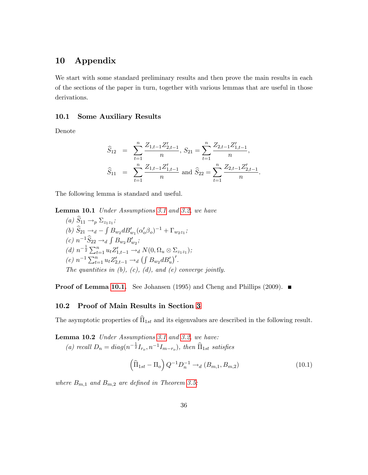# 10 Appendix

We start with some standard preliminary results and then prove the main results in each of the sections of the paper in turn, together with various lemmas that are useful in those derivations.

### 10.1 Some Auxiliary Results

Denote

$$
\widehat{S}_{12} = \sum_{t=1}^{n} \frac{Z_{1,t-1} Z_{2,t-1}'}{n}, S_{21} = \sum_{t=1}^{n} \frac{Z_{2,t-1} Z_{1,t-1}'}{n},
$$
  

$$
\widehat{S}_{11} = \sum_{t=1}^{n} \frac{Z_{1,t-1} Z_{1,t-1}'}{n} \text{ and } \widehat{S}_{22} = \sum_{t=1}^{n} \frac{Z_{2,t-1} Z_{2,t-1}'}{n}.
$$

<span id="page-36-0"></span>The following lemma is standard and useful.

Lemma 10.1 Under Assumptions [3.1](#page-7-0) and [3.2,](#page-8-0) we have

(a) 
$$
S_{11} \rightarrow_{p} \Sigma_{z_{1}z_{1}}
$$
;  
\n(b)  $\hat{S}_{21} \rightarrow_{d} - \int B_{w_{2}} d B'_{w_{1}} (\alpha'_{o} \beta_{o})^{-1} + \Gamma_{w_{2}z_{1}}$ ;  
\n(c)  $n^{-1} \hat{S}_{22} \rightarrow_{d} \int B_{w_{2}} B'_{w_{2}}$ ;  
\n(d)  $n^{-\frac{1}{2}} \sum_{t=1}^{n} u_{t} Z'_{1,t-1} \rightarrow_{d} N(0, \Omega_{u} \otimes \Sigma_{z_{1}z_{1}})$ ;  
\n(e)  $n^{-1} \sum_{t=1}^{n} u_{t} Z'_{2,t-1} \rightarrow_{d} (\int B_{w_{2}} d B'_{u})'$ .  
\nThe quantities in (b), (c), (d), and (e) converge jointly.

**Proof of Lemma [10.1.](#page-36-0)** See Johansen (1995) and Cheng and Phillips (2009).  $\blacksquare$ 

#### 10.2 Proof of Main Results in Section [3](#page-7-1)

<span id="page-36-1"></span>The asymptotic properties of  $\widehat{\Pi}_{1st}$  and its eigenvalues are described in the following result.

Lemma 10.2 Under Assumptions [3.1](#page-7-0) and [3.2,](#page-8-0) we have: (a) recall  $D_n = diag(n^{-\frac{1}{2}}I_{r_o}, n^{-1}I_{m-r_o}),$  then  $\widehat{\Pi}_{1st}$  satisfies

$$
\left(\widehat{\Pi}_{1st} - \Pi_o\right) Q^{-1} D_n^{-1} \to_d (B_{m,1}, B_{m,2})
$$
\n(10.1)

where  $B_{m,1}$  and  $B_{m,2}$  are defined in Theorem [3.5;](#page-11-0)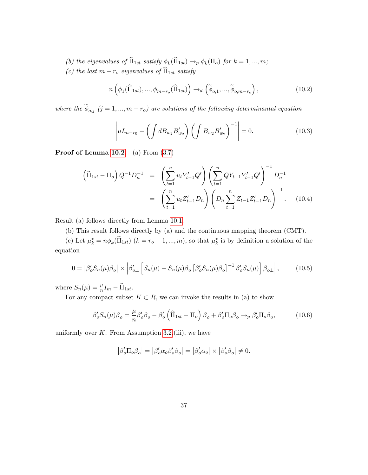- (b) the eigenvalues of  $\Pi_{1st}$  satisfy  $\phi_k(\Pi_{1st}) \to_p \phi_k(\Pi_o)$  for  $k = 1, ..., m$ ;
- (c) the last  $m r_o$  eigenvalues of  $\widehat{\Pi}_{1st}$  satisfy

$$
n\left(\phi_1(\widehat{\Pi}_{1st}),...,\phi_{m-r_o}(\widehat{\Pi}_{1st})\right) \to_d \left(\widetilde{\phi}_{o,1},...,\widetilde{\phi}_{o,m-r_o}\right),\tag{10.2}
$$

where the  $\phi_{o,j}$  (j = 1, ...,  $m-r_o$ ) are solutions of the following determinantal equation

$$
\left| \mu I_{m-r_0} - \left( \int d B_{w_2} B'_{w_2} \right) \left( \int B_{w_2} B'_{w_2} \right)^{-1} \right| = 0. \tag{10.3}
$$

**Proof of Lemma [10.2.](#page-36-1)** (a) From  $(3.7)$ 

$$
\left(\widehat{\Pi}_{1st} - \Pi_o\right) Q^{-1} D_n^{-1} = \left(\sum_{t=1}^n u_t Y_{t-1}' Q'\right) \left(\sum_{t=1}^n Q Y_{t-1} Y_{t-1}' Q'\right)^{-1} D_n^{-1}
$$

$$
= \left(\sum_{t=1}^n u_t Z_{t-1}' D_n\right) \left(D_n \sum_{t=1}^n Z_{t-1} Z_{t-1}' D_n\right)^{-1} . \quad (10.4)
$$

Result (a) follows directly from Lemma [10.1.](#page-36-0)

(b) This result follows directly by (a) and the continuous mapping theorem (CMT).

(c) Let  $\mu_k^* = n\phi_k(\Pi_{1st})$   $(k = r_o + 1, ..., m)$ , so that  $\mu_k^*$  is by definition a solution of the equation

$$
0 = \left| \beta_o' S_n(\mu) \beta_o \right| \times \left| \beta_{o\perp}' \left[ S_n(\mu) - S_n(\mu) \beta_o \left[ \beta_o' S_n(\mu) \beta_o \right]^{-1} \beta_o' S_n(\mu) \right] \beta_{o\perp} \right|, \tag{10.5}
$$

where  $S_n(\mu) = \frac{\mu}{n} I_m - \widehat{\Pi}_{1st}$ .

For any compact subset  $K \subset R$ , we can invoke the results in (a) to show

<span id="page-37-0"></span>
$$
\beta_o' S_n(\mu) \beta_o = \frac{\mu}{n} \beta_o' \beta_o - \beta_o' \left( \widehat{\Pi}_{1st} - \Pi_o \right) \beta_o + \beta_o' \Pi_o \beta_o \rightarrow_p \beta_o' \Pi_o \beta_o, \qquad (10.6)
$$

uniformly over  $K$ . From Assumption [3.2.](#page-8-0)(iii), we have

$$
\left|\beta_o'\Pi_o\beta_o\right| = \left|\beta_o'\alpha_o\beta_o'\beta_o\right| = \left|\beta_o'\alpha_o\right| \times \left|\beta_o'\beta_o\right| \neq 0.
$$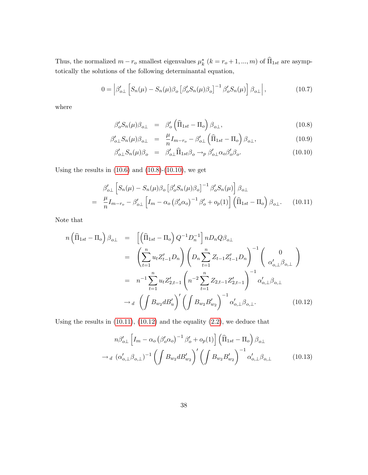Thus, the normalized  $m - r_o$  smallest eigenvalues  $\mu_k^*$   $(k = r_o + 1, ..., m)$  of  $\Pi_{1st}$  are asymptotically the solutions of the following determinantal equation,

<span id="page-38-3"></span>
$$
0 = \left| \beta'_{o\perp} \left[ S_n(\mu) - S_n(\mu) \beta_o \left[ \beta'_o S_n(\mu) \beta_o \right]^{-1} \beta'_o S_n(\mu) \right] \beta_{o\perp} \right|, \tag{10.7}
$$

where

$$
\beta_o' S_n(\mu) \beta_{o\perp} = \beta_o' \left( \widehat{\Pi}_{1st} - \Pi_o \right) \beta_{o\perp}, \qquad (10.8)
$$

<span id="page-38-0"></span>
$$
\beta'_{o\perp} S_n(\mu) \beta_{o\perp} = \frac{\mu}{n} I_{m-r_o} - \beta'_{o\perp} \left( \widehat{\Pi}_{1st} - \Pi_o \right) \beta_{o\perp}, \tag{10.9}
$$

$$
\beta'_{o\perp} S_n(\mu) \beta_o = \beta'_{o\perp} \widehat{\Pi}_{1st} \beta_o \rightarrow_p \beta'_{o\perp} \alpha_o \beta'_o \beta_o. \tag{10.10}
$$

Using the results in  $(10.6)$  and  $(10.8)-(10.10)$  $(10.8)-(10.10)$  $(10.8)-(10.10)$ , we get

<span id="page-38-1"></span>
$$
\beta'_{o\perp} \left[ S_n(\mu) - S_n(\mu) \beta_o \left[ \beta'_o S_n(\mu) \beta_o \right]^{-1} \beta'_o S_n(\mu) \right] \beta_{o\perp}
$$
  
= 
$$
\frac{\mu}{n} I_{m-r_o} - \beta'_{o\perp} \left[ I_m - \alpha_o \left( \beta'_o \alpha_o \right)^{-1} \beta'_o + o_p(1) \right] \left( \widehat{\Pi}_{1st} - \Pi_o \right) \beta_{o\perp}.
$$
 (10.11)

Note that

<span id="page-38-2"></span>
$$
n\left(\widehat{\Pi}_{1st} - \Pi_{o}\right)\beta_{o\perp} = \left[\left(\widehat{\Pi}_{1st} - \Pi_{o}\right)Q^{-1}D_{n}^{-1}\right]nD_{n}Q\beta_{o\perp} \n= \left(\sum_{t=1}^{n} u_{t}Z_{t-1}'D_{n}\right)\left(D_{n}\sum_{t=1}^{n} Z_{t-1}Z_{t-1}'D_{n}\right)^{-1}\left(\begin{array}{c} 0 \\ \alpha_{o,\perp}'\beta_{o,\perp}\end{array}\right) \n= n^{-1}\sum_{t=1}^{n} u_{t}Z_{2,t-1}'\left(n^{-2}\sum_{t=1}^{n} Z_{2,t-1}Z_{2,t-1}'\right)^{-1}\alpha_{o,\perp}'\beta_{o,\perp} \n\rightarrow d\left(\int B_{w_{2}}dB_{u}'\right)'\left(\int B_{w_{2}}B_{w_{2}}'\right)^{-1}\alpha_{o,\perp}'\beta_{o,\perp}.
$$
\n(10.12)

Using the results in  $(10.11)$ ,  $(10.12)$  and the equality  $(2.2)$ , we deduce that

<span id="page-38-4"></span>
$$
n\beta'_{o\perp} \left[ I_m - \alpha_o \left( \beta'_o \alpha_o \right)^{-1} \beta'_o + o_p(1) \right] \left( \widehat{\Pi}_{1st} - \Pi_o \right) \beta_{o\perp}
$$

$$
\rightarrow_d \left( \alpha'_{o,\perp} \beta_{o,\perp} \right)^{-1} \left( \int B_{w_2} d B'_{w_2} \right)' \left( \int B_{w_2} B'_{w_2} \right)^{-1} \alpha'_{o,\perp} \beta_{o,\perp} \tag{10.13}
$$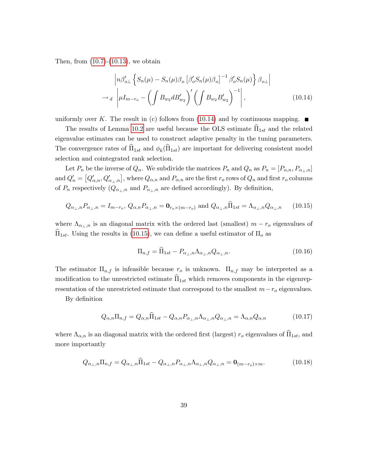Then, from  $(10.7)-(10.13)$  $(10.7)-(10.13)$  $(10.7)-(10.13)$ , we obtain

<span id="page-39-0"></span>
$$
\left| n\beta'_{o\perp} \left\{ S_n(\mu) - S_n(\mu)\beta_o \left[ \beta'_o S_n(\mu) \beta_o \right]^{-1} \beta'_o S_n(\mu) \right\} \beta_{o\perp} \right|
$$
  
\n
$$
\rightarrow_d \left| \mu I_{m-r_o} - \left( \int B_{w_2} d B'_{w_2} \right)' \left( \int B_{w_2} B'_{w_2} \right)^{-1} \right|, \tag{10.14}
$$

uniformly over K. The result in (c) follows from  $(10.14)$  and by continuous mapping.

The results of Lemma [10.2](#page-36-1) are useful because the OLS estimate  $\Pi_{1st}$  and the related eigenvalue estimates can be used to construct adaptive penalty in the tuning parameters. The convergence rates of  $\Pi_{1st}$  and  $\phi_k(\Pi_{1st})$  are important for delivering consistent model selection and cointegrated rank selection.

Let  $P_n$  be the inverse of  $Q_n$ . We subdivide the matrices  $P_n$  and  $Q_n$  as  $P_n = [P_{\alpha,n}, P_{\alpha} ]$ and  $Q'_n = [Q'_{\alpha,n}, Q'_{\alpha_{\perp},n}]$ , where  $Q_{\alpha,n}$  and  $P_{\alpha,n}$  are the first  $r_o$  rows of  $Q_n$  and first  $r_o$  columns of  $P_n$  respectively  $(Q_{\alpha_\perp,n}$  and  $P_{\alpha_\perp,n}$  are defined accordingly). By definition,

<span id="page-39-1"></span>
$$
Q_{\alpha_{\perp},n}P_{\alpha_{\perp},n} = I_{m-r_o}, \ Q_{\alpha,n}P_{\alpha_{\perp},n} = \mathbf{0}_{r_o \times (m-r_o)} \text{ and } Q_{\alpha_{\perp},n}\widehat{\Pi}_{1st} = \Lambda_{\alpha_{\perp},n}Q_{\alpha_{\perp},n} \qquad (10.15)
$$

where  $\Lambda_{\alpha_{\perp},n}$  is an diagonal matrix with the ordered last (smallest)  $m - r_o$  eigenvalues of  $\Pi_{1st}$ . Using the results in [\(10.15\)](#page-39-1), we can define a useful estimator of  $\Pi_o$  as

$$
\Pi_{n,f} = \widehat{\Pi}_{1st} - P_{\alpha_\perp,n} \Lambda_{\alpha_\perp,n} Q_{\alpha_\perp,n}.
$$
\n(10.16)

The estimator  $\Pi_{n,f}$  is infeasible because  $r_o$  is unknown.  $\Pi_{n,f}$  may be interpreted as a modification to the unrestricted estimate  $\hat{\Pi}_{1st}$  which removes components in the eigenrepresentation of the unrestricted estimate that correspond to the smallest  $m-r<sub>o</sub>$  eigenvalues.

By definition

<span id="page-39-2"></span>
$$
Q_{\alpha,n}\Pi_{n,f} = Q_{\alpha,n}\hat{\Pi}_{1st} - Q_{\alpha,n}P_{\alpha_{\perp},n}\Lambda_{\alpha_{\perp},n}Q_{\alpha_{\perp},n} = \Lambda_{\alpha,n}Q_{\alpha,n}
$$
(10.17)

where  $\Lambda_{\alpha,n}$  is an diagonal matrix with the ordered first (largest)  $r_o$  eigenvalues of  $\overline{\Pi}_{1st}$ , and more importantly

<span id="page-39-3"></span>
$$
Q_{\alpha_{\perp},n}\Pi_{n,f} = Q_{\alpha_{\perp},n}\Pi_{1st} - Q_{\alpha_{\perp},n}P_{\alpha_{\perp},n}\Lambda_{\alpha_{\perp},n}Q_{\alpha_{\perp},n} = \mathbf{0}_{(m-r_o)\times m}.
$$
 (10.18)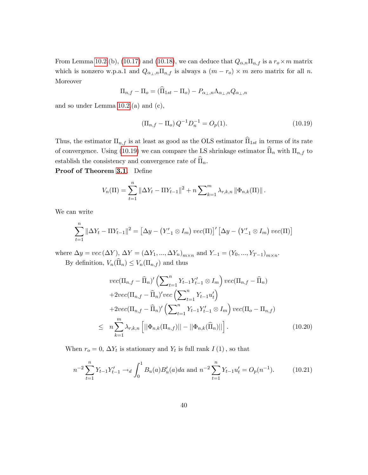From Lemma [10.2.](#page-36-1)(b), [\(10.17\)](#page-39-2) and [\(10.18\)](#page-39-3), we can deduce that  $Q_{\alpha,n}\Pi_{n,f}$  is a  $r_o \times m$  matrix which is nonzero w.p.a.1 and  $Q_{\alpha_{\perp},n}\Pi_{n,f}$  is always a  $(m - r_o) \times m$  zero matrix for all n. Moreover

$$
\Pi_{n,f} - \Pi_o = (\widehat{\Pi}_{1st} - \Pi_o) - P_{\alpha_\perp,n} \Lambda_{\alpha_\perp,n} Q_{\alpha_\perp,n}
$$

and so under Lemma  $10.2(a)$  and  $(c)$ ,

<span id="page-40-0"></span>
$$
\left(\Pi_{n,f} - \Pi_o\right)Q^{-1}D_n^{-1} = O_p(1). \tag{10.19}
$$

Thus, the estimator  $\Pi_{n,f}$  is at least as good as the OLS estimator  $\widehat{\Pi}_{1st}$  in terms of its rate of convergence. Using [\(10.19\)](#page-40-0) we can compare the LS shrinkage estimator  $\widehat{\Pi}_n$  with  $\Pi_{n,f}$  to establish the consistency and convergence rate of  $\overline{\Pi}_n$ .

Proof of Theorem [3.1.](#page-9-1) Define

$$
V_n(\Pi) = \sum_{t=1}^n \|\Delta Y_t - \Pi Y_{t-1}\|^2 + n \sum_{k=1}^m \lambda_{r,k,n} \|\Phi_{n,k}(\Pi)\|.
$$

We can write

$$
\sum_{t=1}^{n} \|\Delta Y_t - \Pi Y_{t-1}\|^2 = \left[\Delta y - (Y'_{-1} \otimes I_m) \, vec(\Pi)\right]' \left[\Delta y - (Y'_{-1} \otimes I_m) \, vec(\Pi)\right]
$$

where  $\Delta y = vec(\Delta Y)$ ,  $\Delta Y = (\Delta Y_1, ..., \Delta Y_n)_{m \times n}$  and  $Y_{-1} = (Y_0, ..., Y_{T-1})_{m \times n}$ . By definition,  $V_n(\widehat{\Pi}_n) \leq V_n(\Pi_{n,f})$  and thus

<span id="page-40-1"></span>
$$
vec(\Pi_{n,f} - \widehat{\Pi}_{n})' \left( \sum_{t=1}^{n} Y_{t-1} Y_{t-1}' \otimes I_{m} \right) vec(\Pi_{n,f} - \widehat{\Pi}_{n}) + 2vec(\Pi_{n,f} - \widehat{\Pi}_{n})' vec\left( \sum_{t=1}^{n} Y_{t-1} u_{t}' \right) + 2vec(\Pi_{n,f} - \widehat{\Pi}_{n})' \left( \sum_{t=1}^{n} Y_{t-1} Y_{t-1}' \otimes I_{m} \right) vec(\Pi_{o} - \Pi_{n,f})
$$
  

$$
\leq n \sum_{k=1}^{m} \lambda_{r,k,n} \left[ ||\Phi_{n,k}(\Pi_{n,f})|| - ||\Phi_{n,k}(\widehat{\Pi}_{n})|| \right]. \tag{10.20}
$$

When  $r_o = 0$ ,  $\Delta Y_t$  is stationary and  $Y_t$  is full rank  $I(1)$ , so that

<span id="page-40-2"></span>
$$
n^{-2} \sum_{t=1}^{n} Y_{t-1} Y_{t-1}' \to_d \int_0^1 B_u(a) B_u'(a) da \text{ and } n^{-2} \sum_{t=1}^{n} Y_{t-1} u_t' = O_p(n^{-1}). \tag{10.21}
$$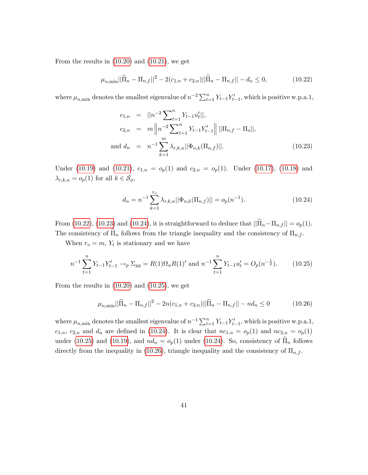From the results in  $(10.20)$  and  $(10.21)$ , we get

<span id="page-41-0"></span>
$$
\mu_{n,\min}||\widehat{\Pi}_n - \Pi_{n,f}||^2 - 2(c_{1,n} + c_{2,n})||\widehat{\Pi}_n - \Pi_{n,f}|| - d_n \le 0,
$$
\n(10.22)

where  $\mu_{n,\text{min}}$  denotes the smallest eigenvalue of  $n^{-2} \sum_{t=1}^{n} Y_{t-1} Y'_{t-1}$ , which is positive w.p.a.1,

<span id="page-41-1"></span>
$$
c_{1,n} = ||n^{-2} \sum_{t=1}^{n} Y_{t-1} u_t'||,
$$
  
\n
$$
c_{2,n} = m ||n^{-2} \sum_{t=1}^{n} Y_{t-1} Y_{t-1}' || ||\Pi_{n,f} - \Pi_o||,
$$
  
\nand 
$$
d_n = n^{-1} \sum_{k=1}^{m} \lambda_{r,k,n} ||\Phi_{n,k}(\Pi_{n,f})||.
$$
\n(10.23)

Under [\(10.19\)](#page-40-0) and [\(10.21\)](#page-40-2),  $c_{1,n} = o_p(1)$  and  $c_{2,n} = o_p(1)$ . Under [\(10.17\)](#page-39-2), [\(10.18\)](#page-39-3) and  $\lambda_{r,k,n} = o_p(1)$  for all  $k \in \mathcal{S}_{\phi}$ ,

<span id="page-41-2"></span>
$$
d_n = n^{-1} \sum_{k=1}^{r_o} \lambda_{r,k,n} ||\Phi_{n,k}(\Pi_{n,f})|| = o_p(n^{-1}).
$$
\n(10.24)

From [\(10.22\)](#page-41-0), [\(10.23\)](#page-41-1) and [\(10.24\)](#page-41-2), it is straightforward to deduce that  $\|\widehat{\Pi}_n - \Pi_{n,f}\| = o_p(1)$ . The consistency of  $\widehat{\Pi}_n$  follows from the triangle inequality and the consistency of  $\Pi_{n,f}$ .

When  $r_o = m$ ,  $Y_t$  is stationary and we have

<span id="page-41-3"></span>
$$
n^{-1} \sum_{t=1}^{n} Y_{t-1} Y_{t-1}' \to_p \Sigma_{yy} = R(1) \Omega_u R(1)' \text{ and } n^{-1} \sum_{t=1}^{n} Y_{t-1} u_t' = O_p(n^{-\frac{1}{2}}). \tag{10.25}
$$

From the results in [\(10.20\)](#page-40-1) and [\(10.25\)](#page-41-3), we get

<span id="page-41-4"></span>
$$
\mu_{n,\min}||\widehat{\Pi}_n - \Pi_{n,f}||^2 - 2n(c_{1,n} + c_{2,n})||\widehat{\Pi}_n - \Pi_{n,f}|| - nd_n \le 0 \tag{10.26}
$$

where  $\mu_{n,\text{min}}$  denotes the smallest eigenvalue of  $n^{-1} \sum_{t=1}^{n} Y_{t-1} Y'_{t-1}$ , which is positive w.p.a.1,  $c_{1,n}$ ,  $c_{2,n}$  and  $d_n$  are defined in [\(10.24\)](#page-41-2). It is clear that  $nc_{1,n} = o_p(1)$  and  $nc_{2,n} = o_p(1)$ under [\(10.25\)](#page-41-3) and [\(10.19\)](#page-40-0), and  $nd_n = o_p(1)$  under [\(10.24\)](#page-41-2). So, consistency of  $\widehat{\Pi}_n$  follows directly from the inequality in [\(10.26\)](#page-41-4), triangle inequality and the consistency of  $\Pi_{n,f}$ .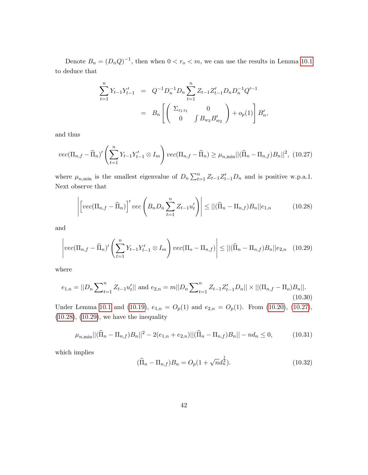Denote  $B_n = (D_n Q)^{-1}$ , then when  $0 < r_o < m$ , we can use the results in Lemma [10.1](#page-36-0) to deduce that

$$
\sum_{t=1}^{n} Y_{t-1} Y'_{t-1} = Q^{-1} D_n^{-1} D_n \sum_{t=1}^{n} Z_{t-1} Z'_{t-1} D_n D_n^{-1} Q'^{-1}
$$

$$
= B_n \left[ \begin{pmatrix} \Sigma_{z_1 z_1} & 0 \\ 0 & \int B_{w_2} B'_{w_2} \end{pmatrix} + o_p(1) \right] B'_n,
$$

and thus

<span id="page-42-0"></span>
$$
vec(\Pi_{n,f} - \widehat{\Pi}_n)' \left( \sum_{t=1}^n Y_{t-1} Y_{t-1}' \otimes I_m \right) vec(\Pi_{n,f} - \widehat{\Pi}_n) \ge \mu_{n,\min} ||(\widehat{\Pi}_n - \Pi_{n,f}) B_n||^2, (10.27)
$$

where  $\mu_{n,\min}$  is the smallest eigenvalue of  $D_n \sum_{t=1}^n Z_{t-1} Z'_{t-1} D_n$  and is positive w.p.a.1. Next observe that

<span id="page-42-1"></span>
$$
\left| \left[ vec(\Pi_{n,f} - \widehat{\Pi}_n) \right]' vec\left(B_n D_n \sum_{t=1}^n Z_{t-1} u'_t \right) \right| \le ||(\widehat{\Pi}_n - \Pi_{n,f}) B_n|| e_{1,n} \qquad (10.28)
$$

and

<span id="page-42-2"></span>
$$
\left|vec(\Pi_{n,f} - \widehat{\Pi}_n)'\left(\sum_{t=1}^n Y_{t-1}Y_{t-1}' \otimes I_m\right)vec(\Pi_o - \Pi_{n,f})\right| \le ||(\widehat{\Pi}_n - \Pi_{n,f})B_n||e_{2,n} \quad (10.29)
$$

where

<span id="page-42-4"></span>
$$
e_{1,n} = ||D_n \sum_{t=1}^n Z_{t-1} u'_t|| \text{ and } e_{2,n} = m||D_n \sum_{t=1}^n Z_{t-1} Z'_{t-1} D_n|| \times ||(\Pi_{n,f} - \Pi_o) B_n||. \tag{10.30}
$$

Under Lemma [10.1](#page-36-0) and [\(10.19\)](#page-40-0),  $e_{1,n} = O_p(1)$  and  $e_{2,n} = O_p(1)$ . From [\(10.20\)](#page-40-1), [\(10.27\)](#page-42-0), [\(10.28\)](#page-42-1), [\(10.29\)](#page-42-2), we have the inequality

$$
\mu_{n,\min} ||(\widehat{\Pi}_n - \Pi_{n,f}) B_n||^2 - 2(e_{1,n} + e_{2,n}) ||(\widehat{\Pi}_n - \Pi_{n,f}) B_n|| - nd_n \le 0,
$$
\n(10.31)

which implies

<span id="page-42-3"></span>
$$
(\widehat{\Pi}_n - \Pi_{n,f})B_n = O_p(1 + \sqrt{n}d_n^{\frac{1}{2}}).
$$
\n(10.32)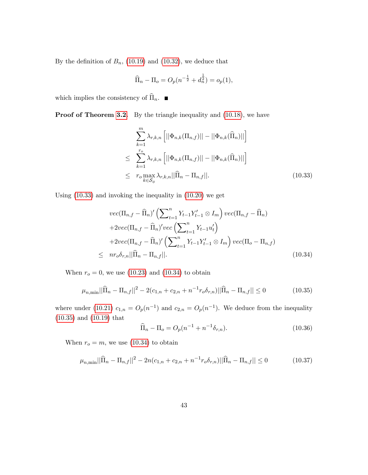By the definition of  $B_n$ , [\(10.19\)](#page-40-0) and [\(10.32\)](#page-42-3), we deduce that

$$
\widehat{\Pi}_n - \Pi_o = O_p(n^{-\frac{1}{2}} + d_n^{\frac{1}{2}}) = o_p(1),
$$

which implies the consistency of  $\widehat{\Pi}_n$ .

**Proof of Theorem [3.2.](#page-10-0)** By the triangle inequality and  $(10.18)$ , we have

<span id="page-43-0"></span>
$$
\sum_{k=1}^{m} \lambda_{r,k,n} \left[ ||\Phi_{n,k}(\Pi_{n,f})|| - ||\Phi_{n,k}(\widehat{\Pi}_n)|| \right]
$$
\n
$$
\leq \sum_{k=1}^{r_o} \lambda_{r,k,n} \left[ ||\Phi_{n,k}(\Pi_{n,f})|| - ||\Phi_{n,k}(\widehat{\Pi}_n)|| \right]
$$
\n
$$
\leq r_o \max_{k \in \mathcal{S}_\phi} \lambda_{r,k,n} ||\widehat{\Pi}_n - \Pi_{n,f}||. \tag{10.33}
$$

Using [\(10.33\)](#page-43-0) and invoking the inequality in [\(10.20\)](#page-40-1) we get

<span id="page-43-1"></span>
$$
vec(\Pi_{n,f} - \widehat{\Pi}_n)' \left( \sum_{t=1}^n Y_{t-1} Y_{t-1}' \otimes I_m \right) vec(\Pi_{n,f} - \widehat{\Pi}_n)
$$
  
+2vec(\Pi\_{n,f} - \widehat{\Pi}\_n)' vec \left( \sum\_{t=1}^n Y\_{t-1} u\_t' \right)  
+2vec(\Pi\_{n,f} - \widehat{\Pi}\_n)' \left( \sum\_{t=1}^n Y\_{t-1} Y\_{t-1}' \otimes I\_m \right) vec(\Pi\_o - \Pi\_{n,f})  

$$
\leq nr_o \delta_{r,n} ||\widehat{\Pi}_n - \Pi_{n,f}||.
$$
 (10.34)

When  $r_o = 0$ , we use [\(10.23\)](#page-41-1) and [\(10.34\)](#page-43-1) to obtain

<span id="page-43-2"></span>
$$
\mu_{n,\min} ||\widehat{\Pi}_n - \Pi_{n,f}||^2 - 2(c_{1,n} + c_{2,n} + n^{-1}r_o \delta_{r,n}) ||\widehat{\Pi}_n - \Pi_{n,f}|| \le 0 \tag{10.35}
$$

where under [\(10.21\)](#page-40-2)  $c_{1,n} = O_p(n^{-1})$  and  $c_{2,n} = O_p(n^{-1})$ . We deduce from the inequality [\(10.35\)](#page-43-2) and [\(10.19\)](#page-40-0) that

$$
\widehat{\Pi}_n - \Pi_o = O_p(n^{-1} + n^{-1} \delta_{r,n}).
$$
\n(10.36)

When  $r_o = m$ , we use [\(10.34\)](#page-43-1) to obtain

<span id="page-43-3"></span>
$$
\mu_{n,\min}||\widehat{\Pi}_n - \Pi_{n,f}||^2 - 2n(c_{1,n} + c_{2,n} + n^{-1}r_o \delta_{r,n})||\widehat{\Pi}_n - \Pi_{n,f}|| \le 0
$$
\n(10.37)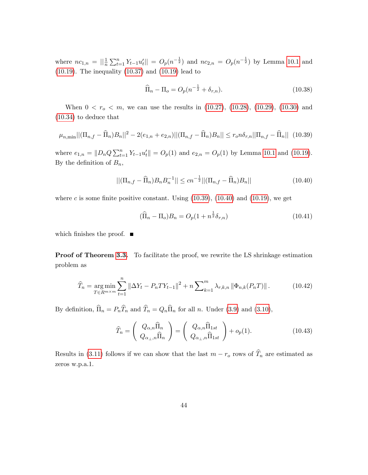where  $nc_{1,n} = ||\frac{1}{n}\sum_{t=1}^{n} Y_{t-1}u'_t|| = O_p(n^{-\frac{1}{2}})$  and  $nc_{2,n} = O_p(n^{-\frac{1}{2}})$  by Lemma [10.1](#page-36-0) and [\(10.19\)](#page-40-0). The inequality [\(10.37\)](#page-43-3) and [\(10.19\)](#page-40-0) lead to

$$
\widehat{\Pi}_n - \Pi_o = O_p(n^{-\frac{1}{2}} + \delta_{r,n}).
$$
\n(10.38)

When  $0 < r_o < m$ , we can use the results in [\(10.27\)](#page-42-0), [\(10.28\)](#page-42-1), [\(10.29\)](#page-42-2), [\(10.30\)](#page-42-4) and [\(10.34\)](#page-43-1) to deduce that

<span id="page-44-0"></span>
$$
\mu_{n,\min} ||(\Pi_{n,f} - \widehat{\Pi}_n)B_n||^2 - 2(e_{1,n} + e_{2,n}) ||(\Pi_{n,f} - \widehat{\Pi}_n)B_n|| \le r_0 n \delta_{r,n} ||\Pi_{n,f} - \widehat{\Pi}_n|| \tag{10.39}
$$

where  $e_{1,n} = ||D_n Q \sum_{t=1}^n Y_{t-1} u'_t|| = O_p(1)$  and  $e_{2,n} = O_p(1)$  by Lemma [10.1](#page-36-0) and [\(10.19\)](#page-40-0). By the definition of  $B_n$ ,

<span id="page-44-1"></span>
$$
||(\Pi_{n,f} - \widehat{\Pi}_n)B_n B_n^{-1}|| \le cn^{-\frac{1}{2}} ||(\Pi_{n,f} - \widehat{\Pi}_n)B_n||
$$
\n(10.40)

where c is some finite positive constant. Using  $(10.39)$ ,  $(10.40)$  and  $(10.19)$ , we get

$$
(\hat{\Pi}_n - \Pi_o)B_n = O_p(1 + n^{\frac{1}{2}}\delta_{r,n})
$$
\n(10.41)

which finishes the proof.  $\blacksquare$ 

**Proof of Theorem [3.3.](#page-11-1)** To facilitate the proof, we rewrite the LS shrinkage estimation problem as

<span id="page-44-2"></span>
$$
\widehat{T}_n = \underset{T \in R^{m \times m}}{\arg \min} \sum_{t=1}^n \|\Delta Y_t - P_n T Y_{t-1}\|^2 + n \sum_{k=1}^m \lambda_{r,k,n} \|\Phi_{n,k}(P_n T)\|.
$$
 (10.42)

By definition,  $\widehat{\Pi}_n = P_n\widehat{T}_n$  and  $\widehat{T}_n = Q_n\widehat{\Pi}_n$  for all n. Under [\(3.9\)](#page-10-1) and [\(3.10\)](#page-11-2),

$$
\widehat{T}_n = \left(\begin{array}{c} Q_{\alpha,n}\widehat{\Pi}_n \\ Q_{\alpha_\perp,n}\widehat{\Pi}_n \end{array}\right) = \left(\begin{array}{c} Q_{\alpha,n}\widehat{\Pi}_{1st} \\ Q_{\alpha_\perp,n}\widehat{\Pi}_{1st} \end{array}\right) + o_p(1). \tag{10.43}
$$

Results in [\(3.11\)](#page-11-3) follows if we can show that the last  $m - r_o$  rows of  $\widehat{T}_n$  are estimated as zeros w.p.a.1.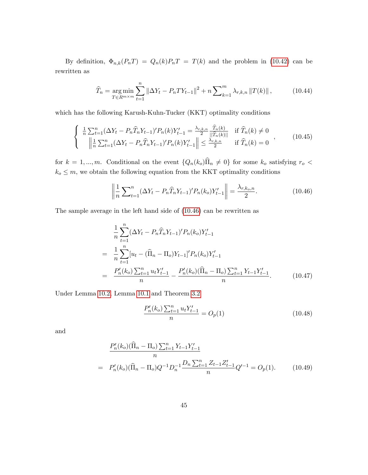By definition,  $\Phi_{n,k}(P_nT) = Q_n(k)P_nT = T(k)$  and the problem in [\(10.42\)](#page-44-2) can be rewritten as

$$
\widehat{T}_n = \underset{T \in R^{m \times m}}{\arg \min} \sum_{t=1}^n \|\Delta Y_t - P_n T Y_{t-1}\|^2 + n \sum_{k=1}^m \lambda_{r,k,n} \|T(k)\| \,, \tag{10.44}
$$

which has the following Karush-Kuhn-Tucker (KKT) optimality conditions

$$
\begin{cases}\n\frac{1}{n} \sum_{t=1}^{n} (\Delta Y_t - P_n \widehat{T}_n Y_{t-1})' P_n(k) Y'_{t-1} = \frac{\lambda_{r,k,n}}{2} \frac{\widehat{T}_n(k)}{||\widehat{T}_n(k)||} & \text{if } \widehat{T}_n(k) \neq 0 \\
\frac{1}{n} \sum_{t=1}^{n} (\Delta Y_t - P_n \widehat{T}_n Y_{t-1})' P_n(k) Y'_{t-1} \| \leq \frac{\lambda_{r,k,n}}{2} & \text{if } \widehat{T}_n(k) = 0\n\end{cases}
$$
\n(10.45)

for  $k = 1, ..., m$ . Conditional on the event  $\{Q_n(k_o)\hat{\Pi}_n \neq 0\}$  for some  $k_o$  satisfying  $r_o <$  $k_o \leq m$ , we obtain the following equation from the KKT optimality conditions

<span id="page-45-0"></span>
$$
\left\| \frac{1}{n} \sum_{t=1}^{n} (\Delta Y_t - P_n \widehat{T}_n Y_{t-1})' P_n(k_o) Y_{t-1}' \right\| = \frac{\lambda_{r,k_o,n}}{2}.
$$
 (10.46)

The sample average in the left hand side of [\(10.46\)](#page-45-0) can be rewritten as

<span id="page-45-1"></span>
$$
\frac{1}{n} \sum_{t=1}^{n} (\Delta Y_t - P_n \widehat{T}_n Y_{t-1})' P_n(k_o) Y'_{t-1}
$$
\n
$$
= \frac{1}{n} \sum_{t=1}^{n} [u_t - (\widehat{\Pi}_n - \Pi_o) Y_{t-1}]' P_n(k_o) Y'_{t-1}
$$
\n
$$
= \frac{P'_n(k_o) \sum_{t=1}^{n} u_t Y'_{t-1}}{n} - \frac{P'_n(k_o) (\widehat{\Pi}_n - \Pi_o) \sum_{t=1}^{n} Y_{t-1} Y'_{t-1}}{n}.
$$
\n(10.47)

Under Lemma [10.2,](#page-36-1) Lemma [10.1](#page-36-0) and Theorem [3.2](#page-10-0)

<span id="page-45-2"></span>
$$
\frac{P_n'(k_o)\sum_{t=1}^n u_t Y_{t-1}'}{n} = O_p(1)
$$
\n(10.48)

and

<span id="page-45-3"></span>
$$
\frac{P'_n(k_o)(\widehat{\Pi}_n - \Pi_o) \sum_{t=1}^n Y_{t-1} Y'_{t-1}}{n}
$$
\n
$$
= P'_n(k_o)(\widehat{\Pi}_n - \Pi_o)Q^{-1}D_n^{-1} \frac{D_n \sum_{t=1}^n Z_{t-1} Z'_{t-1}}{n} Q'^{-1} = O_p(1). \tag{10.49}
$$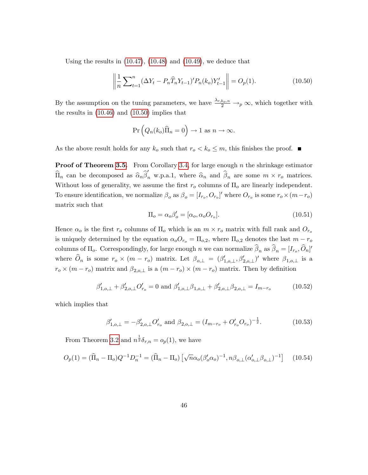Using the results in  $(10.47)$ ,  $(10.48)$  and  $(10.49)$ , we deduce that

<span id="page-46-0"></span>
$$
\left\| \frac{1}{n} \sum_{t=1}^{n} (\Delta Y_t - P_n \widehat{T}_n Y_{t-1})' P_n(k_o) Y_{t-1}' \right\| = O_p(1). \tag{10.50}
$$

By the assumption on the tuning parameters, we have  $\frac{\lambda_{r,k_o,n}}{2} \to_p \infty$ , which together with the results in [\(10.46\)](#page-45-0) and [\(10.50\)](#page-46-0) implies that

$$
\Pr\left(Q_n(k_o)\widehat{\Pi}_n=0\right)\to 1 \text{ as } n\to\infty.
$$

As the above result holds for any  $k_o$  such that  $r_o < k_o \leq m$ , this finishes the proof.  $\blacksquare$ 

**Proof of Theorem [3.5.](#page-11-0)** From Corollary [3.4,](#page-11-4) for large enough  $n$  the shrinkage estimator  $\widehat{\Pi}_n$  can be decomposed as  $\widehat{\alpha}_n \widehat{\beta}'_n$  w.p.a.1, where  $\widehat{\alpha}_n$  and  $\widehat{\beta}_n$  are some  $m \times r_o$  matrices. Without loss of generality, we assume the first  $r_o$  columns of  $\Pi_o$  are linearly independent. To ensure identification, we normalize  $\beta_o$  as  $\beta_o = [I_{r_o}, O_{r_o}]'$  where  $O_{r_o}$  is some  $r_o \times (m - r_o)$ matrix such that

$$
\Pi_o = \alpha_o \beta_o' = [\alpha_o, \alpha_o O_{r_o}].
$$
\n(10.51)

Hence  $\alpha_o$  is the first  $r_o$  columns of  $\Pi_o$  which is an  $m \times r_o$  matrix with full rank and  $O_{r_o}$ is uniquely determined by the equation  $\alpha_o O_{r_o} = \Pi_{o,2}$ , where  $\Pi_{o,2}$  denotes the last  $m - r_o$ columns of  $\Pi_o$ . Correspondingly, for large enough n we can normalize  $\beta_n$  as  $\beta_n = [I_{r_o}, O_n]'$ where  $O_n$  is some  $r_o \times (m - r_o)$  matrix. Let  $\beta_{o,\perp} = (\beta'_{1,o,\perp}, \beta'_{2,o,\perp})'$  where  $\beta_{1,o,\perp}$  is a  $r_o \times (m - r_o)$  matrix and  $\beta_{2,o,\perp}$  is a  $(m - r_o) \times (m - r_o)$  matrix. Then by definition

$$
\beta'_{1,o,\perp} + \beta'_{2,o,\perp}O'_{r_o} = 0 \text{ and } \beta'_{1,o,\perp}\beta_{1,o,\perp} + \beta'_{2,o,\perp}\beta_{2,o,\perp} = I_{m-r_o}
$$
(10.52)

which implies that

$$
\beta'_{1,o,\perp} = -\beta'_{2,o,\perp} O'_{r_o} \text{ and } \beta_{2,o,\perp} = (I_{m-r_o} + O'_{r_o} O_{r_o})^{-\frac{1}{2}}.
$$
\n(10.53)

From Theorem [3.2](#page-10-0) and  $n^{\frac{1}{2}}\delta_{r,n} = o_p(1)$ , we have

$$
O_p(1) = (\widehat{\Pi}_n - \Pi_o)Q^{-1}D_n^{-1} = (\widehat{\Pi}_n - \Pi_o) \left[ \sqrt{n} \alpha_o (\beta_o' \alpha_o)^{-1}, n \beta_{o, \perp} (\alpha_{o, \perp}' \beta_{o, \perp})^{-1} \right] \tag{10.54}
$$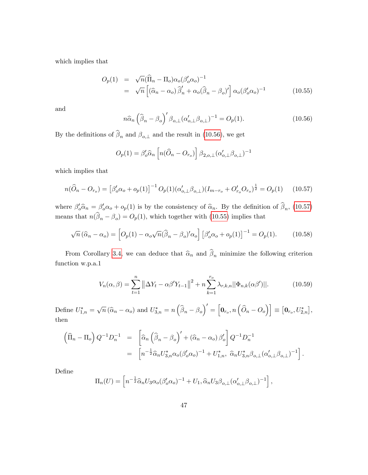which implies that

<span id="page-47-2"></span>
$$
O_p(1) = \sqrt{n}(\widehat{\Pi}_n - \Pi_o)\alpha_o(\beta_o'\alpha_o)^{-1}
$$
  
=  $\sqrt{n}\left[(\widehat{\alpha}_n - \alpha_o)\widehat{\beta}_n' + \alpha_o(\widehat{\beta}_n - \beta_o)'\right]\alpha_o(\beta_o'\alpha_o)^{-1}$  (10.55)

and

<span id="page-47-0"></span>
$$
n\widehat{\alpha}_n \left(\widehat{\beta}_n - \beta_o\right)' \beta_{o,\perp} (\alpha'_{o,\perp} \beta_{o,\perp})^{-1} = O_p(1). \tag{10.56}
$$

By the definitions of  $\beta_n$  and  $\beta_{o,\perp}$  and the result in [\(10.56\)](#page-47-0), we get

$$
O_p(1) = \beta_o' \widehat{\alpha}_n \left[ n(\widehat{O}_n - O_{r_o}) \right] \beta_{2,o,\perp} (\alpha_{o,\perp}' \beta_{o,\perp})^{-1}
$$

which implies that

<span id="page-47-1"></span>
$$
n(\hat{O}_n - O_{r_o}) = \left[\beta_o' \alpha_o + o_p(1)\right]^{-1} O_p(1) (\alpha_{o,\perp}' \beta_{o,\perp}) (I_{m-r_o} + O'_{r_o} O_{r_o})^{\frac{1}{2}} = O_p(1) \tag{10.57}
$$

where  $\beta_o^{\prime} \hat{\alpha}_n = \beta_o^{\prime} \alpha_o + o_p(1)$  is by the consistency of  $\hat{\alpha}_n$ . By the definition of  $\beta_n$ , [\(10.57\)](#page-47-1) means that  $n(\beta_n - \beta_o) = O_p(1)$ , which together with [\(10.55\)](#page-47-2) implies that

<span id="page-47-3"></span>
$$
\sqrt{n}(\widehat{\alpha}_n - \alpha_o) = \left[O_p(1) - \alpha_o \sqrt{n}(\widehat{\beta}_n - \beta_o)'\alpha_o\right] \left[\beta_o'\alpha_o + o_p(1)\right]^{-1} = O_p(1). \tag{10.58}
$$

From Corollary [3.4,](#page-11-4) we can deduce that  $\hat{\alpha}_n$  and  $\beta_n$  minimize the following criterion function w.p.a.1

$$
V_n(\alpha, \beta) = \sum_{t=1}^n \left\| \Delta Y_t - \alpha \beta' Y_{t-1} \right\|^2 + n \sum_{k=1}^{r_o} \lambda_{r,k,n} ||\Phi_{n,k}(\alpha \beta')||. \tag{10.59}
$$

Define  $U_{1,n}^* = \sqrt{n} (\widehat{\alpha}_n - \alpha_o)$  and  $U_{3,n}^* = n \left( \widehat{\beta}_n - \beta_o \right)' = \left[ \mathbf{0}_{r_o}, n \left( \widehat{O}_n - O_o \right) \right] \equiv \left[ \mathbf{0}_{r_o}, U_{2,n}^* \right],$ then

$$
\left(\widehat{\Pi}_n - \Pi_o\right) Q^{-1} D_n^{-1} = \left[\widehat{\alpha}_n \left(\widehat{\beta}_n - \beta_o\right)' + \left(\widehat{\alpha}_n - \alpha_o\right) \beta_o' \right] Q^{-1} D_n^{-1}
$$
  

$$
= \left[n^{-\frac{1}{2}} \widehat{\alpha}_n U_{3,n}^* \alpha_o (\beta_o' \alpha_o)^{-1} + U_{1,n}^*, \ \widehat{\alpha}_n U_{3,n}^* \beta_{o,\perp} (\alpha_{o,\perp}' \beta_{o,\perp})^{-1}\right].
$$

DeÖne

$$
\Pi_n(U) = \left[ n^{-\frac{1}{2}} \widehat{\alpha}_n U_3 \alpha_o (\beta_o' \alpha_o)^{-1} + U_1, \widehat{\alpha}_n U_3 \beta_{o, \perp} (\alpha'_{o, \perp} \beta_{o, \perp})^{-1} \right],
$$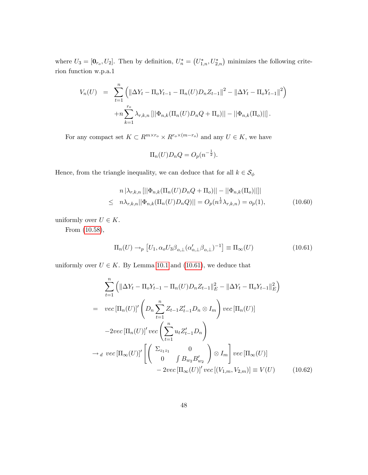where  $U_3 = [\mathbf{0}_{r_o}, U_2]$ . Then by definition,  $U_n^* = (U_{1,n}^*, U_{2,n}^*)$  minimizes the following criterion function w.p.a.1

$$
V_n(U) = \sum_{t=1}^n \left( \|\Delta Y_t - \Pi_o Y_{t-1} - \Pi_n(U)D_n Z_{t-1}\|^2 - \|\Delta Y_t - \Pi_o Y_{t-1}\|^2 \right) + n \sum_{k=1}^{r_o} \lambda_{r,k,n} \left[ \|\Phi_{n,k}(\Pi_n(U)D_n Q + \Pi_o)\| - \|\Phi_{n,k}(\Pi_o)\| \right].
$$

For any compact set  $K \subset R^{m \times r_o} \times R^{r_o \times (m-r_o)}$  and any  $U \in K$ , we have

$$
\Pi_n(U)D_nQ=O_p(n^{-\frac{1}{2}}).
$$

Hence, from the triangle inequality, we can deduce that for all  $k \in \mathcal{S}_\phi$ 

$$
n |\lambda_{r,k,n}|| |\Phi_{n,k}(\Pi_n(U)D_nQ + \Pi_o)|| - ||\Phi_{n,k}(\Pi_o)|| ||
$$
  
\n
$$
\leq n \lambda_{r,k,n} ||\Phi_{n,k}(\Pi_n(U)D_nQ)|| = O_p(n^{\frac{1}{2}} \lambda_{r,k,n}) = o_p(1),
$$
 (10.60)

uniformly over  $U \in K$ .

From [\(10.58\)](#page-47-3),

<span id="page-48-0"></span>
$$
\Pi_n(U) \to_p [U_1, \alpha_o U_3 \beta_{o, \perp} (\alpha'_{o, \perp} \beta_{o, \perp})^{-1}] \equiv \Pi_{\infty}(U)
$$
\n(10.61)

uniformly over  $U \in K$ . By Lemma [10.1](#page-36-0) and [\(10.61\)](#page-48-0), we deduce that

$$
\sum_{t=1}^{n} \left( \|\Delta Y_t - \Pi_o Y_{t-1} - \Pi_n(U)D_n Z_{t-1}\|_E^2 - \|\Delta Y_t - \Pi_o Y_{t-1}\|_E^2 \right)
$$
  
\n
$$
= \operatorname{vec}[\Pi_n(U)]' \left( D_n \sum_{t=1}^{n} Z_{t-1} Z_{t-1}' D_n \otimes I_m \right) \operatorname{vec}[\Pi_n(U)]
$$
  
\n
$$
-2 \operatorname{vec}[\Pi_n(U)]' \operatorname{vec} \left( \sum_{t=1}^{n} u_t Z_{t-1}' D_n \right)
$$
  
\n
$$
\to_d \operatorname{vec}[\Pi_\infty(U)]' \left[ \left( \begin{array}{c} \Sigma_{z_1 z_1} & 0 \\ 0 & \int B_{w_2} B_{w_2}' \end{array} \right) \otimes I_m \right] \operatorname{vec}[\Pi_\infty(U)]
$$
  
\n
$$
-2 \operatorname{vec}[\Pi_\infty(U)]' \operatorname{vec}[(V_{1,m}, V_{2,m})] \equiv V(U) \qquad (10.62)
$$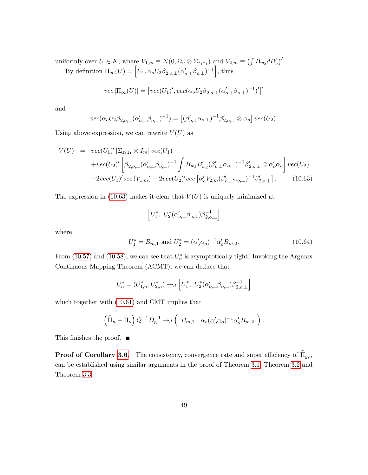uniformly over  $U \in K$ , where  $V_{1,m} \equiv N(0, \Omega_u \otimes \Sigma_{z_1 z_1})$  and  $V_{2,m} \equiv (\int B_{w_2} d B_u')'.$ By definition  $\Pi_{\infty}(U) = \left[ U_1, \alpha_o U_2 \beta_{2,o,\perp} (\alpha'_{o,\perp} \beta_{o,\perp})^{-1} \right]$ , thus

$$
vec[\Pi_{\infty}(U)] = [vec(U_1)',vec(\alpha_o U_2 \beta_{2,o,\perp} (\alpha'_{o,\perp} \beta_{o,\perp})^{-1})']'
$$

and

$$
vec(\alpha_o U_2 \beta_{2,o,\perp} (\alpha'_{o,\perp} \beta_{o,\perp})^{-1}) = [(\beta'_{o,\perp} \alpha_{o,\perp})^{-1} \beta'_{2,o,\perp} \otimes \alpha_o] \ vec(U_2).
$$

Using above expression, we can rewrite  $V(U)$  as

<span id="page-49-0"></span>
$$
V(U) = vec(U_1)' [\Sigma_{z_1 z_1} \otimes I_m] vec(U_1)
$$
  
+ $vec(U_2)' [\beta_{2,o,\perp} (\alpha'_{o,\perp} \beta_{o,\perp})^{-1} \int B_{w_2} B'_{w_2} (\beta'_{o,\perp} \alpha_{o,\perp})^{-1} \beta'_{2,o,\perp} \otimes \alpha'_{o} \alpha_{o}] vec(U_2)$   
- $2vec(U_1)' vec(V_{1,m}) - 2vec(U_2)' vec [\alpha'_{o} V_{2,m} (\beta'_{o,\perp} \alpha_{o,\perp})^{-1} \beta'_{2,o,\perp}].$  (10.63)

The expression in [\(10.63\)](#page-49-0) makes it clear that  $V(U)$  is uniquely minimized at

$$
\left[U_1^*,\ U_2^*(\alpha'_{o,\perp}\beta_{o,\perp})\beta_{2,o,\perp}^{-1}\right]
$$

where

$$
U_1^* = B_{m,1} \text{ and } U_2^* = (\alpha'_o \alpha_o)^{-1} \alpha'_o B_{m,2}.
$$
 (10.64)

From [\(10.57\)](#page-47-1) and [\(10.58\)](#page-47-3), we can see that  $U_n^*$  is asymptotically tight. Invoking the Argmax Continuous Mapping Theorem (ACMT), we can deduce that

$$
U_n^* = (U_{1,n}^*, U_{2,n}^*) \to_d \left[ U_1^*, \ U_2^* (\alpha'_{o,\perp} \beta_{o,\perp}) \beta_{2,o,\perp}^{-1} \right]
$$

which together with [\(10.61\)](#page-48-0) and CMT implies that

$$
\left(\widehat{\Pi}_n - \Pi_o\right) Q^{-1} D_n^{-1} \to_d \left(B_{m,1} \quad \alpha_o(\alpha'_o \alpha_o)^{-1} \alpha'_o B_{m,2}\right).
$$

This finishes the proof.  $\blacksquare$ 

**Proof of Corollary [3.6.](#page-13-0)** The consistency, convergence rate and super efficiency of  $\widehat{\Pi}_{g,n}$ can be established using similar arguments in the proof of Theorem [3.1,](#page-9-1) Theorem [3.2](#page-10-0) and Theorem [3.3.](#page-11-1)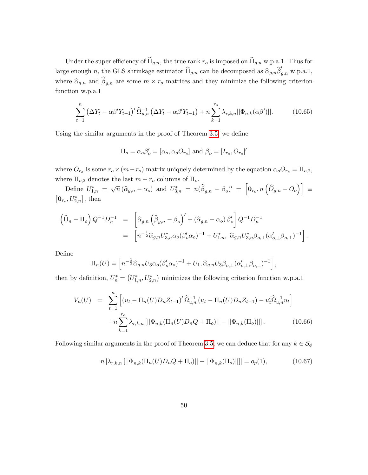Under the super efficiency of  $\widehat{\Pi}_{g,n}$ , the true rank  $r_o$  is imposed on  $\widehat{\Pi}_{g,n}$  w.p.a.1. Thus for large enough n, the GLS shrinkage estimator  $\widehat{\Pi}_{g,n}$  can be decomposed as  $\widehat{\alpha}_{g,n}\widehat{\beta}'_{g,n}$  w.p.a.1, where  $\hat{\alpha}_{g,n}$  and  $\beta_{g,n}$  are some  $m \times r_o$  matrices and they minimize the following criterion function w.p.a.1

$$
\sum_{t=1}^{n} \left( \Delta Y_t - \alpha \beta' Y_{t-1} \right)' \widehat{\Omega}_{u,n}^{-1} \left( \Delta Y_t - \alpha \beta' Y_{t-1} \right) + n \sum_{k=1}^{r_o} \lambda_{r,k,n} ||\Phi_{n,k}(\alpha \beta')||. \tag{10.65}
$$

Using the similar arguments in the proof of Theorem [3.5,](#page-11-0) we define

$$
\Pi_o = \alpha_o \beta'_o = [\alpha_o, \alpha_o O_{r_o}] \text{ and } \beta_o = [I_{r_o}, O_{r_o}]'
$$

where  $O_{r_o}$  is some  $r_o \times (m-r_o)$  matrix uniquely determined by the equation  $\alpha_o O_{r_o} = \Pi_{o,2}$ , where  $\Pi_{o,2}$  denotes the last  $m - r_o$  columns of  $\Pi_o$ .

Define  $U_{1,n}^* = \sqrt{n} (\hat{\alpha}_{g,n} - \alpha_o)$  and  $U_{3,n}^* = n(\hat{\beta}_{g,n} - \beta_o)' = [\mathbf{0}_{r_o}, n(\hat{\partial}_{g,n} - \hat{\partial}_o)] \equiv$  $\left[\mathbf{0}_{r_o}, U^*_{2,n}\right],$  then

$$
\left(\widehat{\Pi}_{n} - \Pi_{o}\right) Q^{-1} D_{n}^{-1} = \left[\widehat{\alpha}_{g,n} \left(\widehat{\beta}_{g,n} - \beta_{o}\right)' + \left(\widehat{\alpha}_{g,n} - \alpha_{o}\right) \beta_{o}'\right] Q^{-1} D_{n}^{-1}
$$
  

$$
= \left[n^{-\frac{1}{2}} \widehat{\alpha}_{g,n} U_{3,n}^{*} \alpha_{o} (\beta_{o}' \alpha_{o})^{-1} + U_{1,n}^{*}, \ \widehat{\alpha}_{g,n} U_{3,n}^{*} \beta_{o,\perp} (\alpha_{o,\perp}' \beta_{o,\perp})^{-1}\right].
$$

DeÖne

$$
\Pi_n(U) = \left[ n^{-\frac{1}{2}} \widehat{\alpha}_{g,n} U_3 \alpha_o (\beta_o \alpha_o)^{-1} + U_1, \widehat{\alpha}_{g,n} U_3 \beta_{o,\perp} (\alpha_{o,\perp}' \beta_{o,\perp})^{-1} \right]
$$

then by definition,  $U_n^* = (U_{1,n}^*, U_{2,n}^*)$  minimizes the following criterion function w.p.a.1

$$
V_n(U) = \sum_{t=1}^n \left[ \left( u_t - \Pi_n(U) D_n Z_{t-1} \right)^t \widehat{\Omega}_{u,n}^{-1} \left( u_t - \Pi_n(U) D_n Z_{t-1} \right) - u_t' \widehat{\Omega}_{u,n}^{-1} u_t \right] + n \sum_{k=1}^{r_o} \lambda_{r,k,n} \left[ \left| \left| \Phi_{n,k}(\Pi_n(U) D_n Q + \Pi_o) \right| \right| - \left| \left| \Phi_{n,k}(\Pi_o) \right| \right| \right]. \tag{10.66}
$$

Following similar arguments in the proof of Theorem [3.5,](#page-11-0) we can deduce that for any  $k \in \mathcal{S}_{\phi}$ 

$$
n |\lambda_{r,k,n}[||\Phi_{n,k}(\Pi_n(U)D_nQ + \Pi_o)|| - ||\Phi_{n,k}(\Pi_o)||]| = o_p(1),
$$
\n(10.67)

;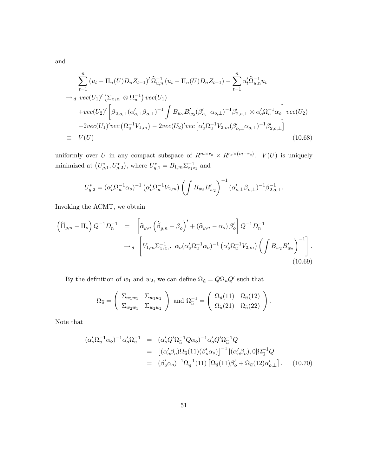and

$$
\sum_{t=1}^{n} (u_t - \Pi_n(U)D_n Z_{t-1})' \hat{\Omega}_{u,n}^{-1} (u_t - \Pi_n(U)D_n Z_{t-1}) - \sum_{t=1}^{n} u_t' \hat{\Omega}_{u,n}^{-1} u_t
$$
  
\n
$$
\rightarrow_d \text{vec}(U_1)' (\Sigma_{z_1 z_1} \otimes \Omega_u^{-1}) \text{vec}(U_1)
$$
  
\n
$$
+ \text{vec}(U_2)' \left[ \beta_{2,o,\perp} (\alpha_{o,\perp}' \beta_{o,\perp})^{-1} \int B_{w_2} B_{w_2}' (\beta_{o,\perp}' \alpha_{o,\perp})^{-1} \beta_{2,o,\perp}' \otimes \alpha_o' \Omega_u^{-1} \alpha_o \right] \text{vec}(U_2)
$$
  
\n
$$
-2 \text{vec}(U_1)' \text{vec} (\Omega_u^{-1} V_{1,m}) - 2 \text{vec}(U_2)' \text{vec} [\alpha_o' \Omega_u^{-1} V_{2,m} (\beta_{o,\perp}' \alpha_{o,\perp})^{-1} \beta_{2,o,\perp}']
$$
  
\n
$$
\equiv V(U) \qquad (10.68)
$$

uniformly over U in any compact subspace of  $R^{m \times r_o} \times R^{r_o \times (m-r_o)}$ .  $V(U)$  is uniquely minimized at  $(U_{g,1}^*, U_{g,2}^*)$ , where  $U_{g,1}^* = B_{1,m} \Sigma_{z_1 z_1}^{-1}$  and

$$
U_{g,2}^* = (\alpha_o' \Omega_u^{-1} \alpha_o)^{-1} (\alpha_o' \Omega_u^{-1} V_{2,m}) \left( \int B_{w_2} B_{w_2}' \right)^{-1} (\alpha_{o,\perp}' \beta_{o,\perp})^{-1} \beta_{2,o,\perp}^{-1}.
$$

Invoking the ACMT, we obtain

<span id="page-51-0"></span>
$$
\left(\widehat{\Pi}_{g,n} - \Pi_o\right) Q^{-1} D_n^{-1} = \left[\widehat{\alpha}_{g,n} \left(\widehat{\beta}_{g,n} - \beta_o\right)' + \left(\widehat{\alpha}_{g,n} - \alpha_o\right) \beta_o' \right] Q^{-1} D_n^{-1}
$$
  
\n
$$
\rightarrow_d \left[V_{1,m} \Sigma_{z_1 z_1}^{-1}, \ \alpha_o (\alpha_o' \Omega_u^{-1} \alpha_o)^{-1} \left(\alpha_o' \Omega_u^{-1} V_{2,m}\right) \left(\int B_{w_2} B_{w_2}'\right)^{-1}\right].
$$
\n(10.69)

By the definition of  $w_1$  and  $w_2$ , we can define  $\Omega_{\tilde{u}} = Q \Omega_u Q'$  such that

$$
\Omega_{\widetilde{u}} = \begin{pmatrix} \Sigma_{w_1w_1} & \Sigma_{w_1w_2} \\ \Sigma_{w_2w_1} & \Sigma_{w_2w_2} \end{pmatrix} \text{ and } \Omega_{\widetilde{u}}^{-1} = \begin{pmatrix} \Omega_{\widetilde{u}}(11) & \Omega_{\widetilde{u}}(12) \\ \Omega_{\widetilde{u}}(21) & \Omega_{\widetilde{u}}(22) \end{pmatrix}.
$$

Note that

$$
(\alpha_o' \Omega_u^{-1} \alpha_o)^{-1} \alpha_o' \Omega_u^{-1} = (\alpha_o' Q' \Omega_{\tilde{u}}^{-1} Q \alpha_o)^{-1} \alpha_o' Q' \Omega_{\tilde{u}}^{-1} Q
$$
  
\n
$$
= [(\alpha_o' \beta_o) \Omega_{\tilde{u}} (11) (\beta_o' \alpha_o)]^{-1} [(\alpha_o' \beta_o), 0] \Omega_{\tilde{u}}^{-1} Q
$$
  
\n
$$
= (\beta_o' \alpha_o)^{-1} \Omega_{\tilde{u}}^{-1} (11) [\Omega_{\tilde{u}} (11) \beta_o' + \Omega_{\tilde{u}} (12) \alpha_{o, \perp}'] . \quad (10.70)
$$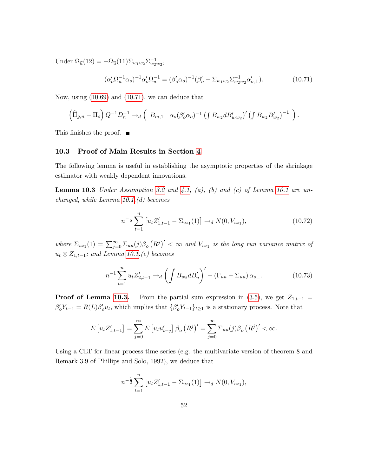Under  $\Omega_{\tilde{u}}(12) = -\Omega_{\tilde{u}}(11)\Sigma_{w_1w_2}\Sigma_{w_2w_2}^{-1},$ 

<span id="page-52-0"></span>
$$
(\alpha_o' \Omega_u^{-1} \alpha_o)^{-1} \alpha_o' \Omega_u^{-1} = (\beta_o' \alpha_o)^{-1} (\beta_o' - \Sigma_{w_1 w_2} \Sigma_{w_2 w_2}^{-1} \alpha_{o, \perp}').
$$
\n(10.71)

Now, using [\(10.69\)](#page-51-0) and [\(10.71\)](#page-52-0), we can deduce that

$$
\left(\widehat{\Pi}_{g,n} - \Pi_o\right) Q^{-1} D_n^{-1} \to_d \left(B_{m,1} \quad \alpha_o(\beta'_o \alpha_o)^{-1} \left(\int B_{w_2} d B'_{u \cdot w_2}\right)' \left(\int B_{w_2} B'_{w_2}\right)^{-1}\right).
$$

This finishes the proof.  $\blacksquare$ 

#### 10.3 Proof of Main Results in Section [4](#page-14-0)

The following lemma is useful in establishing the asymptotic properties of the shrinkage estimator with weakly dependent innovations.

<span id="page-52-1"></span>**Lemma 10.3** Under Assumption [3.2](#page-8-0) and [4.1,](#page-14-1) (a), (b) and (c) of Lemma [10.1](#page-36-0) are unchanged, while Lemma [10.1.](#page-36-0)(d) becomes

<span id="page-52-2"></span>
$$
n^{-\frac{1}{2}}\sum_{t=1}^{n} \left[ u_t Z'_{1,t-1} - \Sigma_{uz_1}(1) \right] \to_d N(0, V_{uz_1}), \tag{10.72}
$$

where  $\Sigma_{uz_1}(1) = \sum_{j=0}^{\infty} \Sigma_{uu}(j) \beta_o (R^j)' < \infty$  and  $V_{uz_1}$  is the long run variance matrix of  $u_t \otimes Z_{1,t-1}$ ; and Lemma [10.1.](#page-36-0) $(e)$  becomes

$$
n^{-1} \sum_{t=1}^{n} u_t Z'_{2,t-1} \to_d \left( \int B_{w_2} d B'_u \right)' + (\Gamma_{uu} - \Sigma_{uu}) \alpha_{o\perp}.
$$
 (10.73)

**Proof of Lemma [10.3.](#page-52-1)** From the partial sum expression in  $(3.5)$ , we get  $Z_{1,t-1} =$  $\beta'_o Y_{t-1} = R(L)\beta'_o u_t$ , which implies that  $\{\beta'_o Y_{t-1}\}_{t\geq 1}$  is a stationary process. Note that

$$
E[u_t Z'_{1,t-1}] = \sum_{j=0}^{\infty} E[u_t u'_{t-j}] \beta_o (R^j)' = \sum_{j=0}^{\infty} \Sigma_{uu}(j) \beta_o (R^j)' < \infty.
$$

Using a CLT for linear process time series (e.g. the multivariate version of theorem 8 and Remark 3.9 of Phillips and Solo, 1992), we deduce that

$$
n^{-\frac{1}{2}}\sum_{t=1}^{n} [u_t Z'_{1,t-1} - \Sigma_{uz_1}(1)] \to_d N(0, V_{uz_1}),
$$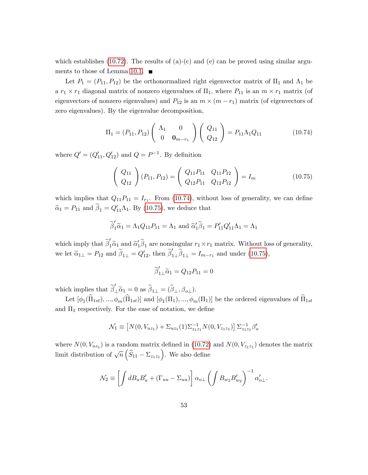which establishes [\(10.72\)](#page-52-2). The results of (a)-(c) and (e) can be proved using similar argu-ments to those of Lemma [10.1.](#page-36-0)  $\blacksquare$ 

Let  $P_1 = (P_{11}, P_{12})$  be the orthonormalized right eigenvector matrix of  $\Pi_1$  and  $\Lambda_1$  be a  $r_1 \times r_1$  diagonal matrix of nonzero eigenvalues of  $\Pi_1$ , where  $P_{11}$  is an  $m \times r_1$  matrix (of eigenvectors of nonzero eigenvalues) and  $P_{12}$  is an  $m \times (m - r_1)$  matrix (of eigenvectors of zero eigenvalues). By the eigenvalue decomposition,

<span id="page-53-0"></span>
$$
\Pi_1 = (P_{11}, P_{12}) \begin{pmatrix} \Lambda_1 & 0 \\ 0 & \mathbf{0}_{m-r_1} \end{pmatrix} \begin{pmatrix} Q_{11} \\ Q_{12} \end{pmatrix} = P_{11} \Lambda_1 Q_{11}
$$
 (10.74)

where  $Q' = (Q'_{11}, Q'_{12})$  and  $Q = P^{-1}$ . By definition

<span id="page-53-1"></span>
$$
\left(\begin{array}{c} Q_{11} \\ Q_{12} \end{array}\right) (P_{11}, P_{12}) = \left(\begin{array}{cc} Q_{11}P_{11} & Q_{11}P_{12} \\ Q_{12}P_{11} & Q_{12}P_{12} \end{array}\right) = I_m
$$
 (10.75)

which implies that  $Q_{11}P_{11} = I_{r_1}$ . From [\(10.74\)](#page-53-0), without loss of generality, we can define  $\tilde{\alpha}_1 = P_{11}$  and  $\beta_1 = Q'_{11}\Lambda_1$ . By [\(10.75\)](#page-53-1), we deduce that

$$
\widetilde{\beta}'_1 \widetilde{\alpha}_1 = \Lambda_1 Q_{11} P_{11} = \Lambda_1
$$
 and  $\widetilde{\alpha}'_1 \widetilde{\beta}_1 = P'_{11} Q'_{11} \Lambda_1 = \Lambda_1$ 

which imply that  $\widetilde{\beta}'_1 \widetilde{\alpha}_1$  and  $\widetilde{\alpha}'_1 \widetilde{\beta}_1$  are nonsingular  $r_1 \times r_1$  matrix. Without loss of generality, we let  $\tilde{\alpha}_{1\perp} = P_{12}$  and  $\tilde{\beta}_{1\perp} = Q'_{12}$ , then  $\tilde{\beta}'_{1\perp}\tilde{\beta}_{1\perp} = I_{m-r_1}$  and under [\(10.75\)](#page-53-1),

$$
\widetilde{\beta}'_{1\perp}\widetilde{\alpha}_1 = Q_{12}P_{11} = 0
$$

which implies that  $\widetilde{\beta}'_1 \widetilde{\alpha}_1 = 0$  as  $\widetilde{\beta}_{1\perp} = (\widetilde{\beta}_{\perp}, \beta_{o\perp}).$ 

Let  $[\phi_1(\Pi_{1st}),...,\phi_m(\Pi_{1st})]$  and  $[\phi_1(\Pi_1),...,\phi_m(\Pi_1)]$  be the ordered eigenvalues of  $\Pi_{1st}$ and  $\Pi_1$  respectively. For the ease of notation, we define

$$
\mathcal{N}_1 \equiv \left[ N(0, V_{uz_1}) + \Sigma_{uz_1}(1) \Sigma_{z_1 z_1}^{-1} N(0, V_{z_1 z_1}) \right] \Sigma_{z_1 z_1}^{-1} \beta_o'
$$

where  $N(0, V_{uz_1})$  is a random matrix defined in [\(10.72\)](#page-52-2) and  $N(0, V_{z_1z_1})$  denotes the matrix limit distribution of  $\sqrt{n} \left( \widehat{S}_{11} - \Sigma_{z_1 z_1} \right)$ . We also define

$$
\mathcal{N}_2 \equiv \left[ \int dB_u B'_u + (\Gamma_{uu} - \Sigma_{uu}) \right] \alpha_{o\perp} \left( \int B_{w_2} B'_{w_2} \right)^{-1} \alpha'_{o\perp}.
$$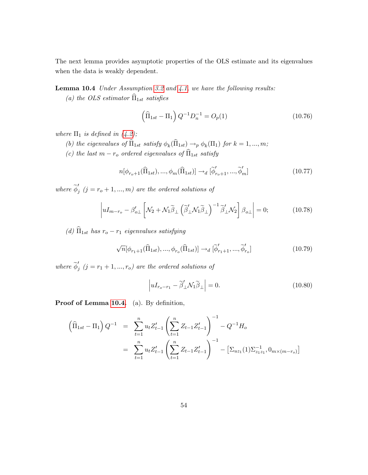The next lemma provides asymptotic properties of the OLS estimate and its eigenvalues when the data is weakly dependent.

## <span id="page-54-0"></span>Lemma 10.4 Under Assumption [3.2](#page-8-0) and [4.1,](#page-14-1) we have the following results:

(a) the OLS estimator  $\widehat{\Pi}_{1st}$  satisfies

$$
\left(\widehat{\Pi}_{1st} - \Pi_1\right) Q^{-1} D_n^{-1} = O_p(1) \tag{10.76}
$$

where  $\Pi_1$  is defined in [\(4.2\)](#page-15-0);

- (b) the eigenvalues of  $\Pi_{1st}$  satisfy  $\phi_k(\Pi_{1st}) \to_p \phi_k(\Pi_1)$  for  $k = 1, ..., m$ ;
- (c) the last  $m r_o$  ordered eigenvalues of  $\widehat{\Pi}_{1st}$  satisfy

$$
n[\phi_{r_o+1}(\widehat{\Pi}_{1st}), ..., \phi_m(\widehat{\Pi}_{1st})] \rightarrow_d [\widetilde{\phi}'_{r_o+1}, ..., \widetilde{\phi}'_m]
$$
\n(10.77)

where  $\widetilde{\phi}'_j$   $(j = r_o + 1, ..., m)$  are the ordered solutions of

$$
\left| uI_{m-r_o} - \beta'_{o\perp} \left[ \mathcal{N}_2 + \mathcal{N}_1 \widetilde{\beta}_\perp \left( \widetilde{\beta}'_\perp \mathcal{N}_1 \widetilde{\beta}_\perp \right)^{-1} \widetilde{\beta}'_\perp \mathcal{N}_2 \right] \beta_{o\perp} \right| = 0; \tag{10.78}
$$

(d)  $\widehat{\Pi}_{1st}$  has  $r_o - r_1$  eigenvalues satisfying

$$
\sqrt{n}[\phi_{r_1+1}(\widehat{\Pi}_{1st}),...,\phi_{r_o}(\widehat{\Pi}_{1st})] \rightarrow_d [\widetilde{\phi}_{r_1+1}',...,\widetilde{\phi}_{r_o}'] \qquad (10.79)
$$

where  $\widetilde{\phi}'_j$   $(j = r_1 + 1, ..., r_o)$  are the ordered solutions of

$$
\left| uI_{r_o - r_1} - \tilde{\beta}'_{\perp} \mathcal{N}_1 \tilde{\beta}_{\perp} \right| = 0. \tag{10.80}
$$

Proof of Lemma [10.4.](#page-54-0) (a). By definition,

<span id="page-54-1"></span>
$$
\begin{aligned}\n\left(\widehat{\Pi}_{1st} - \Pi_1\right) Q^{-1} &= \sum_{t=1}^n u_t Z_{t-1}' \left(\sum_{t=1}^n Z_{t-1} Z_{t-1}'\right)^{-1} - Q^{-1} H_0 \\
&= \sum_{t=1}^n u_t Z_{t-1}' \left(\sum_{t=1}^n Z_{t-1} Z_{t-1}'\right)^{-1} - \left[\Sigma_{uz_1}(1) \Sigma_{z_1 z_1}^{-1}, 0_{m \times (m-r_o)}\right]\n\end{aligned}
$$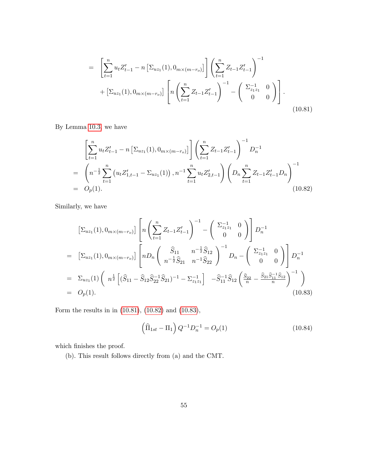$$
= \left[\sum_{t=1}^{n} u_t Z_{t-1}' - n \left[\Sigma_{uz_1}(1), 0_{m \times (m-r_o)}\right] \right] \left(\sum_{t=1}^{n} Z_{t-1} Z_{t-1}'\right)^{-1} + \left[\Sigma_{uz_1}(1), 0_{m \times (m-r_o)}\right] \left[n \left(\sum_{t=1}^{n} Z_{t-1} Z_{t-1}'\right)^{-1} - \left(\begin{array}{cc} \Sigma_{z_1 z_1}^{-1} & 0 \\ 0 & 0 \end{array}\right)\right].
$$
\n(10.81)

By Lemma [10.3,](#page-52-1) we have

<span id="page-55-0"></span>
$$
\left[\sum_{t=1}^{n} u_t Z_{t-1}' - n \left[\Sigma_{uz_1}(1), 0_{m \times (m-r_o)}\right] \right] \left(\sum_{t=1}^{n} Z_{t-1} Z_{t-1}'\right)^{-1} D_n^{-1}
$$
\n
$$
= \left(n^{-\frac{1}{2}} \sum_{t=1}^{n} \left(u_t Z_{1,t-1}' - \Sigma_{uz_1}(1)\right), n^{-1} \sum_{t=1}^{n} u_t Z_{2,t-1}'\right) \left(D_n \sum_{t=1}^{n} Z_{t-1} Z_{t-1}' D_n\right)^{-1}
$$
\n
$$
= O_p(1). \tag{10.82}
$$

Similarly, we have

<span id="page-55-1"></span>
$$
\begin{split}\n\left[\Sigma_{uz_1}(1), 0_{m \times (m-r_o)}\right] \left[ n \left( \sum_{t=1}^n Z_{t-1} Z_{t-1}' \right)^{-1} - \left( \begin{array}{cc} \Sigma_{z_1 z_1}^{-1} & 0 \\ 0 & 0 \end{array} \right) \right] D_n^{-1} \\
= \left[\Sigma_{uz_1}(1), 0_{m \times (m-r_o)}\right] \left[ n D_n \left( \begin{array}{cc} \widehat{S}_{11} & n^{-\frac{1}{2}} \widehat{S}_{12} \\ n^{-\frac{1}{2}} \widehat{S}_{21} & n^{-1} \widehat{S}_{22} \end{array} \right)^{-1} D_n - \left( \begin{array}{cc} \Sigma_{z_1 z_1}^{-1} & 0 \\ 0 & 0 \end{array} \right) \right] D_n^{-1} \\
= \Sigma_{uz_1}(1) \left( n^{\frac{1}{2}} \left[ (\widehat{S}_{11} - \widehat{S}_{12} \widehat{S}_{22}^{-1} \widehat{S}_{21})^{-1} - \Sigma_{z_1 z_1}^{-1} \right] - \widehat{S}_{11}^{-1} \widehat{S}_{12} \left( \frac{\widehat{S}_{22}}{n} - \frac{\widehat{S}_{21} \widehat{S}_{11}^{-1} \widehat{S}_{12}}{n} \right)^{-1} \right) \\
= O_p(1).\n\end{split} \tag{10.83}
$$

Form the results in in [\(10.81\)](#page-54-1), [\(10.82\)](#page-55-0) and [\(10.83\)](#page-55-1),

$$
\left(\widehat{\Pi}_{1st} - \Pi_1\right) Q^{-1} D_n^{-1} = O_p(1) \tag{10.84}
$$

which finishes the proof.

(b). This result follows directly from (a) and the CMT.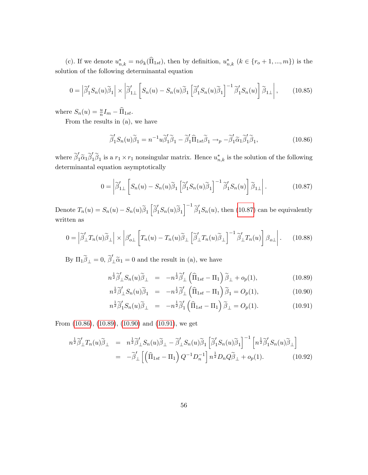(c). If we denote  $u_{n,k}^* = n\phi_k(\Pi_{1st})$ , then by definition,  $u_{n,k}^*$   $(k \in \{r_o+1, ..., m\})$  is the solution of the following determinantal equation

$$
0 = \left| \widetilde{\beta}'_1 S_n(u) \widetilde{\beta}_1 \right| \times \left| \widetilde{\beta}'_{1\perp} \left[ S_n(u) - S_n(u) \widetilde{\beta}_1 \left[ \widetilde{\beta}'_1 S_n(u) \widetilde{\beta}_1 \right]^{-1} \widetilde{\beta}'_1 S_n(u) \right] \widetilde{\beta}_{1\perp} \right|, \qquad (10.85)
$$

where  $S_n(u) = \frac{u}{n} I_m - \widehat{\Pi}_{1st}$ .

From the results in (a), we have

<span id="page-56-1"></span>
$$
\tilde{\beta}'_1 S_n(u) \tilde{\beta}_1 = n^{-1} u \tilde{\beta}'_1 \tilde{\beta}_1 - \tilde{\beta}'_1 \tilde{\Pi}_{1st} \tilde{\beta}_1 \to_p -\tilde{\beta}'_1 \tilde{\alpha}_1 \tilde{\beta}'_1 \tilde{\beta}_1, \tag{10.86}
$$

where  $\tilde{\beta}'_1\tilde{\alpha}_1\tilde{\beta}'_1\tilde{\beta}_1$  is a  $r_1 \times r_1$  nonsingular matrix. Hence  $u^*_{n,k}$  is the solution of the following determinantal equation asymptotically

<span id="page-56-0"></span>
$$
0 = \left| \widetilde{\beta}'_{1\perp} \left[ S_n(u) - S_n(u) \widetilde{\beta}_1 \left[ \widetilde{\beta}'_1 S_n(u) \widetilde{\beta}_1 \right]^{-1} \widetilde{\beta}'_1 S_n(u) \right] \widetilde{\beta}_{1\perp} \right|.
$$
 (10.87)

Denote  $T_n(u) = S_n(u) - S_n(u)\tilde{\beta}_1 \left[ \tilde{\beta}_1'S_n(u)\tilde{\beta}_1 \right]^{-1} \tilde{\beta}_1'S_n(u)$ , then [\(10.87\)](#page-56-0) can be equivalently written as

$$
0 = \left| \widetilde{\beta}'_{\perp} T_n(u) \widetilde{\beta}_{\perp} \right| \times \left| \beta'_{o\perp} \left[ T_n(u) - T_n(u) \widetilde{\beta}_{\perp} \left[ \widetilde{\beta}'_{\perp} T_n(u) \widetilde{\beta}_{\perp} \right]^{-1} \widetilde{\beta}'_{\perp} T_n(u) \right] \beta_{o\perp} \right|.
$$
 (10.88)

By  $\Pi_1 \widetilde{\beta}_{\perp} = 0$ ,  $\widetilde{\beta}'_{\perp} \widetilde{\alpha}_1 = 0$  and the result in (a), we have

$$
n^{\frac{1}{2}}\widetilde{\beta}'_{\perp}S_n(u)\widetilde{\beta}_{\perp} = -n^{\frac{1}{2}}\widetilde{\beta}'_{\perp}\left(\widehat{\Pi}_{1st} - \Pi_1\right)\widetilde{\beta}_{\perp} + o_p(1),\tag{10.89}
$$

<span id="page-56-2"></span>
$$
n^{\frac{1}{2}}\widetilde{\beta}'_{\perp}S_n(u)\widetilde{\beta}_1 = -n^{\frac{1}{2}}\widetilde{\beta}'_{\perp}\left(\widehat{\Pi}_{1st} - \Pi_1\right)\widetilde{\beta}_1 = O_p(1),\tag{10.90}
$$

$$
n^{\frac{1}{2}}\widetilde{\beta}'_1 S_n(u)\widetilde{\beta}_\perp = -n^{\frac{1}{2}}\widetilde{\beta}'_1 \left(\widehat{\Pi}_{1st} - \Pi_1\right)\widetilde{\beta}_\perp = O_p(1). \tag{10.91}
$$

From [\(10.86\)](#page-56-1), [\(10.89\)](#page-56-2), [\(10.90\)](#page-56-2) and [\(10.91\)](#page-56-2), we get

<span id="page-56-3"></span>
$$
n^{\frac{1}{2}}\widetilde{\beta}'_{\perp}T_n(u)\widetilde{\beta}_{\perp} = n^{\frac{1}{2}}\widetilde{\beta}'_{\perp}S_n(u)\widetilde{\beta}_{\perp} - \widetilde{\beta}'_{\perp}S_n(u)\widetilde{\beta}_{1} \left[\widetilde{\beta}'_{1}S_n(u)\widetilde{\beta}_{1}\right]^{-1} \left[n^{\frac{1}{2}}\widetilde{\beta}'_{1}S_n(u)\widetilde{\beta}_{\perp}\right]
$$
  

$$
= -\widetilde{\beta}'_{\perp} \left[\left(\widehat{\Pi}_{1st} - \Pi_{1}\right)Q^{-1}D_n^{-1}\right]n^{\frac{1}{2}}D_nQ\widetilde{\beta}_{\perp} + o_p(1). \qquad (10.92)
$$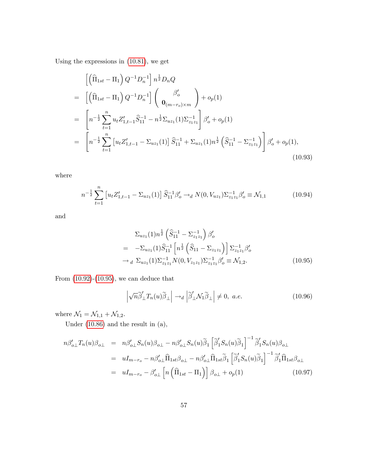Using the expressions in [\(10.81\)](#page-54-1), we get

$$
\begin{split}\n&\left[\left(\widehat{\Pi}_{1st} - \Pi_{1}\right) Q^{-1} D_{n}^{-1}\right] n^{\frac{1}{2}} D_{n} Q \\
&= \left[\left(\widehat{\Pi}_{1st} - \Pi_{1}\right) Q^{-1} D_{n}^{-1}\right] \left(\begin{array}{c} \beta'_{o} \\ \mathbf{0}_{(m-r_{o}) \times m} \end{array}\right) + o_{p}(1) \\
&= \left[n^{-\frac{1}{2}} \sum_{t=1}^{n} u_{t} Z'_{1,t-1} \widehat{S}_{11}^{-1} - n^{\frac{1}{2}} \Sigma_{u z_{1}}(1) \Sigma_{z_{1} z_{1}}^{-1}\right] \beta'_{o} + o_{p}(1) \\
&= \left[n^{-\frac{1}{2}} \sum_{t=1}^{n} \left[u_{t} Z'_{1,t-1} - \Sigma_{u z_{1}}(1)\right] \widehat{S}_{11}^{-1} + \Sigma_{u z_{1}}(1) n^{\frac{1}{2}} \left(\widehat{S}_{11}^{-1} - \Sigma_{z_{1} z_{1}}^{-1}\right)\right] \beta'_{o} + o_{p}(1),\n\end{split} \tag{10.93}
$$

where

<span id="page-57-3"></span>
$$
n^{-\frac{1}{2}}\sum_{t=1}^{n} \left[ u_t Z'_{1,t-1} - \Sigma_{uz_1}(1) \right] \widehat{S}_{11}^{-1} \beta'_o \to_d N(0, V_{uz_1}) \Sigma_{z_1 z_1}^{-1} \beta'_o \equiv \mathcal{N}_{1,1}
$$
 (10.94)

and

<span id="page-57-0"></span>
$$
\Sigma_{uz_1}(1)n^{\frac{1}{2}} \left( \widehat{S}_{11}^{-1} - \Sigma_{z_1 z_1}^{-1} \right) \beta_o'
$$
\n
$$
= -\Sigma_{uz_1}(1) \widehat{S}_{11}^{-1} \left[ n^{\frac{1}{2}} \left( \widehat{S}_{11} - \Sigma_{z_1 z_1} \right) \right] \Sigma_{z_1 z_1}^{-1} \beta_o'
$$
\n
$$
\rightarrow_d \Sigma_{uz_1}(1) \Sigma_{z_1 z_1}^{-1} N(0, V_{z_1 z_1}) \Sigma_{z_1 z_1}^{-1} \beta_o' \equiv \mathcal{N}_{1,2}. \tag{10.95}
$$

From  $(10.92)-(10.95)$  $(10.92)-(10.95)$  $(10.92)-(10.95)$ , we can deduce that

<span id="page-57-1"></span>
$$
\left| \sqrt{n} \widetilde{\beta}'_{\perp} T_n(u) \widetilde{\beta}_{\perp} \right| \to_d \left| \widetilde{\beta}'_{\perp} \mathcal{N}_1 \widetilde{\beta}_{\perp} \right| \neq 0, \ a.e. \tag{10.96}
$$

where  $\mathcal{N}_1 = \mathcal{N}_{1,1} + \mathcal{N}_{1,2}.$ 

Under [\(10.86\)](#page-56-1) and the result in (a),

<span id="page-57-2"></span>
$$
n\beta'_{o\perp}T_n(u)\beta_{o\perp} = n\beta'_{o\perp}S_n(u)\beta_{o\perp} - n\beta'_{o\perp}S_n(u)\tilde{\beta}_1 \left[\tilde{\beta}'_1S_n(u)\tilde{\beta}_1\right]^{-1}\tilde{\beta}'_1S_n(u)\beta_{o\perp}
$$
  
\n
$$
= uI_{m-r_o} - n\beta'_{o\perp}\hat{\Pi}_{1st}\beta_{o\perp} - n\beta'_{o\perp}\hat{\Pi}_{1st}\tilde{\beta}_1 \left[\tilde{\beta}'_1S_n(u)\tilde{\beta}_1\right]^{-1}\tilde{\beta}'_1\hat{\Pi}_{1st}\beta_{o\perp}
$$
  
\n
$$
= uI_{m-r_o} - \beta'_{o\perp} \left[n\left(\hat{\Pi}_{1st} - \Pi_1\right)\right]\beta_{o\perp} + o_p(1) \tag{10.97}
$$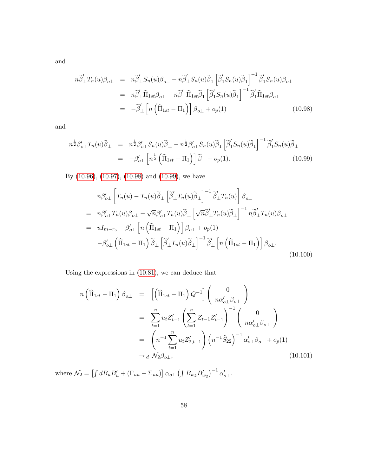and

<span id="page-58-0"></span>
$$
n\widetilde{\beta}'_{\perp}T_n(u)\beta_{o\perp} = n\widetilde{\beta}'_{\perp}S_n(u)\beta_{o\perp} - n\widetilde{\beta}'_{\perp}S_n(u)\widetilde{\beta}_1 \left[\widetilde{\beta}'_1S_n(u)\widetilde{\beta}_1\right]^{-1}\widetilde{\beta}'_1S_n(u)\beta_{o\perp}
$$
  
\n
$$
= n\widetilde{\beta}'_{\perp}\widehat{\Pi}_{1st}\beta_{o\perp} - n\widetilde{\beta}'_{\perp}\widehat{\Pi}_{1st}\widetilde{\beta}_1 \left[\widetilde{\beta}'_1S_n(u)\widetilde{\beta}_1\right]^{-1}\widetilde{\beta}'_1\widehat{\Pi}_{1st}\beta_{o\perp}
$$
  
\n
$$
= -\widetilde{\beta}'_{\perp} \left[n\left(\widehat{\Pi}_{1st} - \Pi_1\right)\right]\beta_{o\perp} + o_p(1) \tag{10.98}
$$

and

<span id="page-58-1"></span>
$$
n^{\frac{1}{2}}\beta'_{o\perp}T_n(u)\tilde{\beta}_{\perp} = n^{\frac{1}{2}}\beta'_{o\perp}S_n(u)\tilde{\beta}_{\perp} - n^{\frac{1}{2}}\beta'_{o\perp}S_n(u)\tilde{\beta}_{1} \left[\tilde{\beta}'_{1}S_n(u)\tilde{\beta}_{1}\right]^{-1}\tilde{\beta}'_{1}S_n(u)\tilde{\beta}_{\perp}
$$
  

$$
= -\beta'_{o\perp} \left[n^{\frac{1}{2}}\left(\hat{\Pi}_{1st} - \Pi_{1}\right)\right]\tilde{\beta}_{\perp} + o_{p}(1). \tag{10.99}
$$

By [\(10.96\)](#page-57-1), [\(10.97\)](#page-57-2), [\(10.98\)](#page-58-0) and [\(10.99\)](#page-58-1), we have

<span id="page-58-2"></span>
$$
n\beta'_{o\perp} \left[ T_n(u) - T_n(u)\tilde{\beta}_{\perp} \left[ \tilde{\beta}'_{\perp} T_n(u)\tilde{\beta}_{\perp} \right]^{-1} \tilde{\beta}'_{\perp} T_n(u) \right] \beta_{o\perp}
$$
  
\n
$$
= n\beta'_{o\perp} T_n(u)\beta_{o\perp} - \sqrt{n}\beta'_{o\perp} T_n(u)\tilde{\beta}_{\perp} \left[ \sqrt{n}\tilde{\beta}'_{\perp} T_n(u)\tilde{\beta}_{\perp} \right]^{-1} n\tilde{\beta}'_{\perp} T_n(u)\beta_{o\perp}
$$
  
\n
$$
= uI_{m-r_o} - \beta'_{o\perp} \left[ n \left( \hat{\Pi}_{1st} - \Pi_1 \right) \right] \beta_{o\perp} + o_p(1)
$$
  
\n
$$
-\beta'_{o\perp} \left( \hat{\Pi}_{1st} - \Pi_1 \right) \tilde{\beta}_{\perp} \left[ \tilde{\beta}'_{\perp} T_n(u)\tilde{\beta}_{\perp} \right]^{-1} \tilde{\beta}'_{\perp} \left[ n \left( \hat{\Pi}_{1st} - \Pi_1 \right) \right] \beta_{o\perp}.
$$
  
\n(10.100)

Using the expressions in [\(10.81\)](#page-54-1), we can deduce that

<span id="page-58-3"></span>
$$
n\left(\widehat{\Pi}_{1st} - \Pi_{1}\right)\beta_{o\perp} = \left[\left(\widehat{\Pi}_{1st} - \Pi_{1}\right)Q^{-1}\right]\begin{pmatrix} 0\\ n\alpha'_{o\perp}\beta_{o\perp} \end{pmatrix}
$$
  
\n
$$
= \sum_{t=1}^{n} u_{t}Z'_{t-1}\left(\sum_{t=1}^{n} Z_{t-1}Z'_{t-1}\right)^{-1}\begin{pmatrix} 0\\ n\alpha'_{o\perp}\beta_{o\perp} \end{pmatrix}
$$
  
\n
$$
= \left(n^{-1}\sum_{t=1}^{n} u_{t}Z'_{2,t-1}\right)\left(n^{-1}\widehat{S}_{22}\right)^{-1}\alpha'_{o\perp}\beta_{o\perp} + o_{p}(1)
$$
  
\n
$$
\rightarrow d\mathcal{N}_{2}\beta_{o\perp},
$$
\n(10.101)

where  $\mathcal{N}_2 = \left[ \int dB_u B_u' + (\Gamma_{uu} - \Sigma_{uu}) \right] \alpha_{o\perp} \left( \int B_{w_2} B_{w_2}' \right)^{-1} \alpha'_{o\perp}$ .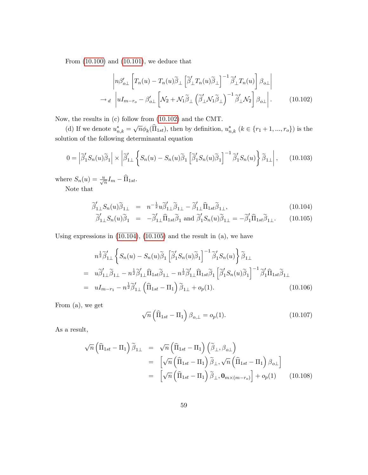From [\(10.100\)](#page-58-2) and [\(10.101\)](#page-58-3), we deduce that

<span id="page-59-0"></span>
$$
\left| n\beta'_{o\perp} \left[ T_n(u) - T_n(u)\tilde{\beta}_{\perp} \left[ \tilde{\beta}'_{\perp} T_n(u)\tilde{\beta}_{\perp} \right]^{-1} \tilde{\beta}'_{\perp} T_n(u) \right] \beta_{o\perp} \right|
$$
  
\n
$$
\rightarrow_d \left| uI_{m-r_o} - \beta'_{o\perp} \left[ \mathcal{N}_2 + \mathcal{N}_1 \tilde{\beta}_{\perp} \left( \tilde{\beta}'_{\perp} \mathcal{N}_1 \tilde{\beta}_{\perp} \right)^{-1} \tilde{\beta}'_{\perp} \mathcal{N}_2 \right] \beta_{o\perp} \right|.
$$
 (10.102)

Now, the results in (c) follow from [\(10.102\)](#page-59-0) and the CMT.

(d) If we denote  $u_{n,k}^* = \sqrt{n} \phi_k(\widehat{\Pi}_{1st})$ , then by definition,  $u_{n,k}^*$   $(k \in \{r_1+1, ..., r_o\})$  is the solution of the following determinantal equation

$$
0 = \left| \widetilde{\beta}'_1 S_n(u) \widetilde{\beta}_1 \right| \times \left| \widetilde{\beta}'_{1\perp} \left\{ S_n(u) - S_n(u) \widetilde{\beta}_1 \left[ \widetilde{\beta}'_1 S_n(u) \widetilde{\beta}_1 \right]^{-1} \widetilde{\beta}'_1 S_n(u) \right\} \widetilde{\beta}_{1\perp} \right|, \quad (10.103)
$$

where  $S_n(u) = \frac{u}{\sqrt{n}} I_m - \widehat{\Pi}_{1st}$ . Note that

$$
\widetilde{\beta}'_{1\perp} S_n(u) \widetilde{\beta}_{1\perp} = n^{-\frac{1}{2}} u \widetilde{\beta}'_{1\perp} \widetilde{\beta}_{1\perp} - \widetilde{\beta}'_{1\perp} \widehat{\Pi}_{1st} \widetilde{\beta}_{1\perp},
$$
\n(10.104)

<span id="page-59-1"></span>
$$
\widetilde{\beta}'_{1\perp} S_n(u) \widetilde{\beta}_1 = -\widetilde{\beta}'_{1\perp} \widehat{\Pi}_{1st} \widetilde{\beta}_1 \text{ and } \widetilde{\beta}'_1 S_n(u) \widetilde{\beta}_{1\perp} = -\widetilde{\beta}'_1 \widehat{\Pi}_{1st} \widetilde{\beta}_{1\perp}. \tag{10.105}
$$

Using expressions in  $(10.104)$ ,  $(10.105)$  and the result in  $(a)$ , we have

<span id="page-59-2"></span>
$$
n^{\frac{1}{2}}\tilde{\beta}'_{1\perp} \left\{ S_n(u) - S_n(u)\tilde{\beta}_1 \left[ \tilde{\beta}'_1 S_n(u) \tilde{\beta}_1 \right]^{-1} \tilde{\beta}'_1 S_n(u) \right\} \tilde{\beta}_{1\perp}
$$
  
\n
$$
= u\tilde{\beta}'_{1\perp}\tilde{\beta}_{1\perp} - n^{\frac{1}{2}}\tilde{\beta}'_{1\perp}\tilde{\Pi}_{1st}\tilde{\beta}_{1\perp} - n^{\frac{1}{2}}\tilde{\beta}'_{1\perp}\tilde{\Pi}_{1st}\tilde{\beta}_1 \left[ \tilde{\beta}'_1 S_n(u) \tilde{\beta}_1 \right]^{-1} \tilde{\beta}'_1 \tilde{\Pi}_{1st}\tilde{\beta}_{1\perp}
$$
  
\n
$$
= uI_{m-r_1} - n^{\frac{1}{2}}\tilde{\beta}'_{1\perp} \left( \tilde{\Pi}_{1st} - \Pi_1 \right) \tilde{\beta}_{1\perp} + o_p(1). \tag{10.106}
$$

From (a), we get

$$
\sqrt{n}\left(\widehat{\Pi}_{1st} - \Pi_1\right)\beta_{o,\perp} = o_p(1). \tag{10.107}
$$

As a result,

$$
\sqrt{n} \left( \widehat{\Pi}_{1st} - \Pi_1 \right) \widetilde{\beta}_{1\perp} = \sqrt{n} \left( \widehat{\Pi}_{1st} - \Pi_1 \right) \left( \widetilde{\beta}_{\perp}, \beta_{o\perp} \right)
$$
  
\n
$$
= \left[ \sqrt{n} \left( \widehat{\Pi}_{1st} - \Pi_1 \right) \widetilde{\beta}_{\perp}, \sqrt{n} \left( \widehat{\Pi}_{1st} - \Pi_1 \right) \beta_{o\perp} \right]
$$
  
\n
$$
= \left[ \sqrt{n} \left( \widehat{\Pi}_{1st} - \Pi_1 \right) \widetilde{\beta}_{\perp}, \mathbf{0}_{m \times (m - r_o)} \right] + o_p(1) \qquad (10.108)
$$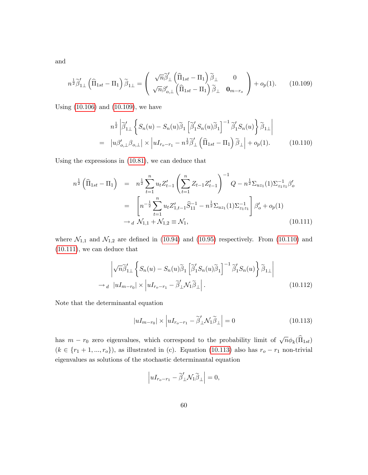and

<span id="page-60-0"></span>
$$
n^{\frac{1}{2}}\widetilde{\beta}'_{1\perp}\left(\widehat{\Pi}_{1st}-\Pi_{1}\right)\widetilde{\beta}_{1\perp}=\left(\begin{array}{cc} \sqrt{n}\widetilde{\beta}'_{\perp}\left(\widehat{\Pi}_{1st}-\Pi_{1}\right)\widetilde{\beta}_{\perp} & 0\\ \sqrt{n}\beta'_{o,\perp}\left(\widehat{\Pi}_{1st}-\Pi_{1}\right)\widetilde{\beta}_{\perp} & \mathbf{0}_{m-r_{o}} \end{array}\right)+o_{p}(1). \qquad(10.109)
$$

Using [\(10.106\)](#page-59-2) and [\(10.109\)](#page-60-0), we have

<span id="page-60-1"></span>
$$
n^{\frac{1}{2}} \left| \widetilde{\beta}'_{1\perp} \left\{ S_n(u) - S_n(u) \widetilde{\beta}_1 \left[ \widetilde{\beta}'_1 S_n(u) \widetilde{\beta}_1 \right]^{-1} \widetilde{\beta}'_1 S_n(u) \right\} \widetilde{\beta}_{1\perp} \right|
$$
  
= 
$$
|u \beta'_{o,\perp} \beta_{o,\perp} | \times |uI_{r_o-r_1} - n^{\frac{1}{2}} \widetilde{\beta}'_{\perp} \left( \widehat{\Pi}_{1st} - \Pi_1 \right) \widetilde{\beta}_{\perp} | + o_p(1).
$$
 (10.110)

Using the expressions in [\(10.81\)](#page-54-1), we can deduce that

<span id="page-60-2"></span>
$$
n^{\frac{1}{2}} \left( \widehat{\Pi}_{1st} - \Pi_{1} \right) = n^{\frac{1}{2}} \sum_{t=1}^{n} u_{t} Z_{t-1}' \left( \sum_{t=1}^{n} Z_{t-1} Z_{t-1}' \right)^{-1} Q - n^{\frac{1}{2}} \Sigma_{uz_{1}}(1) \Sigma_{z_{1}z_{1}}^{-1} \beta_{o}'
$$

$$
= \left[ n^{-\frac{1}{2}} \sum_{t=1}^{n} u_{t} Z_{1,t-1}' \widehat{S}_{11}^{-1} - n^{\frac{1}{2}} \Sigma_{uz_{1}}(1) \Sigma_{z_{1}z_{1}}^{-1} \right] \beta_{o}' + o_{p}(1)
$$

$$
\rightarrow d \mathcal{N}_{1,1} + \mathcal{N}_{1,2} \equiv \mathcal{N}_{1}, \tag{10.111}
$$

where  $\mathcal{N}_{1,1}$  and  $\mathcal{N}_{1,2}$  are defined in [\(10.94\)](#page-57-3) and [\(10.95\)](#page-57-0) respectively. From [\(10.110\)](#page-60-1) and [\(10.111\)](#page-60-2), we can deduce that

$$
\left| \sqrt{n} \widetilde{\beta}'_{1\perp} \left\{ S_n(u) - S_n(u) \widetilde{\beta}_1 \left[ \widetilde{\beta}'_1 S_n(u) \widetilde{\beta}_1 \right]^{-1} \widetilde{\beta}'_1 S_n(u) \right\} \widetilde{\beta}_{1\perp} \right|
$$
  
\n
$$
\rightarrow_d \left| uI_{m-r_0} \right| \times \left| uI_{r_0-r_1} - \widetilde{\beta}'_1 \mathcal{N}_1 \widetilde{\beta}_1 \right|.
$$
 (10.112)

Note that the determinantal equation

<span id="page-60-3"></span>
$$
|uI_{m-r_0}| \times \left| uI_{r_o-r_1} - \tilde{\beta}'_{\perp} \mathcal{N}_1 \tilde{\beta}_{\perp} \right| = 0 \tag{10.113}
$$

has  $m - r_0$  zero eigenvalues, which correspond to the probability limit of  $\sqrt{n}\phi_k(\widehat{\Pi}_{1st})$  $(k \in \{r_1 + 1, ..., r_o\})$ , as illustrated in (c). Equation [\(10.113\)](#page-60-3) also has  $r_o - r_1$  non-trivial eigenvalues as solutions of the stochastic determinantal equation

$$
\left| uI_{r_o-r_1} - \widetilde{\beta}'_\perp \mathcal{N}_1 \widetilde{\beta}_\perp \right| = 0,
$$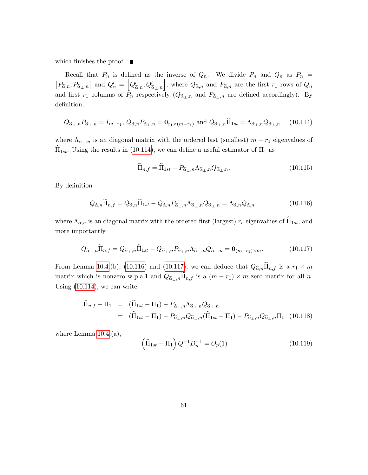which finishes the proof.  $\blacksquare$ 

Recall that  $P_n$  is defined as the inverse of  $Q_n$ . We divide  $P_n$  and  $Q_n$  as  $P_n$  =  $[P_{\tilde{\alpha},n},P_{\tilde{\alpha}_{\perp},n}]$  and  $Q'_n = [Q'_{\tilde{\alpha},n},Q'_{\tilde{\alpha}_{\perp},n}]$ , where  $Q_{\tilde{\alpha},n}$  and  $P_{\tilde{\alpha},n}$  are the first  $r_1$  rows of  $Q_n$ and first  $r_1$  columns of  $P_n$  respectively  $(Q_{\tilde{\alpha}_{\perp,n}})$  and  $P_{\tilde{\alpha}_{\perp,n}}$  are defined accordingly). By definition,

<span id="page-61-0"></span>
$$
Q_{\widetilde{\alpha}_{\perp},n}P_{\widetilde{\alpha}_{\perp},n} = I_{m-r_1}, \ Q_{\widetilde{\alpha},n}P_{\widetilde{\alpha}_{\perp},n} = \mathbf{0}_{r_1 \times (m-r_1)} \text{ and } Q_{\widetilde{\alpha}_{\perp},n}\widehat{\Pi}_{1st} = \Lambda_{\widetilde{\alpha}_{\perp},n}Q_{\widetilde{\alpha}_{\perp},n} \qquad (10.114)
$$

where  $\Lambda_{\tilde{\alpha}_{\perp},n}$  is an diagonal matrix with the ordered last (smallest)  $m - r_1$  eigenvalues of  $\Pi_{1st}$ . Using the results in [\(10.114\)](#page-61-0), we can define a useful estimator of  $\Pi_1$  as

$$
\widetilde{\Pi}_{n,f} = \widehat{\Pi}_{1st} - P_{\widetilde{\alpha}_{\perp},n} \Lambda_{\widetilde{\alpha}_{\perp},n} Q_{\widetilde{\alpha}_{\perp},n}.
$$
\n(10.115)

By definition

<span id="page-61-1"></span>
$$
Q_{\widetilde{\alpha},n}\widetilde{\Pi}_{n,f} = Q_{\widetilde{\alpha},n}\widehat{\Pi}_{1st} - Q_{\widetilde{\alpha},n}P_{\widetilde{\alpha}_{\perp},n}\Lambda_{\widetilde{\alpha}_{\perp},n}Q_{\widetilde{\alpha}_{\perp},n} = \Lambda_{\widetilde{\alpha},n}Q_{\widetilde{\alpha},n}
$$
(10.116)

where  $\Lambda_{\tilde{\alpha},n}$  is an diagonal matrix with the ordered first (largest)  $r_o$  eigenvalues of  $\widehat{\Pi}_{1st}$ , and more importantly

<span id="page-61-2"></span>
$$
Q_{\widetilde{\alpha}_{\perp},n}\widetilde{\Pi}_{n,f} = Q_{\widetilde{\alpha}_{\perp},n}\widehat{\Pi}_{1st} - Q_{\widetilde{\alpha}_{\perp},n}P_{\widetilde{\alpha}_{\perp},n}\Lambda_{\widetilde{\alpha}_{\perp},n}Q_{\widetilde{\alpha}_{\perp},n} = \mathbf{0}_{(m-r_1)\times m}.
$$
 (10.117)

From Lemma [10.4.](#page-54-0)(b), [\(10.116\)](#page-61-1) and [\(10.117\)](#page-61-2), we can deduce that  $Q_{\widetilde{\alpha},n}\Pi_{n,f}$  is a  $r_1 \times m$ matrix which is nonzero w.p.a.1 and  $Q_{\tilde{\alpha}_{\perp},n}\Pi_{n,f}$  is a  $(m - r_1) \times m$  zero matrix for all n. Using [\(10.114\)](#page-61-0), we can write

<span id="page-61-3"></span>
$$
\widetilde{\Pi}_{n,f} - \Pi_1 = (\widehat{\Pi}_{1st} - \Pi_1) - P_{\widetilde{\alpha}_{\perp},n} \Lambda_{\widetilde{\alpha}_{\perp},n} Q_{\widetilde{\alpha}_{\perp},n}
$$
\n
$$
= (\widehat{\Pi}_{1st} - \Pi_1) - P_{\widetilde{\alpha}_{\perp},n} Q_{\widetilde{\alpha}_{\perp},n} (\widehat{\Pi}_{1st} - \Pi_1) - P_{\widetilde{\alpha}_{\perp},n} Q_{\widetilde{\alpha}_{\perp},n} \Pi_1 \quad (10.118)
$$

where Lemma  $10.4(a)$ ,

<span id="page-61-4"></span>
$$
\left(\widehat{\Pi}_{1st} - \Pi_1\right) Q^{-1} D_n^{-1} = O_p(1) \tag{10.119}
$$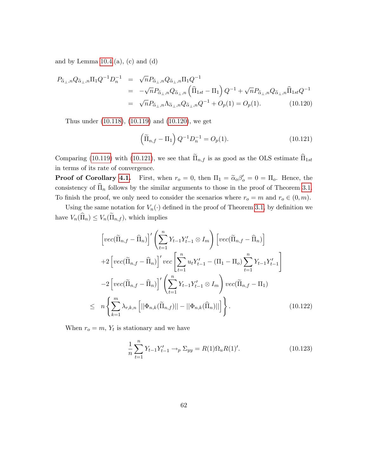and by Lemma  $10.4(a)$ , (c) and (d)

<span id="page-62-0"></span>
$$
P_{\tilde{\alpha}_{\perp},n}Q_{\tilde{\alpha}_{\perp},n}\Pi_{1}Q^{-1}D_{n}^{-1} = \sqrt{n}P_{\tilde{\alpha}_{\perp},n}Q_{\tilde{\alpha}_{\perp},n}\Pi_{1}Q^{-1}
$$
  
\n
$$
= -\sqrt{n}P_{\tilde{\alpha}_{\perp},n}Q_{\tilde{\alpha}_{\perp},n}\left(\hat{\Pi}_{1st} - \Pi_{1}\right)Q^{-1} + \sqrt{n}P_{\tilde{\alpha}_{\perp},n}Q_{\tilde{\alpha}_{\perp},n}\hat{\Pi}_{1st}Q^{-1}
$$
  
\n
$$
= \sqrt{n}P_{\tilde{\alpha}_{\perp},n}\Lambda_{\tilde{\alpha}_{\perp},n}Q_{\tilde{\alpha}_{\perp},n}Q^{-1} + O_{p}(1) = O_{p}(1).
$$
 (10.120)

Thus under [\(10.118\)](#page-61-3), [\(10.119\)](#page-61-4) and [\(10.120\)](#page-62-0), we get

<span id="page-62-1"></span>
$$
\left(\widetilde{\Pi}_{n,f} - \Pi_1\right) Q^{-1} D_n^{-1} = O_p(1). \tag{10.121}
$$

Comparing [\(10.119\)](#page-61-4) with [\(10.121\)](#page-62-1), we see that  $\tilde{\Pi}_{n,f}$  is as good as the OLS estimate  $\hat{\Pi}_{1st}$ in terms of its rate of convergence.

**Proof of Corollary [4.1.](#page-15-1)** First, when  $r_o = 0$ , then  $\Pi_1 = \tilde{\alpha}_o \beta'_o = 0 = \Pi_o$ . Hence, the consistency of  $\widehat{\Pi}_n$  follows by the similar arguments to those in the proof of Theorem [3.1.](#page-9-1) To finish the proof, we only need to consider the scenarios where  $r_o = m$  and  $r_o \in (0, m)$ .

Using the same notation for  $V_n(\cdot)$  defined in the proof of Theorem [3.1,](#page-9-1) by definition we have  $V_n(\widehat{\Pi}_n) \leq V_n(\widetilde{\Pi}_{n,f}),$  which implies

<span id="page-62-2"></span>
$$
\left[ vec(\widetilde{\Pi}_{n,f} - \widehat{\Pi}_{n}) \right]' \left( \sum_{t=1}^{n} Y_{t-1} Y_{t-1}' \otimes I_{m} \right) \left[ vec(\widetilde{\Pi}_{n,f} - \widehat{\Pi}_{n}) \right]
$$
  
+2 
$$
\left[ vec(\widetilde{\Pi}_{n,f} - \widehat{\Pi}_{n}) \right]' vec \left[ \sum_{t=1}^{n} u_{t} Y_{t-1}' - (\Pi_{1} - \Pi_{o}) \sum_{t=1}^{n} Y_{t-1} Y_{t-1}' \right]
$$
  
-2 
$$
\left[ vec(\widetilde{\Pi}_{n,f} - \widehat{\Pi}_{n}) \right]' \left( \sum_{t=1}^{n} Y_{t-1} Y_{t-1}' \otimes I_{m} \right) vec(\widetilde{\Pi}_{n,f} - \Pi_{1})
$$
  

$$
\leq n \left\{ \sum_{k=1}^{m} \lambda_{r,k,n} \left[ ||\Phi_{n,k}(\widetilde{\Pi}_{n,f})|| - ||\Phi_{n,k}(\widehat{\Pi}_{n})|| \right] \right\}.
$$
 (10.122)

When  $r_o = m$ ,  $Y_t$  is stationary and we have

<span id="page-62-3"></span>
$$
\frac{1}{n}\sum_{t=1}^{n}Y_{t-1}Y_{t-1}' \to_{p} \Sigma_{yy} = R(1)\Omega_{u}R(1)'.
$$
 (10.123)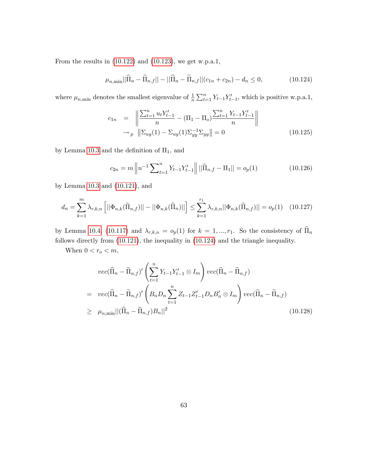From the results in [\(10.122\)](#page-62-2) and [\(10.123\)](#page-62-3), we get w.p.a.1,

<span id="page-63-0"></span>
$$
\mu_{n,\min}||\widehat{\Pi}_n - \widetilde{\Pi}_{n,f}|| - ||\widehat{\Pi}_n - \widetilde{\Pi}_{n,f}||(c_{1n} + c_{2n}) - d_n \le 0,
$$
\n(10.124)

where  $\mu_{n,\text{min}}$  denotes the smallest eigenvalue of  $\frac{1}{n} \sum_{t=1}^{n} Y_{t-1} Y'_{t-1}$ , which is positive w.p.a.1,

$$
c_{1n} = \left\| \frac{\sum_{t=1}^{n} u_t Y_{t-1}'}{n} - (\Pi_1 - \Pi_o) \frac{\sum_{t=1}^{n} Y_{t-1} Y_{t-1}'}{n} \right\|
$$
  
\n
$$
\to_p \left\| \sum_{uy} (1) - \sum_{uy} (1) \sum_{yy}^{-1} \sum_{yy} \right\| = 0
$$
 (10.125)

by Lemma [10.3](#page-52-1) and the definition of  $\Pi_1$ , and

$$
c_{2n} = m \left\| n^{-1} \sum_{t=1}^{n} Y_{t-1} Y_{t-1}' \right\| ||\widetilde{\Pi}_{n,f} - \Pi_1|| = o_p(1)
$$
 (10.126)

by Lemma [10.3](#page-52-1) and [\(10.121\)](#page-62-1), and

<span id="page-63-1"></span>
$$
d_n = \sum_{k=1}^{m} \lambda_{r,k,n} \left[ ||\Phi_{n,k}(\tilde{\Pi}_{n,f})|| - ||\Phi_{n,k}(\hat{\Pi}_n)|| \right] \le \sum_{k=1}^{r_1} \lambda_{r,k,n} ||\Phi_{n,k}(\tilde{\Pi}_{n,f})|| = o_p(1) \quad (10.127)
$$

by Lemma [10.4,](#page-54-0) [\(10.117\)](#page-61-2) and  $\lambda_{r,k,n} = o_p(1)$  for  $k = 1, ..., r_1$ . So the consistency of  $\widehat{\Pi}_n$ follows directly from [\(10.121\)](#page-62-1), the inequality in [\(10.124\)](#page-63-0) and the triangle inequality.

When  $0 < r_o < m$ ,

$$
vec(\widehat{\Pi}_n - \widetilde{\Pi}_{n,f})' \left( \sum_{t=1}^n Y_{t-1} Y_{t-1}' \otimes I_m \right) vec(\widehat{\Pi}_n - \widetilde{\Pi}_{n,f})
$$
  
= 
$$
vec(\widehat{\Pi}_n - \widetilde{\Pi}_{n,f})' \left( B_n D_n \sum_{t=1}^n Z_{t-1} Z_{t-1}' D_n B_n' \otimes I_m \right) vec(\widehat{\Pi}_n - \widetilde{\Pi}_{n,f})
$$
  

$$
\geq \mu_{n,\min} ||(\widehat{\Pi}_n - \widetilde{\Pi}_{n,f}) B_n||^2
$$
(10.128)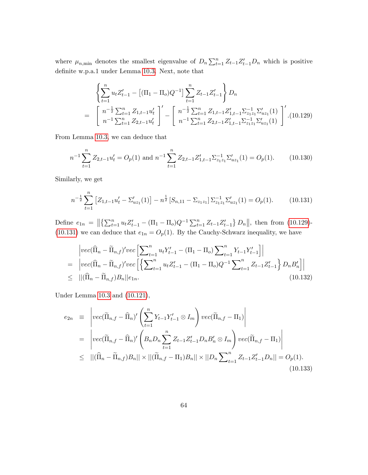where  $\mu_{n,\min}$  denotes the smallest eigenvalue of  $D_n \sum_{t=1}^n Z_{t-1}Z_{t-1}'D_n$  which is positive definite w.p.a.1 under Lemma [10.3.](#page-52-1) Next, note that

<span id="page-64-0"></span>
$$
\left\{\sum_{t=1}^{n} u_t Z_{t-1}^{\prime} - \left[ (\Pi_1 - \Pi_o) Q^{-1} \right] \sum_{t=1}^{n} Z_{t-1} Z_{t-1}^{\prime} \right\} D_n
$$
\n
$$
= \left[ n^{-\frac{1}{2}} \sum_{t=1}^{n} Z_{1,t-1} u_t^{\prime} \right]^{\prime} - \left[ n^{-\frac{1}{2}} \sum_{t=1}^{n} Z_{1,t-1} Z_{1,t-1}^{\prime} \sum_{t=1}^{-1} \sum_{t=1}^{n} Z_{1,t-1}^{\prime} \right]^{\prime} . (10.129)
$$
\n
$$
= \left[ n^{-1} \sum_{t=1}^{n} Z_{2,t-1} u_t^{\prime} \right]^{\prime} - \left[ n^{-1} \sum_{t=1}^{n} Z_{2,t-1} Z_{1,t-1}^{\prime} \sum_{t=1}^{-1} \sum_{t=1}^{n} Z_{1,t-1}^{\prime} \sum_{t=1}^{-1} \sum_{t=1}^{-1} \sum_{t=1}^{n} \sum_{t=1}^{n} \sum_{t=1}^{n} \sum_{t=1}^{n} \sum_{t=1}^{n} \sum_{t=1}^{n} \sum_{t=1}^{n} \sum_{t=1}^{n} \sum_{t=1}^{n} \sum_{t=1}^{n} \sum_{t=1}^{n} \sum_{t=1}^{n} \sum_{t=1}^{n} \sum_{t=1}^{n} \sum_{t=1}^{n} \sum_{t=1}^{n} \sum_{t=1}^{n} \sum_{t=1}^{n} \sum_{t=1}^{n} \sum_{t=1}^{n} \sum_{t=1}^{n} \sum_{t=1}^{n} \sum_{t=1}^{n} \sum_{t=1}^{n} \sum_{t=1}^{n} \sum_{t=1}^{n} \sum_{t=1}^{n} \sum_{t=1}^{n} \sum_{t=1}^{n} \sum_{t=1}^{n} \sum_{t=1}^{n} \sum_{t=1}^{n} \sum_{t=1}^{n} \sum_{t=1}^{n} \sum_{t=1}^{n} \sum_{t=1}^{n} \sum_{t=1}^{n} \sum_{t=1}^{n} \sum_{t=1}^{n} \sum_{t=1}^{n} \sum_{t=1}^{
$$

From Lemma [10.3,](#page-52-1) we can deduce that

<span id="page-64-4"></span>
$$
n^{-1} \sum_{t=1}^{n} Z_{2,t-1} u'_t = O_p(1) \text{ and } n^{-1} \sum_{t=1}^{n} Z_{2,t-1} Z'_{1,t-1} \Sigma_{z_1 z_1}^{-1} \Sigma'_{uz_1}(1) = O_p(1). \tag{10.130}
$$

Similarly, we get

<span id="page-64-1"></span>
$$
n^{-\frac{1}{2}}\sum_{t=1}^{n} \left[ Z_{1,t-1}u_t' - \Sigma_{uz_1}'(1) \right] - n^{\frac{1}{2}} \left[ S_{n,11} - \Sigma_{z_1 z_1} \right] \Sigma_{z_1 z_1}^{-1} \Sigma_{uz_1}'(1) = O_p(1). \tag{10.131}
$$

Define  $e_{1n} = \left\| \left\{ \sum_{t=1}^{n} u_t Z_{t-1}' - (\Pi_1 - \Pi_o) Q^{-1} \sum_{t=1}^{n} Z_{t-1} Z_{t-1}' \right\} D_n \right\|$ , then from [\(10.129\)](#page-64-0)-[\(10.131\)](#page-64-1) we can deduce that  $e_{1n} = O_p(1)$ . By the Cauchy-Schwarz inequality, we have

<span id="page-64-2"></span>
$$
\begin{aligned}\n|vec(\hat{\Pi}_{n} - \tilde{\Pi}_{n,f})'vec\left[\sum_{t=1}^{n} u_{t} Y_{t-1}' - (\Pi_{1} - \Pi_{o}) \sum_{t=1}^{n} Y_{t-1} Y_{t-1}'\right] \\
= \left|vec(\hat{\Pi}_{n} - \tilde{\Pi}_{n,f})'vec\left[\left\{\sum_{t=1}^{n} u_{t} Z_{t-1}' - (\Pi_{1} - \Pi_{o}) Q^{-1} \sum_{t=1}^{n} Z_{t-1} Z_{t-1}'\right\} D_{n} B_{n}'\right]\right| \\
\leq ||(\hat{\Pi}_{n} - \tilde{\Pi}_{n,f}) B_{n}||e_{1n}.\n\end{aligned} \tag{10.132}
$$

Under Lemma [10.3](#page-52-1) and [\(10.121\)](#page-62-1),

<span id="page-64-3"></span>
$$
e_{2n} \equiv \left| \text{vec}(\widetilde{\Pi}_{n,f} - \widehat{\Pi}_{n})' \left( \sum_{t=1}^{n} Y_{t-1} Y_{t-1}' \otimes I_{m} \right) \text{vec}(\widetilde{\Pi}_{n,f} - \Pi_{1}) \right|
$$
  
\n
$$
= \left| \text{vec}(\widetilde{\Pi}_{n,f} - \widehat{\Pi}_{n})' \left( B_{n} D_{n} \sum_{t=1}^{n} Z_{t-1} Z_{t-1}' D_{n} B_{n}' \otimes I_{m} \right) \text{vec}(\widetilde{\Pi}_{n,f} - \Pi_{1}) \right|
$$
  
\n
$$
\leq ||(\widehat{\Pi}_{n} - \widetilde{\Pi}_{n,f}) B_{n}|| \times ||(\widetilde{\Pi}_{n,f} - \Pi_{1}) B_{n}|| \times ||D_{n} \sum_{t=1}^{n} Z_{t-1} Z_{t-1}' D_{n}|| = O_{p}(1).
$$
  
\n(10.133)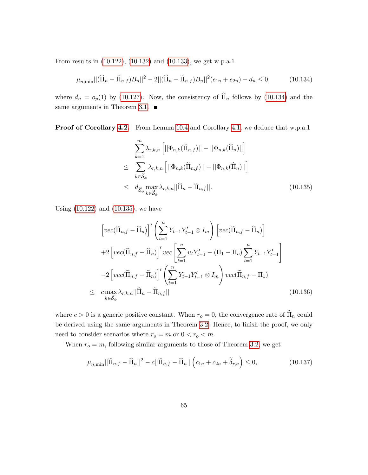From results in [\(10.122\)](#page-62-2), [\(10.132\)](#page-64-2) and [\(10.133\)](#page-64-3), we get w.p.a.1

<span id="page-65-0"></span>
$$
\mu_{n,\min} ||(\widehat{\Pi}_n - \widetilde{\Pi}_{n,f})B_n||^2 - 2||(\widehat{\Pi}_n - \widetilde{\Pi}_{n,f})B_n||^2(e_{1n} + e_{2n}) - d_n \le 0 \tag{10.134}
$$

where  $d_n = o_p(1)$  by [\(10.127\)](#page-63-1). Now, the consistency of  $\widehat{\Pi}_n$  follows by [\(10.134\)](#page-65-0) and the same arguments in Theorem [3.1.](#page-9-1)  $\blacksquare$ 

Proof of Corollary [4.2.](#page-15-2) From Lemma [10.4](#page-54-0) and Corollary [4.1,](#page-15-1) we deduce that w.p.a.1

<span id="page-65-1"></span>
$$
\sum_{k=1}^{m} \lambda_{r,k,n} \left[ ||\Phi_{n,k}(\widetilde{\Pi}_{n,f})|| - ||\Phi_{n,k}(\widehat{\Pi}_{n})|| \right]
$$
\n
$$
\leq \sum_{k \in \widetilde{\mathcal{S}}_{\phi}} \lambda_{r,k,n} \left[ ||\Phi_{n,k}(\widetilde{\Pi}_{n,f})|| - ||\Phi_{n,k}(\widehat{\Pi}_{n})|| \right]
$$
\n
$$
\leq d_{\widetilde{\mathcal{S}}_{\phi}} \max_{k \in \widetilde{\mathcal{S}}_{\phi}} \lambda_{r,k,n} ||\widehat{\Pi}_{n} - \widetilde{\Pi}_{n,f}||. \tag{10.135}
$$

Using [\(10.122\)](#page-62-2) and [\(10.135\)](#page-65-1), we have

<span id="page-65-3"></span>
$$
\left[ vec(\widetilde{\Pi}_{n,f} - \widehat{\Pi}_{n}) \right]' \left( \sum_{t=1}^{n} Y_{t-1} Y_{t-1}' \otimes I_{m} \right) \left[ vec(\widetilde{\Pi}_{n,f} - \widehat{\Pi}_{n}) \right]
$$
  
+2 
$$
\left[ vec(\widetilde{\Pi}_{n,f} - \widehat{\Pi}_{n}) \right]' vec \left[ \sum_{t=1}^{n} u_{t} Y_{t-1}' - (\Pi_{1} - \Pi_{o}) \sum_{t=1}^{n} Y_{t-1} Y_{t-1}' \right]
$$
  
-2 
$$
\left[ vec(\widetilde{\Pi}_{n,f} - \widehat{\Pi}_{n}) \right]' \left( \sum_{t=1}^{n} Y_{t-1} Y_{t-1}' \otimes I_{m} \right) vec(\widetilde{\Pi}_{n,f} - \Pi_{1})
$$
  

$$
\leq c \max_{k \in \widetilde{S}_{\phi}} \lambda_{r,k,n} ||\widehat{\Pi}_{n} - \widetilde{\Pi}_{n,f}||
$$
(10.136)

where  $c > 0$  is a generic positive constant. When  $r_o = 0$ , the convergence rate of  $\widehat{\Pi}_n$  could be derived using the same arguments in Theorem [3.2.](#page-10-0) Hence, to finish the proof, we only need to consider scenarios where  $r_o = m$  or  $0 < r_o < m$ .

When  $r_o = m$ , following similar arguments to those of Theorem [3.2,](#page-10-0) we get

<span id="page-65-2"></span>
$$
\mu_{n,\min}||\widetilde{\Pi}_{n,f} - \widehat{\Pi}_n||^2 - c||\widetilde{\Pi}_{n,f} - \widehat{\Pi}_n||\left(c_{1n} + c_{2n} + \widetilde{\delta}_{r,n}\right) \le 0,\tag{10.137}
$$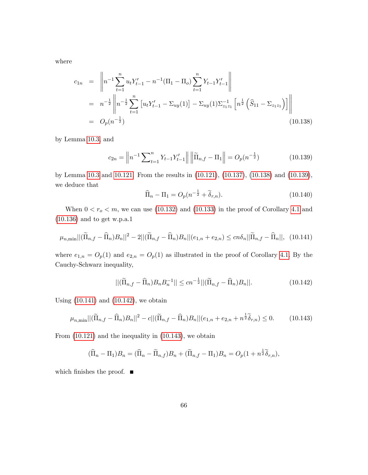where

<span id="page-66-0"></span>
$$
c_{1n} = \left\| n^{-1} \sum_{t=1}^{n} u_t Y_{t-1}' - n^{-1} (\Pi_1 - \Pi_o) \sum_{t=1}^{n} Y_{t-1} Y_{t-1}' \right\|
$$
  
=  $n^{-\frac{1}{2}} \left\| n^{-\frac{1}{2}} \sum_{t=1}^{n} \left[ u_t Y_{t-1}' - \Sigma_{uy}(1) \right] - \Sigma_{uy}(1) \Sigma_{z_1 z_1}^{-1} \left[ n^{\frac{1}{2}} \left( \widehat{S}_{11} - \Sigma_{z_1 z_1} \right) \right] \right\|$   
=  $O_p(n^{-\frac{1}{2}})$  (10.138)

by Lemma [10.3,](#page-52-1) and

<span id="page-66-1"></span>
$$
c_{2n} = \left\| n^{-1} \sum_{t=1}^{n} Y_{t-1} Y_{t-1}' \right\| \left\| \widetilde{\Pi}_{n,f} - \Pi_{1} \right\| = O_p(n^{-\frac{1}{2}})
$$
(10.139)

by Lemma [10.3](#page-52-1) and [10.121.](#page-62-1) From the results in [\(10.121\)](#page-62-1), [\(10.137\)](#page-65-2), [\(10.138\)](#page-66-0) and [\(10.139\)](#page-66-1), we deduce that

$$
\widehat{\Pi}_n - \Pi_1 = O_p(n^{-\frac{1}{2}} + \widetilde{\delta}_{r,n}).
$$
\n(10.140)

When  $0 < r_o < m$ , we can use [\(10.132\)](#page-64-2) and [\(10.133\)](#page-64-3) in the proof of Corollary [4.1](#page-15-1) and [\(10.136\)](#page-65-3) and to get w.p.a.1

<span id="page-66-2"></span>
$$
\mu_{n,\min} ||(\widetilde{\Pi}_{n,f} - \widehat{\Pi}_n)B_n||^2 - 2||(\widetilde{\Pi}_{n,f} - \widehat{\Pi}_n)B_n||(e_{1,n} + e_{2,n}) \le cn\delta_n ||\widetilde{\Pi}_{n,f} - \widehat{\Pi}_n||, \tag{10.141}
$$

where  $e_{1,n} = O_p(1)$  and  $e_{2,n} = O_p(1)$  as illustrated in the proof of Corollary [4.1.](#page-15-1) By the Cauchy-Schwarz inequality,

<span id="page-66-3"></span>
$$
||(\widetilde{\Pi}_{n,f} - \widehat{\Pi}_n)B_n B_n^{-1}|| \le cn^{-\frac{1}{2}} ||(\widetilde{\Pi}_{n,f} - \widehat{\Pi}_n)B_n||. \tag{10.142}
$$

Using [\(10.141\)](#page-66-2) and [\(10.142\)](#page-66-3), we obtain

<span id="page-66-4"></span>
$$
\mu_{n,\min} ||(\widetilde{\Pi}_{n,f} - \widehat{\Pi}_n)B_n||^2 - c||(\widetilde{\Pi}_{n,f} - \widehat{\Pi}_n)B_n||(e_{1,n} + e_{2,n} + n^{\frac{1}{2}}\widetilde{\delta}_{r,n}) \le 0. \tag{10.143}
$$

From [\(10.121\)](#page-62-1) and the inequality in [\(10.143\)](#page-66-4), we obtain

$$
(\widehat{\Pi}_n - \Pi_1)B_n = (\widehat{\Pi}_n - \widetilde{\Pi}_{n,f})B_n + (\widetilde{\Pi}_{n,f} - \Pi_1)B_n = O_p(1 + n^{\frac{1}{2}}\widetilde{\delta}_{r,n}),
$$

which finishes the proof.  $\blacksquare$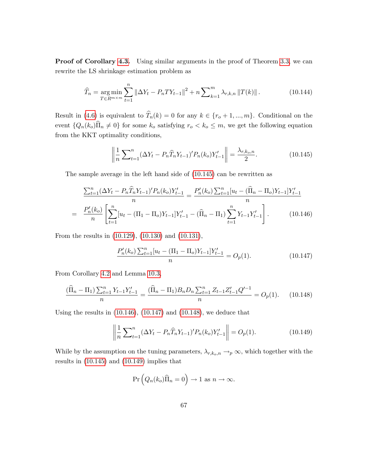**Proof of Corollary [4.3.](#page-16-0)** Using similar arguments in the proof of Theorem [3.3,](#page-11-1) we can rewrite the LS shrinkage estimation problem as

$$
\widehat{T}_n = \underset{T \in R^{m \times m}}{\arg \min} \sum_{t=1}^n \left\| \Delta Y_t - P_n T Y_{t-1} \right\|^2 + n \sum_{k=1}^m \lambda_{r,k,n} \left\| T(k) \right\|. \tag{10.144}
$$

Result in [\(4.6\)](#page-16-1) is equivalent to  $\widehat{T}_n(k) = 0$  for any  $k \in \{r_o + 1, ..., m\}$ . Conditional on the event  $\{Q_n(k_o)\hat{\Pi}_n \neq 0\}$  for some  $k_o$  satisfying  $r_o < k_o \leq m$ , we get the following equation from the KKT optimality conditions,

<span id="page-67-0"></span>
$$
\left\| \frac{1}{n} \sum_{t=1}^{n} (\Delta Y_t - P_n \widehat{T}_n Y_{t-1})' P_n(k_o) Y_{t-1}' \right\| = \frac{\lambda_{r,k_o,n}}{2}.
$$
 (10.145)

The sample average in the left hand side of [\(10.145\)](#page-67-0) can be rewritten as

<span id="page-67-1"></span>
$$
\frac{\sum_{t=1}^{n} (\Delta Y_t - P_n \widehat{T}_n Y_{t-1})' P_n(k_o) Y'_{t-1}}{n} = \frac{P'_n(k_o) \sum_{t=1}^{n} [u_t - (\widehat{\Pi}_n - \Pi_o) Y_{t-1}] Y'_{t-1}}{n}
$$
\n
$$
= \frac{P'_n(k_o)}{n} \left[ \sum_{t=1}^{n} [u_t - (\Pi_1 - \Pi_o) Y_{t-1}] Y'_{t-1} - (\widehat{\Pi}_n - \Pi_1) \sum_{t=1}^{n} Y_{t-1} Y'_{t-1} \right]. \tag{10.146}
$$

From the results in [\(10.129\)](#page-64-0), [\(10.130\)](#page-64-4) and [\(10.131\)](#page-64-1),

<span id="page-67-2"></span>
$$
\frac{P_n'(k_o)\sum_{t=1}^n [u_t - (\Pi_1 - \Pi_o)Y_{t-1}]Y_{t-1}'}{n} = O_p(1). \tag{10.147}
$$

From Corollary [4.2](#page-15-2) and Lemma [10.3,](#page-52-1)

<span id="page-67-3"></span>
$$
\frac{(\widehat{\Pi}_n - \Pi_1) \sum_{t=1}^n Y_{t-1} Y_{t-1}'}{n} = \frac{(\widehat{\Pi}_n - \Pi_1) B_n D_n \sum_{t=1}^n Z_{t-1} Z_{t-1}'}{n} = O_p(1). \tag{10.148}
$$

Using the results in  $(10.146)$ ,  $(10.147)$  and  $(10.148)$ , we deduce that

<span id="page-67-4"></span>
$$
\left\| \frac{1}{n} \sum_{t=1}^{n} (\Delta Y_t - P_n \widehat{T}_n Y_{t-1})' P_n(k_o) Y_{t-1}' \right\| = O_p(1). \tag{10.149}
$$

While by the assumption on the tuning parameters,  $\lambda_{r,k_o,n} \rightarrow_p \infty$ , which together with the results in [\(10.145\)](#page-67-0) and [\(10.149\)](#page-67-4) implies that

$$
\Pr\left(Q_n(k_o)\widehat{\Pi}_n=0\right)\to 1 \text{ as } n\to\infty.
$$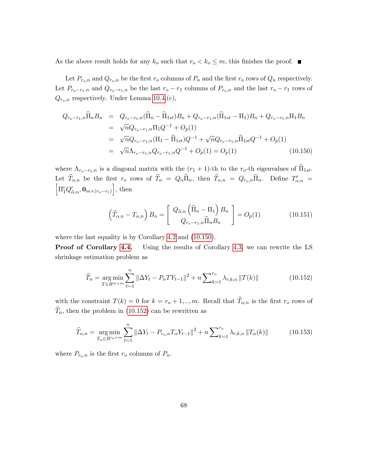As the above result holds for any  $k_o$  such that  $r_o < k_o \leq m$ , this finishes the proof.

Let  $P_{r_o,n}$  and  $Q_{r_o,n}$  be the first  $r_o$  columns of  $P_n$  and the first  $r_o$  rows of  $Q_n$  respectively. Let  $P_{r_o-r_1,n}$  and  $Q_{r_o-r_1,n}$  be the last  $r_o-r_1$  columns of  $P_{r_o,n}$  and the last  $r_o-r_1$  rows of  $Q_{r_o,n}$  respectively. Under Lemma [10.4.](#page-54-0)(c),

<span id="page-68-0"></span>
$$
Q_{r_o-r_1,n}\hat{\Pi}_n B_n = Q_{r_o-r_1,n}(\hat{\Pi}_n - \hat{\Pi}_{1st})B_n + Q_{r_o-r_1,n}(\hat{\Pi}_{1st} - \Pi_1)B_n + Q_{r_o-r_1,n}\Pi_1 B_n
$$
  
\n
$$
= \sqrt{n}Q_{r_o-r_1,n}\Pi_1 Q^{-1} + O_p(1)
$$
  
\n
$$
= \sqrt{n}Q_{r_o-r_1,n}(\Pi_1 - \hat{\Pi}_{1st})Q^{-1} + \sqrt{n}Q_{r_o-r_1,n}\hat{\Pi}_{1st}Q^{-1} + O_p(1)
$$
  
\n
$$
= \sqrt{n}\Lambda_{r_o-r_1,n}Q_{r_o-r_1,n}Q^{-1} + O_p(1) = O_p(1) \qquad (10.150)
$$

where  $\Lambda_{r_o-r_1,n}$  is a diagonal matrix with the  $(r_1 + 1)$ -th to the  $r_o$ -th eigenvalues of  $\widehat{\Pi}_{1st}$ . Let  $T_{\alpha,n}$  be the first  $r_o$  rows of  $T_n = Q_n \Pi_n$ , then  $T_{\alpha,n} = Q_{r_o,n} \Pi_n$ . Define  $T'_{\alpha,n} = \n\begin{bmatrix} \n\pi/\alpha' & 0 & \n\end{bmatrix}$  then  $\Pi_1' Q'_{\widetilde{\alpha},n}$ ,  ${\bf 0}_{m \times (r_o-r_1)}$  $\Big]$ , then

$$
\left(\widehat{T}_{\alpha,n} - T_{\alpha,n}\right) B_n = \begin{bmatrix} Q_{\widetilde{\alpha},n} \left(\widehat{\Pi}_n - \Pi_1\right) B_n \\ Q_{r_o - r_1,n} \widehat{\Pi}_n B_n \end{bmatrix} = O_p(1) \tag{10.151}
$$

where the last equality is by Corollary [4.2](#page-15-2) and [\(10.150\)](#page-68-0).

Proof of Corollary [4.4.](#page-16-2) Using the results of Corollary [4.3,](#page-16-0) we can rewrite the LS shrinkage estimation problem as

<span id="page-68-1"></span>
$$
\widehat{T}_n = \underset{T \in R^{m \times m}}{\arg \min} \sum_{t=1}^n \|\Delta Y_t - P_n T Y_{t-1}\|^2 + n \sum_{k=1}^{r_o} \lambda_{r,k,n} \|T(k)\| \tag{10.152}
$$

with the constraint  $T(k) = 0$  for  $k = r_o + 1, ..., m$ . Recall that  $\widehat{T}_{\alpha,n}$  is the first  $r_o$  rows of  $\hat{T}_n$ , then the problem in [\(10.152\)](#page-68-1) can be rewritten as

$$
\widehat{T}_{\alpha,n} = \underset{T_{\alpha} \in R^{r_0 \times m}}{\arg \min} \sum_{t=1}^{n} \|\Delta Y_t - P_{r_0,n} T_{\alpha} Y_{t-1}\|^2 + n \sum_{k=1}^{r_0} \lambda_{r,k,n} \|T_{\alpha}(k)\|
$$
\n(10.153)

where  $P_{r_o,n}$  is the first  $r_o$  columns of  $P_n$ .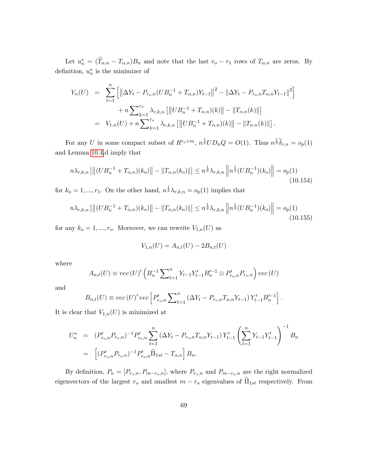Let  $u_n^* = (T_{\alpha,n} - T_{\alpha,n})B_n$  and note that the last  $r_o - r_1$  rows of  $T_{\alpha,n}$  are zeros. By definition,  $u_n^*$  is the minimizer of

$$
V_n(U) = \sum_{t=1}^n \left[ \left\| \Delta Y_t - P_{r_o,n} (UB_n^{-1} + T_{\alpha,n}) Y_{t-1} \right\|^2 - \left\| \Delta Y_t - P_{r_o,n} T_{\alpha,n} Y_{t-1} \right\|^2 \right] + n \sum_{k=1}^{r_o} \lambda_{r,k,n} \left[ \left\| UB_n^{-1} + T_{\alpha,n} \right)(k) \right\| - \left\| T_{\alpha,n}(k) \right\| \right] = V_{1,n}(U) + n \sum_{k=1}^{r_o} \lambda_{r,k,n} \left[ \left\| UB_n^{-1} + T_{\alpha,n} \right)(k) \right\| - \left\| T_{\alpha,n}(k) \right\| \right].
$$

For any U in some compact subset of  $R^{r_0 \times m}$ ,  $n^{\frac{1}{2}}UD_nQ = O(1)$ . Thus  $n^{\frac{1}{2}}\tilde{\delta}_{r,n} = o_p(1)$ and Lemma [10.4.](#page-54-0)d imply that

<span id="page-69-0"></span>
$$
n\lambda_{r,k,n} || \|(U B_n^{-1} + T_{\alpha,n})(k_o) || - \|T_{\alpha,n}(k_o) || \leq n^{\frac{1}{2}} \lambda_{r,k,n} || n^{\frac{1}{2}} (U B_n^{-1})(k_o) || = o_p(1)
$$
\n(10.154)

for  $k_o = 1, ..., r_1$ . On the other hand,  $n^{\frac{1}{2}} \lambda_{r,k,n} = o_p(1)$  implies that

<span id="page-69-1"></span>
$$
n\lambda_{r,k,n} || \|(UB_n^{-1} + T_{\alpha,n})(k_o) || - \|T_{\alpha,n}(k_o) || \leq n^{\frac{1}{2}} \lambda_{r,k,n} \left\| n^{\frac{1}{2}} (UB_n^{-1})(k_o) \right\| = o_p(1)
$$
\n(10.155)

for any  $k_o = 1, ..., r_o$ . Moreover, we can rewrite  $V_{1,n}(U)$  as

$$
V_{1,n}(U) = A_{n,t}(U) - 2B_{n,t}(U)
$$

where

$$
A_{n,t}(U) \equiv vec(U)' \left( B_n^{-1} \sum_{t=1}^n Y_{t-1} Y_{t-1}' B_n'^{-1} \otimes P_{r_o,n}' P_{r_o,n} \right) vec(U)
$$

and

$$
B_{n,t}(U) \equiv vec(U)' vec \left[ P'_{r_o,n} \sum_{t=1}^{n} \left( \Delta Y_t - P_{r_o,n} T_{\alpha,n} Y_{t-1} \right) Y'_{t-1} B'^{-1}_n \right].
$$

It is clear that  $V_{1,n}(U)$  is minimized at

$$
U_n^* = (P'_{r_o,n}P_{r_o,n})^{-1}P'_{r_o,n} \sum_{t=1}^n (\Delta Y_t - P_{r_o,n}T_{\alpha,n}Y_{t-1})Y'_{t-1} \left(\sum_{t=1}^n Y_{t-1}Y'_{t-1}\right)^{-1}B_n
$$
  
= 
$$
\left[ (P'_{r_o,n}P_{r_o,n})^{-1}P'_{r_o,n}\widehat{\Pi}_{1st} - T_{\alpha,n} \right]B_n.
$$

By definition,  $P_n = [P_{r_o,n}, P_{m-r_o,n}]$ , where  $P_{r_o,n}$  and  $P_{m-r_o,n}$  are the right normalized eigenvectors of the largest  $r_o$  and smallest  $m - r_o$  eigenvalues of  $\widehat{\Pi}_{1st}$  respectively. From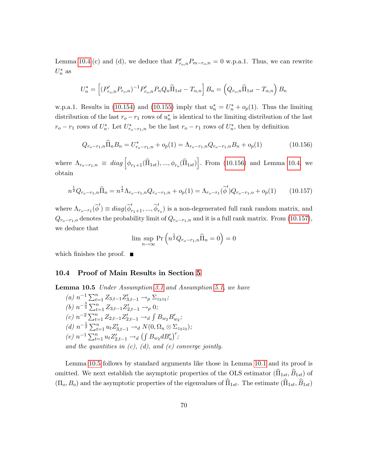Lemma [10.4.](#page-54-0)(c) and (d), we deduce that  $P'_{r_o,n}P_{m-r_o,n} = 0$  w.p.a.1. Thus, we can rewrite  $U_n^*$  as

$$
U_n^* = \left[ (P'_{r_o,n} P_{r_o,n})^{-1} P'_{r_o,n} P_n Q_n \hat{\Pi}_{1st} - T_{\alpha,n} \right] B_n = \left( Q_{r_o,n} \hat{\Pi}_{1st} - T_{\alpha,n} \right) B_n
$$

w.p.a.1. Results in [\(10.154\)](#page-69-0) and [\(10.155\)](#page-69-1) imply that  $u_n^* = U_n^* + o_p(1)$ . Thus the limiting distribution of the last  $r_o - r_1$  rows of  $u_n^*$  is identical to the limiting distribution of the last  $r_o - r_1$  rows of  $U_n^*$ . Let  $U_{r_o - r_1,n}^*$  be the last  $r_o - r_1$  rows of  $U_n^*$ , then by definition

<span id="page-70-0"></span>
$$
Q_{r_o-r_1,n}\widehat{\Pi}_n B_n = U^*_{r_o-r_1,n} + o_p(1) = \Lambda_{r_o-r_1,n} Q_{r_o-r_1,n} B_n + o_p(1)
$$
\n(10.156)

where  $\Lambda_{r_o-r_1,n} \equiv diag \left[ \phi_{r_1+1}(\widehat{\Pi}_{1st}),...,\phi_{r_o}(\widehat{\Pi}_{1st}) \right]$ . From [\(10.156\)](#page-70-0) and Lemma [10.4,](#page-54-0) we obtain

<span id="page-70-1"></span>
$$
n^{\frac{1}{2}}Q_{r_o-r_1,n}\hat{\Pi}_n = n^{\frac{1}{2}}\Lambda_{r_o-r_1,n}Q_{r_o-r_1,n} + o_p(1) = \Lambda_{r_o-r_1}(\tilde{\phi}')Q_{r_o-r_1,o} + o_p(1) \qquad (10.157)
$$

where  $\Lambda_{r_o-r_1}(\tilde{\phi}') \equiv diag(\tilde{\phi}'_{r_1+1}, ..., \tilde{\phi}'_{r_o})$  is a non-degenerated full rank random matrix, and  $Q_{r_o-r_1,o}$  denotes the probability limit of  $Q_{r_o-r_1,n}$  and it is a full rank matrix. From [\(10.157\)](#page-70-1), we deduce that

$$
\limsup_{n \to \infty} \Pr\left(n^{\frac{1}{2}} Q_{r_o - r_1, n} \widehat{\Pi}_n = 0\right) = 0
$$

which finishes the proof.  $\blacksquare$ 

#### 10.4 Proof of Main Results in Section [5](#page-18-0)

<span id="page-70-2"></span>Lemma 10.5 Under Assumption [3.1](#page-7-0) and Assumption [5.1,](#page-18-1) we have

(a) 
$$
n^{-1} \sum_{t=1}^{n} Z_{3,t-1} Z'_{3,t-1} \to_p \Sigma_{z_3 z_3}
$$
;  
\n(b)  $n^{-\frac{3}{2}} \sum_{t=1}^{n} Z_{3,t-1} Z'_{2,t-1} \to_p 0$ ;  
\n(c)  $n^{-2} \sum_{t=1}^{n} Z_{2,t-1} Z'_{2,t-1} \to_d \int B_{w_2} B'_{w_2}$ ;  
\n(d)  $n^{-\frac{1}{2}} \sum_{t=1}^{n} u_t Z'_{3,t-1} \to_d N(0, \Omega_u \otimes \Sigma_{z_3 z_3})$ ;  
\n(e)  $n^{-1} \sum_{t=1}^{n} u_t Z'_{2,t-1} \to_d \left( \int B_{w_2} d B'_u \right)'$ ;  
\nand the quantities in (c), (d), and (e) converge jointly.

Lemma [10.5](#page-70-2) follows by standard arguments like those in Lemma [10.1](#page-36-0) and its proof is omitted. We next establish the asymptotic properties of the OLS estimator  $(\widehat{\Pi}_{1st}, \widehat{B}_{1st})$  of  $(\Pi_o, B_o)$  and the asymptotic properties of the eigenvalues of  $\widehat{\Pi}_{1st}$ . The estimate  $(\widehat{\Pi}_{1st}, \widehat{B}_{1st})$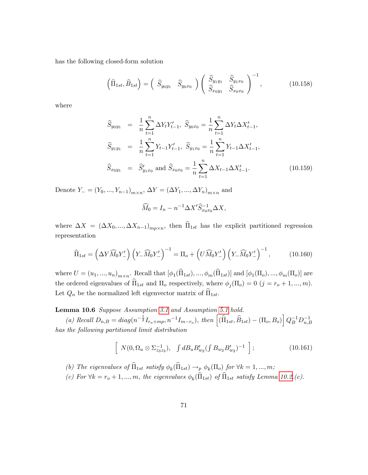has the following closed-form solution

$$
\left(\widehat{\Pi}_{1st}, \widehat{B}_{1st}\right) = \left(\begin{array}{cc} \widehat{S}_{y_0y_1} & \widehat{S}_{y_0x_0} \end{array}\right) \left(\begin{array}{cc} \widehat{S}_{y_1y_1} & \widehat{S}_{y_1x_0} \\ \widehat{S}_{x_0y_1} & \widehat{S}_{x_0x_0} \end{array}\right)^{-1},\tag{10.158}
$$

where

$$
\widehat{S}_{y_0y_1} = \frac{1}{n} \sum_{t=1}^n \Delta Y_t Y_{t-1}', \ \widehat{S}_{y_0x_0} = \frac{1}{n} \sum_{t=1}^n \Delta Y_t \Delta X_{t-1}',
$$
\n
$$
\widehat{S}_{y_1y_1} = \frac{1}{n} \sum_{t=1}^n Y_{t-1} Y_{t-1}', \ \widehat{S}_{y_1x_0} = \frac{1}{n} \sum_{t=1}^n Y_{t-1} \Delta X_{t-1}',
$$
\n
$$
\widehat{S}_{x_0y_1} = \widehat{S}_{y_1x_0}' \text{ and } \widehat{S}_{x_0x_0} = \frac{1}{n} \sum_{t=1}^n \Delta X_{t-1} \Delta X_{t-1}'. \tag{10.159}
$$

Denote  $Y_{-} = (Y_0, ..., Y_{n-1})_{m \times n}, \Delta Y = (\Delta Y_1, ..., \Delta Y_n)_{m \times n}$  and

$$
\widehat{M}_0 = I_n - n^{-1} \Delta X' \widehat{S}_{x_0 x_0}^{-1} \Delta X,
$$

where  $\Delta X = (\Delta X_0, ..., \Delta X_{n-1})_{mp \times n}$ , then  $\Pi_{1st}$  has the explicit partitioned regression representation

$$
\widehat{\Pi}_{1st} = \left(\Delta Y \widehat{M}_0 Y_-' \right) \left(Y_- \widehat{M}_0 Y_-' \right)^{-1} = \Pi_o + \left(U \widehat{M}_0 Y_-' \right) \left(Y_- \widehat{M}_0 Y_-' \right)^{-1},\tag{10.160}
$$

where  $U = (u_1, ..., u_n)_{m \times n}$ . Recall that  $[\phi_1(\Pi_{1st}), ..., \phi_m(\Pi_{1st})]$  and  $[\phi_1(\Pi_o), ..., \phi_m(\Pi_o)]$  are the ordered eigenvalues of  $\Pi_{1st}$  and  $\Pi_o$  respectively, where  $\phi_j(\Pi_o) = 0$   $(j = r_o + 1, ..., m)$ . Let  $Q_n$  be the normalized left eigenvector matrix of  $\overline{\Pi}_{1st}$ .

#### Lemma 10.6 Suppose Assumption [3.1](#page-7-0) and Assumption [5.1](#page-18-1) hold.

(a) Recall  $D_{n,B} = diag(n^{-\frac{1}{2}}I_{r_o+mp}, n^{-1}I_{m-r_o}),$  then  $[(\widehat{\Pi}_{1st}, \widehat{B}_{1st}) - (\Pi_o, B_o)] Q_B^{-1} D_{n,B}^{-1}$ has the following partitioned limit distribution

$$
\left[ N(0, \Omega_u \otimes \Sigma_{z_3 z_3}^{-1}), \quad \int dB_u B'_{w_2} (\int B_{w_2} B'_{w_2})^{-1} \right]; \tag{10.161}
$$

(b) The eigenvalues of  $\Pi_{1st}$  satisfy  $\phi_k(\Pi_{1st}) \to_p \phi_k(\Pi_o)$  for  $\forall k = 1, ..., m;$ 

(c) For  $\forall k = r_o + 1, ..., m$ , the eigenvalues  $\phi_k(\Pi_{1st})$  of  $\Pi_{1st}$  satisfy Lemma [10.2.](#page-36-1)(c).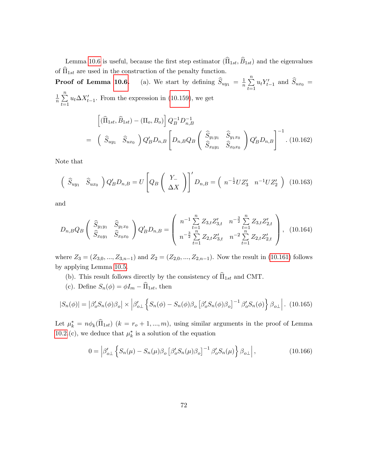Lemma [10.6](#page-71-0) is useful, because the first step estimator  $(\widehat{\Pi}_{1st}, \widehat{B}_{1st})$  and the eigenvalues of  $\widehat{\Pi}_{1st}$  are used in the construction of the penalty function.

**Proof of Lemma [10.6.](#page-71-0)** (a). We start by defining  $\widehat{S}_{uy_1} = \frac{1}{n}$  $\frac{1}{n}$  $\sum_{n=1}^{n}$  $_{t=1}$  $u_t Y'_{t-1}$  and  $S_{ux_0} =$ 1  $\frac{1}{n}$  $\sum_{n=1}^{n}$  $_{t=1}$  $u_t \Delta X'_{t-1}$ . From the expression in [\(10.159\)](#page-71-1), we get

$$
\begin{aligned}\n&\left[ (\widehat{\Pi}_{1st}, \widehat{B}_{1st}) - (\Pi_o, B_o) \right] Q_B^{-1} D_{n,B}^{-1} \\
&= \left( \widehat{S}_{uy_1} \widehat{S}_{ux_0} \right) Q'_B D_{n,B} \left[ D_{n,B} Q_B \left( \frac{\widehat{S}_{y_1y_1}}{\widehat{S}_{x_0y_1}} \frac{\widehat{S}_{y_1x_0}}{\widehat{S}_{x_0x_0}} \right) Q'_B D_{n,B} \right]^{-1} . \tag{10.162}\n\end{aligned}
$$

Note that

$$
\left(\begin{array}{cc} \widehat{S}_{uy_1} & \widehat{S}_{ux_0} \end{array}\right) Q'_B D_{n,B} = U \left[Q_B \left(\begin{array}{c} Y_- \\ \Delta X \end{array}\right)\right]' D_{n,B} = \left(\begin{array}{cc} n^{-\frac{1}{2}} U Z'_3 & n^{-1} U Z'_2 \end{array}\right) \tag{10.163}
$$

and

$$
D_{n,B}Q_B\left(\begin{array}{cc} \widehat{S}_{y_1y_1} & \widehat{S}_{y_1x_0} \\ \widehat{S}_{x_0y_1} & \widehat{S}_{x_0x_0} \end{array}\right)Q'_BD_{n,B} = \left(\begin{array}{cc} n^{-1}\sum\limits_{t=1}^n Z_{3,t}Z'_{3,t} & n^{-\frac{3}{2}}\sum\limits_{t=1}^n Z_{3,t}Z'_{2,t} \\ n^{-\frac{3}{2}}\sum\limits_{t=1}^n Z_{2,t}Z'_{3,t} & n^{-2}\sum\limits_{t=1}^n Z_{2,t}Z'_{2,t} \end{array}\right),\tag{10.164}
$$

where  $Z_3 = (Z_{3,0},..., Z_{3,n-1})$  and  $Z_2 = (Z_{2,0},..., Z_{2,n-1})$ . Now the result in [\(10.161\)](#page-71-2) follows by applying Lemma [10.5.](#page-70-0)

- (b). This result follows directly by the consistency of  $\widehat{\Pi}_{1st}$  and CMT.
- (c). Define  $S_n(\phi) = \phi I_m \widehat{\Pi}_{1st}$  then

$$
|S_n(\phi)| = |\beta_o'S_n(\phi)\beta_o| \times \left|\beta_{o\perp}'\left\{S_n(\phi) - S_n(\phi)\beta_o\left[\beta_o'S_n(\phi)\beta_o\right]^{-1}\beta_o'S_n(\phi)\right\}\beta_{o\perp}\right|.
$$
 (10.165)

Let  $\mu_k^* = n\phi_k(\Pi_{1st})$   $(k = r_o + 1, ..., m)$ , using similar arguments in the proof of Lemma [10.2.](#page-36-0)(c), we deduce that  $\mu_k^*$  is a solution of the equation

$$
0 = \left| \beta'_{o\perp} \left\{ S_n(\mu) - S_n(\mu) \beta_o \left[ \beta'_o S_n(\mu) \beta_o \right]^{-1} \beta'_o S_n(\mu) \right\} \beta_{o\perp} \right|, \tag{10.166}
$$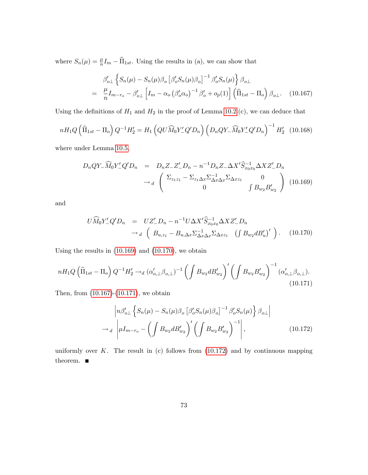where  $S_n(\mu) = \frac{\mu}{n} I_m - \widehat{\Pi}_{1st}$ . Using the results in (a), we can show that

<span id="page-73-2"></span>
$$
\beta'_{o\perp} \left\{ S_n(\mu) - S_n(\mu) \beta_o \left[ \beta'_o S_n(\mu) \beta_o \right]^{-1} \beta'_o S_n(\mu) \right\} \beta_{o\perp}
$$
  
= 
$$
\frac{\mu}{n} I_{m-r_o} - \beta'_{o\perp} \left[ I_m - \alpha_o \left( \beta'_o \alpha_o \right)^{-1} \beta'_o + o_p(1) \right] \left( \widehat{\Pi}_{1st} - \Pi_o \right) \beta_{o\perp}.
$$
 (10.167)

Using the definitions of  $H_1$  and  $H_2$  in the proof of Lemma [10.2.](#page-36-0)(c), we can deduce that

$$
nH_1Q\left(\hat{\Pi}_{1st} - \Pi_o\right)Q^{-1}H_2' = H_1\left(QU\widehat{M}_0Y_-'Q'D_n\right)\left(D_nQY_-\widehat{M}_0Y_-'Q'D_n\right)^{-1}H_2'\quad(10.168)
$$

where under Lemma [10.5,](#page-70-0)

<span id="page-73-0"></span>
$$
D_n Q Y_- \widehat{M}_0 Y_-' Q' D_n = D_n Z_- Z_-' D_n - n^{-1} D_n Z_- \Delta X' \widehat{S}_{x_0 x_0}^{-1} \Delta X Z_-' D_n
$$
  

$$
\rightarrow_d \begin{pmatrix} \Sigma_{z_1 z_1} - \Sigma_{z_1 \Delta x} \Sigma_{\Delta x \Delta x}^{-1} \Sigma_{\Delta x z_1} & 0 \\ 0 & \int B_{w_2} B_{w_2}' \end{pmatrix} (10.169)
$$

and

<span id="page-73-1"></span>
$$
U\widehat{M}_0Y'_{-}Q'D_n = UZ'_{-}D_n - n^{-1}U\Delta X'\widehat{S}_{x_0x_0}^{-1}\Delta XZ'_{-}D_n
$$
  
\n
$$
\rightarrow_d \left(B_{u,z_1} - B_{u,\Delta x}\Sigma_{\Delta x\Delta x}^{-1}\Sigma_{\Delta xz_1} \left(\int B_{w_2}dB'_u\right)'\right). \quad (10.170)
$$

Using the results in [\(10.169\)](#page-73-0) and [\(10.170\)](#page-73-1), we obtain

<span id="page-73-3"></span>
$$
nH_1Q\left(\hat{\Pi}_{1st} - \Pi_o\right)Q^{-1}H_2' \to_d (\alpha'_{o,\perp}\beta_{o,\perp})^{-1}\left(\int B_{w_2}dB'_{w_2}\right)' \left(\int B_{w_2}B'_{w_2}\right)^{-1}(\alpha'_{o,\perp}\beta_{o,\perp}).\tag{10.171}
$$

Then, from [\(10.167\)](#page-73-2)-[\(10.171\)](#page-73-3), we obtain

<span id="page-73-4"></span>
$$
\left|n\beta'_{o\perp}\left\{S_n(\mu) - S_n(\mu)\beta_o \left[\beta'_o S_n(\mu)\beta_o\right]^{-1} \beta'_o S_n(\mu)\right\}\beta_{o\perp}\right|
$$
  

$$
\rightarrow_d \left|\mu I_{m-r_o} - \left(\int B_{w_2} dB'_{w_2}\right)' \left(\int B_{w_2} B'_{w_2}\right)^{-1}\right|,
$$
(10.172)

uniformly over  $K$ . The result in (c) follows from  $(10.172)$  and by continuous mapping theorem.  $\blacksquare$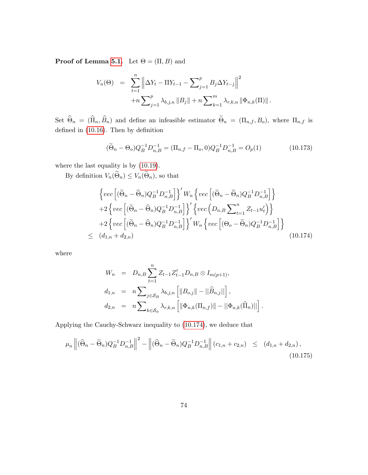**Proof of Lemma [5.1.](#page-19-0)** Let  $\Theta = (\Pi, B)$  and

$$
V_n(\Theta) = \sum_{t=1}^n \left\| \Delta Y_t - \Pi Y_{t-1} - \sum_{j=1}^p B_j \Delta Y_{t-j} \right\|^2
$$
  
+
$$
+ n \sum_{j=1}^p \lambda_{b,j,n} \|B_j\| + n \sum_{k=1}^m \lambda_{r,k,n} \|\Phi_{n,k}(\Pi)\|.
$$

Set  $\Theta_n = (\Pi_n, B_n)$  and define an infeasible estimator  $\Theta_n = (\Pi_{n,f}, B_o)$ , where  $\Pi_{n,f}$  is defined in  $(10.16)$ . Then by definition

<span id="page-74-1"></span>
$$
(\widetilde{\Theta}_n - \Theta_o) Q_B^{-1} D_{n,B}^{-1} = (\Pi_{n,f} - \Pi_o, 0) Q_B^{-1} D_{n,B}^{-1} = O_p(1)
$$
\n(10.173)

where the last equality is by [\(10.19\)](#page-40-0).

By definition  $V_n(\Theta_n) \leq V_n(\Theta_n)$ , so that

<span id="page-74-0"></span>
$$
\left\{ \begin{aligned} & \left\{ vec \left[ (\widetilde{\Theta}_n - \widehat{\Theta}_n) Q_B^{-1} D_{n,B}^{-1} \right] \right\}' W_n \left\{ vec \left[ (\widetilde{\Theta}_n - \widehat{\Theta}_n) Q_B^{-1} D_{n,B}^{-1} \right] \right\} \\ & + 2 \left\{ vec \left[ (\widetilde{\Theta}_n - \widehat{\Theta}_n) Q_B^{-1} D_{n,B}^{-1} \right] \right\}' \left\{ vec \left( D_{n,B} \sum_{t=1}^n Z_{t-1} u_t' \right) \right\} \\ & + 2 \left\{ vec \left[ (\widetilde{\Theta}_n - \widehat{\Theta}_n) Q_B^{-1} D_{n,B}^{-1} \right] \right\}' W_n \left\{ vec \left[ (\Theta_o - \widetilde{\Theta}_n) Q_B^{-1} D_{n,B}^{-1} \right] \right\} \\ & \leq (d_{1,n} + d_{2,n}) \end{aligned} \tag{10.174}
$$

where

$$
W_n = D_{n,B} \sum_{t=1}^n Z_{t-1} Z'_{t-1} D_{n,B} \otimes I_{m(p+1)},
$$
  
\n
$$
d_{1,n} = n \sum_{j \in S_B} \lambda_{b,j,n} \left[ ||B_{o,j}|| - ||\widehat{B}_{n,j}|| \right],
$$
  
\n
$$
d_{2,n} = n \sum_{k \in S_{\phi}} \lambda_{r,k,n} \left[ ||\Phi_{n,k}(\Pi_{n,f})|| - ||\Phi_{n,k}(\widehat{\Pi}_n)|| \right].
$$

Applying the Cauchy-Schwarz inequality to [\(10.174\)](#page-74-0), we deduce that

<span id="page-74-2"></span>
$$
\mu_n \left\| (\widehat{\Theta}_n - \widetilde{\Theta}_n) Q_B^{-1} D_{n,B}^{-1} \right\|^2 - \left\| (\widehat{\Theta}_n - \widetilde{\Theta}_n) Q_B^{-1} D_{n,B}^{-1} \right\| (c_{1,n} + c_{2,n}) \le (d_{1,n} + d_{2,n}),
$$
\n(10.175)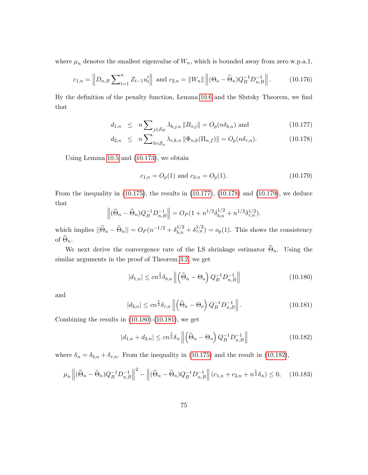where  $\mu_n$  denotes the smallest eigenvalue of  $W_n$ , which is bounded away from zero w.p.a.1,

$$
c_{1,n} = \left\| D_{n,B} \sum_{t=1}^n Z_{t-1} u_t' \right\| \text{ and } c_{2,n} = \|W_n\| \left\| (\Theta_o - \widetilde{\Theta}_n) Q_B^{-1} D_{n,B}^{-1} \right\|. \tag{10.176}
$$

By the definition of the penalty function, Lemma [10.6](#page-71-0) and the Slutsky Theorem, we find that

$$
d_{1,n} \leq n \sum_{j \in \mathcal{S}_B} \lambda_{b,j,n} \|B_{o,j}\| = O_p(n\delta_{b,n}) \text{ and } (10.177)
$$

<span id="page-75-0"></span>
$$
d_{2,n} \leq n \sum_{k \in \mathcal{S}_{\phi}} \lambda_{r,k,n} \left\| \Phi_{n,k}(\Pi_{n,f}) \right\| = O_p(n \delta_{r,n}). \tag{10.178}
$$

Using Lemma [10.5](#page-70-0) and [\(10.173\)](#page-74-1), we obtain

<span id="page-75-1"></span>
$$
c_{1,n} = O_p(1) \text{ and } c_{2,n} = O_p(1). \tag{10.179}
$$

From the inequality in [\(10.175\)](#page-74-2), the results in [\(10.177\)](#page-75-0), [\(10.178\)](#page-75-0) and [\(10.179\)](#page-75-1), we deduce that

$$
\left\| (\widehat{\Theta}_n - \widetilde{\Theta}_n) Q_B^{-1} D_{n,B}^{-1} \right\| = O_P(1 + n^{1/2} \delta_{b,n}^{1/2} + n^{1/2} \delta_{r,n}^{1/2}).
$$

which implies  $||\widehat{\Theta}_n - \widetilde{\Theta}_n|| = O_P(n^{-1/2} + \delta_{b,n}^{1/2} + \delta_{r,n}^{1/2}) = o_p(1)$ . This shows the consistency of  $\Theta_n$ .

We next derive the convergence rate of the LS shrinkage estimator  $\Theta_n$ . Using the similar arguments in the proof of Theorem [3.2,](#page-10-0) we get

<span id="page-75-2"></span>
$$
|d_{1,n}| \le cn^{\frac{1}{2}} \delta_{b,n} \left\| \left( \widehat{\Theta}_n - \Theta_o \right) Q_B^{-1} D_{n,B}^{-1} \right\| \tag{10.180}
$$

and

<span id="page-75-3"></span>
$$
|d_{2,n}| \le cn^{\frac{1}{2}} \delta_{r,n} \left\| \left( \widehat{\Theta}_n - \Theta_o \right) Q_B^{-1} D_{n,B}^{-1} \right\|.
$$
 (10.181)

Combining the results in  $(10.180)-(10.181)$  $(10.180)-(10.181)$  $(10.180)-(10.181)$ , we get

<span id="page-75-4"></span>
$$
|d_{1,n} + d_{2,n}| \le cn^{\frac{1}{2}} \delta_n \left\| \left( \widehat{\Theta}_n - \Theta_o \right) Q_B^{-1} D_{n,B}^{-1} \right\| \tag{10.182}
$$

where  $\delta_n = \delta_{b,n} + \delta_{r,n}$ . From the inequality in [\(10.175\)](#page-74-2) and the result in [\(10.182\)](#page-75-4),

$$
\mu_n \left\| (\widehat{\Theta}_n - \widetilde{\Theta}_n) Q_B^{-1} D_{n,B}^{-1} \right\|^2 - \left\| (\widehat{\Theta}_n - \widetilde{\Theta}_n) Q_B^{-1} D_{n,B}^{-1} \right\| (c_{1,n} + c_{2,n} + n^{\frac{1}{2}} \delta_n) \le 0, \quad (10.183)
$$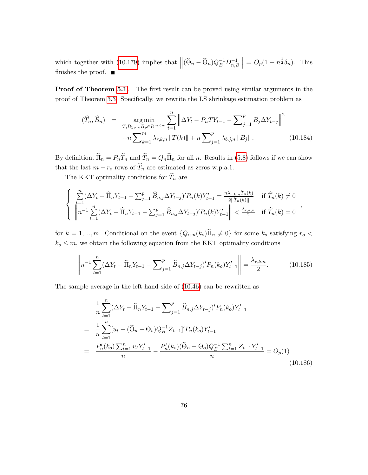which together with [\(10.179\)](#page-75-1) implies that  $\left\| (\widehat{\Theta}_n - \widetilde{\Theta}_n) Q_B^{-1} D_{n,B}^{-1} \right\|$  $\| = O_p(1 + n^{\frac{1}{2}}\delta_n)$ . This finishes the proof.  $\blacksquare$ 

**Proof of Theorem [5.1.](#page-20-0)** The first result can be proved using similar arguments in the proof of Theorem [3.3.](#page-11-0) Specifically, we rewrite the LS shrinkage estimation problem as

$$
(\widehat{T}_n, \widehat{B}_n) = \underset{T, B_1, \dots, B_p \in R^{m \times m}}{\arg \min} \sum_{t=1}^n \left\| \Delta Y_t - P_n T Y_{t-1} - \sum_{j=1}^p B_j \Delta Y_{t-j} \right\|^2 + n \sum_{k=1}^m \lambda_{r,k,n} \|T(k)\| + n \sum_{j=1}^p \lambda_{b,j,n} \|B_j\|.
$$
 (10.184)

By definition,  $\widehat{\Pi}_n = P_n\widehat{T}_n$  and  $\widehat{T}_n = Q_n\widehat{\Pi}_n$  for all n. Results in [\(5.8\)](#page-20-1) follows if we can show that the last  $m - r_o$  rows of  $\widehat{T}_n$  are estimated as zeros w.p.a.1.

The KKT optimality conditions for  $\widehat{T}_n$  are

$$
\begin{cases} \sum_{t=1}^{n} (\Delta Y_t - \widehat{\Pi}_n Y_{t-1} - \sum_{j=1}^{p} \widehat{B}_{n,j} \Delta Y_{t-j})' P_n(k) Y'_{t-1} = \frac{n \lambda_{r,k,n} \widehat{T}_n(k)}{2||\widehat{T}_n(k)||} & \text{if } \widehat{T}_n(k) \neq 0\\ \left\| n^{-1} \sum_{t=1}^{n} (\Delta Y_t - \widehat{\Pi}_n Y_{t-1} - \sum_{j=1}^{p} \widehat{B}_{n,j} \Delta Y_{t-j})' P_n(k) Y'_{t-1} \right\| < \frac{\lambda_{r,k,n}}{2} \quad \text{if } \widehat{T}_n(k) = 0 \end{cases}
$$

;

for  $k = 1, ..., m$ . Conditional on the event  $\{Q_{\alpha,n}(k_o)\hat{\Pi}_n \neq 0\}$  for some  $k_o$  satisfying  $r_o <$  $k_o \leq m$ , we obtain the following equation from the KKT optimality conditions

<span id="page-76-0"></span>
$$
\left\| n^{-1} \sum_{t=1}^{n} (\Delta Y_t - \widehat{\Pi}_n Y_{t-1} - \sum_{j=1}^{p} \widehat{B}_{n,j} \Delta Y_{t-j})' P_n(k_o) Y_{t-1}' \right\| = \frac{\lambda_{r,k,n}}{2}.
$$
 (10.185)

The sample average in the left hand side of [\(10.46\)](#page-45-0) can be rewritten as

<span id="page-76-1"></span>
$$
\frac{1}{n} \sum_{t=1}^{n} (\Delta Y_t - \widehat{\Pi}_n Y_{t-1} - \sum_{j=1}^{p} \widehat{B}_{n,j} \Delta Y_{t-j})' P_n(k_o) Y'_{t-1}
$$
\n
$$
= \frac{1}{n} \sum_{t=1}^{n} [u_t - (\widehat{\Theta}_n - \Theta_o) Q_B^{-1} Z_{t-1}]' P_n(k_o) Y'_{t-1}
$$
\n
$$
= \frac{P'_n(k_o) \sum_{t=1}^{n} u_t Y'_{t-1}}{n} - \frac{P'_n(k_o) (\widehat{\Theta}_n - \Theta_o) Q_B^{-1} \sum_{t=1}^{n} Z_{t-1} Y'_{t-1}}{n} = O_p(1)
$$
\n(10.186)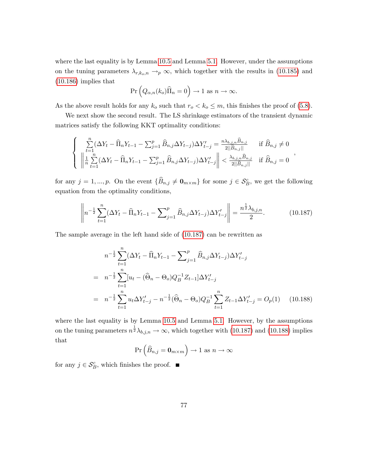where the last equality is by Lemma [10.5](#page-70-0) and Lemma [5.1.](#page-19-0) However, under the assumptions on the tuning parameters  $\lambda_{r,k_o,n} \rightarrow_p \infty$ , which together with the results in [\(10.185\)](#page-76-0) and [\(10.186\)](#page-76-1) implies that

$$
\Pr\left(Q_{\alpha,n}(k_o)\widehat{\Pi}_n=0\right)\to 1 \text{ as } n\to\infty.
$$

As the above result holds for any  $k_o$  such that  $r_o < k_o \le m$ , this finishes the proof of [\(5.8\)](#page-20-1).

We next show the second result. The LS shrinkage estimators of the transient dynamic matrices satisfy the following KKT optimality conditions:

$$
\begin{cases} \sum_{t=1}^{n} (\Delta Y_t - \widehat{\Pi}_n Y_{t-1} - \sum_{j=1}^{p} \widehat{B}_{n,j} \Delta Y_{t-j}) \Delta Y'_{t-j} = \frac{n \lambda_{b,j,n} \widehat{B}_{n,j}}{2 ||\widehat{B}_{n,j}||} & \text{if } \widehat{B}_{n,j} \neq 0\\ \left\| \frac{1}{n} \sum_{t=1}^{n} (\Delta Y_t - \widehat{\Pi}_n Y_{t-1} - \sum_{j=1}^{p} \widehat{B}_{n,j} \Delta Y_{t-j}) \Delta Y'_{t-j} \right\| < \frac{\lambda_{b,j,n} \widehat{B}_{n,j}}{2 ||\widehat{B}_{n,j}||} & \text{if } \widehat{B}_{n,j} = 0 \end{cases},
$$

for any  $j = 1, ..., p$ . On the event  $\{\widehat{B}_{n,j} \neq \mathbf{0}_{m \times m}\}\$  for some  $j \in \mathcal{S}_{B}^c$ , we get the following equation from the optimality conditions,

<span id="page-77-0"></span>
$$
\left\| n^{-\frac{1}{2}} \sum_{t=1}^{n} (\Delta Y_t - \widehat{\Pi}_n Y_{t-1} - \sum_{j=1}^{p} \widehat{B}_{n,j} \Delta Y_{t-j}) \Delta Y'_{t-j} \right\| = \frac{n^{\frac{1}{2}} \lambda_{b,j,n}}{2}.
$$
 (10.187)

The sample average in the left hand side of [\(10.187\)](#page-77-0) can be rewritten as

<span id="page-77-1"></span>
$$
n^{-\frac{1}{2}} \sum_{t=1}^{n} (\Delta Y_t - \widehat{\Pi}_n Y_{t-1} - \sum_{j=1}^{p} \widehat{B}_{n,j} \Delta Y_{t-j}) \Delta Y'_{t-j}
$$
  
= 
$$
n^{-\frac{1}{2}} \sum_{t=1}^{n} [u_t - (\widehat{\Theta}_n - \Theta_o) Q_B^{-1} Z_{t-1}] \Delta Y'_{t-j}
$$
  
= 
$$
n^{-\frac{1}{2}} \sum_{t=1}^{n} u_t \Delta Y'_{t-j} - n^{-\frac{1}{2}} (\widehat{\Theta}_n - \Theta_o) Q_B^{-1} \sum_{t=1}^{n} Z_{t-1} \Delta Y'_{t-j} = O_p(1) \quad (10.188)
$$

where the last equality is by Lemma [10.5](#page-70-0) and Lemma [5.1.](#page-19-0) However, by the assumptions on the tuning parameters  $n^{\frac{1}{2}}\lambda_{b,j,n} \to \infty$ , which together with [\(10.187\)](#page-77-0) and [\(10.188\)](#page-77-1) implies that

$$
\Pr\left(\widehat{B}_{n,j} = \mathbf{0}_{m \times m}\right) \to 1 \text{ as } n \to \infty
$$

for any  $j \in \mathcal{S}_{B}^{c}$ , which finishes the proof.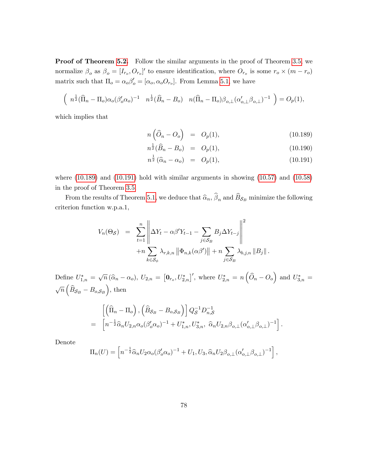**Proof of Theorem [5.2.](#page-21-0)** Follow the similar arguments in the proof of Theorem [3.5,](#page-11-1) we normalize  $\beta_o$  as  $\beta_o = [I_{r_o}, O_{r_o}]'$  to ensure identification, where  $O_{r_o}$  is some  $r_o \times (m - r_o)$ matrix such that  $\Pi_o = \alpha_o \beta_o' = [\alpha_o, \alpha_o O_{r_o}]$ . From Lemma [5.1,](#page-19-0) we have

$$
\left(\begin{array}{cc} n^{\frac{1}{2}}(\widehat{\Pi}_n - \Pi_o)\alpha_o(\beta_o'\alpha_o)^{-1} & n^{\frac{1}{2}}(\widehat{B}_n - B_o) & n(\widehat{\Pi}_n - \Pi_o)\beta_{o,\perp}(\alpha_{o,\perp}'\beta_{o,\perp})^{-1} \end{array}\right) = O_p(1),
$$

which implies that

$$
n\left(\widehat{O}_n - O_o\right) = O_p(1),\tag{10.189}
$$

<span id="page-78-0"></span>
$$
n^{\frac{1}{2}}(\widehat{B}_n - B_o) = O_p(1), \qquad (10.190)
$$

$$
n^{\frac{1}{2}}\left(\widehat{\alpha}_n - \alpha_o\right) = O_p(1),\tag{10.191}
$$

:

where [\(10.189\)](#page-78-0) and [\(10.191\)](#page-78-0) hold with similar arguments in showing [\(10.57\)](#page-47-0) and [\(10.58\)](#page-47-1) in the proof of Theorem [3.5.](#page-11-1)

From the results of Theorem [5.1,](#page-20-0) we deduce that  $\widehat{\alpha}_n$ ,  $\beta_n$  and  $B_{\mathcal{S}_B}$  minimize the following criterion function w.p.a.1,

$$
V_n(\Theta_{\mathcal{S}}) = \sum_{t=1}^n \left\| \Delta Y_t - \alpha \beta' Y_{t-1} - \sum_{j \in \mathcal{S}_B} B_j \Delta Y_{t-j} \right\|^2
$$
  
+
$$
+ n \sum_{k \in \mathcal{S}_{\phi}} \lambda_{r,k,n} \left\| \Phi_{n,k}(\alpha \beta') \right\| + n \sum_{j \in \mathcal{S}_B} \lambda_{b,j,n} \left\| B_j \right\|.
$$

Define  $U_{1,n}^* = \sqrt{n} (\hat{\alpha}_n - \alpha_o), U_{2,n} = [\mathbf{0}_{r_o}, U_{2,n}^*]'$ , where  $U_{2,n}^* = n(\hat{\mathcal{O}}_n - \mathcal{O}_o)$  and  $U_{3,n}^* =$  $\sqrt{n}\left(\widehat{B}_{\mathcal{S}_B} - B_{o,\mathcal{S}_B}\right)$ , then

$$
\begin{aligned}\n&\left[\left(\widehat{\Pi}_n - \Pi_o\right), \left(\widehat{B}_{\mathcal{S}_B} - B_{o,\mathcal{S}_B}\right)\right] Q_{\mathcal{S}}^{-1} D_{n,\mathcal{S}}^{-1} \\
&= \left[n^{-\frac{1}{2}} \widehat{\alpha}_n U_{2,n} \alpha_o (\beta_o' \alpha_o)^{-1} + U_{1,n}^*, U_{3,n}^*, \ \widehat{\alpha}_n U_{2,n} \beta_{o,\perp} (\alpha_{o,\perp}' \beta_{o,\perp})^{-1}\right]\n\end{aligned}
$$

Denote

$$
\Pi_n(U) = \left[ n^{-\frac{1}{2}} \widehat{\alpha}_n U_2 \alpha_o (\beta'_o \alpha_o)^{-1} + U_1, U_3, \widehat{\alpha}_n U_2 \beta_{o, \perp} (\alpha'_{o, \perp} \beta_{o, \perp})^{-1} \right],
$$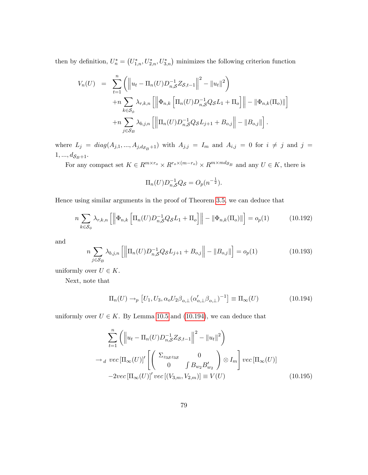then by definition,  $U_n^* = (U_{1,n}^*, U_{2,n}^*, U_{3,n}^*)$  minimizes the following criterion function

$$
V_n(U) = \sum_{t=1}^n \left( \left\| u_t - \Pi_n(U) D_{n,S}^{-1} Z_{S,t-1} \right\|^2 - \|u_t\|^2 \right) + n \sum_{k \in S_\phi} \lambda_{r,k,n} \left[ \left\| \Phi_{n,k} \left[ \Pi_n(U) D_{n,S}^{-1} Q_S L_1 + \Pi_o \right] \right\| - \left\| \Phi_{n,k}(\Pi_o) \right\| \right] + n \sum_{j \in S_B} \lambda_{b,j,n} \left[ \left\| \Pi_n(U) D_{n,S}^{-1} Q_S L_{j+1} + B_{o,j} \right\| - \|B_{o,j}\| \right].
$$

where  $L_j = diag(A_{j,1},..., A_{j,d_{\mathcal{S}_B}+1})$  with  $A_{j,j} = I_m$  and  $A_{i,j} = 0$  for  $i \neq j$  and  $j =$  $1, ..., d_{\mathcal{S}_{B}+1}.$ 

For any compact set  $K \in R^{m \times r_o} \times R^{r_o \times (m-r_o)} \times R^{m \times m d_{S_B}}$  and any  $U \in K$ , there is

$$
\Pi_n(U)D_{n,\mathcal{S}}^{-1}Q_{\mathcal{S}}=O_p(n^{-\frac{1}{2}}).
$$

Hence using similar arguments in the proof of Theorem [3.5,](#page-11-1) we can deduce that

$$
n\sum_{k\in\mathcal{S}_{\phi}}\lambda_{r,k,n}\left[\left\|\Phi_{n,k}\left[\Pi_n(U)D_{n,\mathcal{S}}^{-1}Q_{\mathcal{S}}L_1+\Pi_o\right]\right\|-\left\|\Phi_{n,k}(\Pi_o)\right\|\right]=o_p(1)\tag{10.192}
$$

and

$$
n \sum_{j \in S_B} \lambda_{b,j,n} \left[ \left\| \Pi_n(U) D_{n,S}^{-1} Q_S L_{j+1} + B_{o,j} \right\| - \left\| B_{o,j} \right\| \right] = o_p(1) \tag{10.193}
$$

uniformly over  $U \in K$ .

Next, note that

<span id="page-79-0"></span>
$$
\Pi_n(U) \to_p [U_1, U_3, \alpha_o U_2 \beta_{o, \perp} (\alpha'_{o, \perp} \beta_{o, \perp})^{-1}] \equiv \Pi_{\infty}(U)
$$
\n(10.194)

uniformly over  $U \in K$ . By Lemma [10.5](#page-70-0) and [\(10.194\)](#page-79-0), we can deduce that

$$
\sum_{t=1}^{n} \left( \left\| u_t - \Pi_n(U) D_{n,S}^{-1} Z_{S,t-1} \right\|^2 - \left\| u_t \right\|^2 \right)
$$
  
\n
$$
\rightarrow_d \text{vec} \left[ \Pi_\infty(U) \right]' \left[ \left( \begin{array}{cc} \Sigma_{z_3 z_3 s} & 0 \\ 0 & \int B_{w_2} B_{w_2}' \end{array} \right) \otimes I_m \right] \text{vec} \left[ \Pi_\infty(U) \right]
$$
  
\n
$$
-2 \text{vec} \left[ \Pi_\infty(U) \right]' \text{vec} \left[ (V_{3,m}, V_{2,m}) \right] \equiv V(U) \tag{10.195}
$$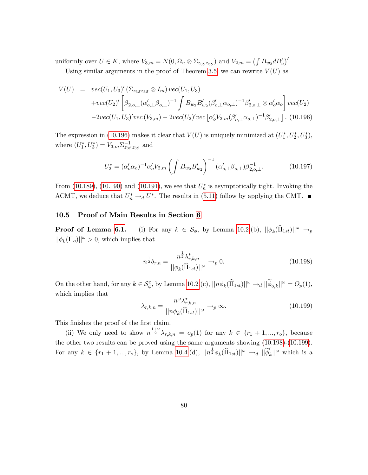uniformly over  $U \in K$ , where  $V_{3,m} = N(0, \Omega_u \otimes \Sigma_{z_3 z_3 s_3})$  and  $V_{2,m} = (\int B_{w_2} d B_u')'.$ 

Using similar arguments in the proof of Theorem [3.5,](#page-11-1) we can rewrite  $V(U)$  as

<span id="page-80-0"></span>
$$
V(U) = vec(U_1, U_3)' (\Sigma_{z_3 z_3 s} \otimes I_m) vec(U_1, U_3)
$$
  
+
$$
vec(U_2)' \left[ \beta_{2, o, \perp} (\alpha'_{o, \perp} \beta_{o, \perp})^{-1} \int B_{w_2} B'_{w_2} (\beta'_{o, \perp} \alpha_{o, \perp})^{-1} \beta'_{2, o, \perp} \otimes \alpha'_{o} \alpha_{o} \right] vec(U_2)
$$
  
-
$$
-2vec(U_1, U_3)' vec(V_{3,m}) - 2vec(U_2)' vec[\alpha'_{o} V_{2,m} (\beta'_{o, \perp} \alpha_{o, \perp})^{-1} \beta'_{2, o, \perp}]. (10.196)
$$

The expression in [\(10.196\)](#page-80-0) makes it clear that  $V(U)$  is uniquely minimized at  $(U_1^*, U_2^*, U_3^*),$ where  $(U_1^*, U_3^*) = V_{3,m} \Sigma_{z_3}^{-1}$  and

$$
U_2^* = (\alpha_o' \alpha_o)^{-1} \alpha_o' V_{2,m} \left( \int B_{w_2} B_{w_2}' \right)^{-1} (\alpha_{o,\perp}' \beta_{o,\perp}) \beta_{2,o,\perp}^{-1}.
$$
 (10.197)

From  $(10.189)$ ,  $(10.190)$  and  $(10.191)$ , we see that  $U_n^*$  is asymptotically tight. Invoking the ACMT, we deduce that  $U_n^* \rightarrow_d U^*$ . The results in [\(5.11\)](#page-21-1) follow by applying the CMT.

## 10.5 Proof of Main Results in Section [6](#page-23-0)

**Proof of Lemma [6.1.](#page-24-0)** (i) For any  $k \in \mathcal{S}_{\phi}$ , by Lemma [10.2.](#page-36-0)(b),  $||\phi_k(\widehat{\Pi}_{1st})||^{\omega} \rightarrow_{p}$  $||\phi_k(\Pi_o)||^{\omega} > 0$ , which implies that

<span id="page-80-1"></span>
$$
n^{\frac{1}{2}}\delta_{r,n} = \frac{n^{\frac{1}{2}}\lambda_{r,k,n}^*}{||\phi_k(\widehat{\Pi}_{1st})||^{\omega}} \to_p 0.
$$
 (10.198)

On the other hand, for any  $k \in \mathcal{S}_{\phi}^c$ , by Lemma [10.2.](#page-36-0)(c),  $||n\phi_k(\hat{\Pi}_{1st})||^{\omega} \rightarrow_d ||\widetilde{\phi}_{o,k}||^{\omega} = O_p(1)$ , which implies that

<span id="page-80-2"></span>
$$
\lambda_{r,k,n} = \frac{n^{\omega} \lambda_{r,k,n}^*}{||n\phi_k(\widehat{\Pi}_{1st})||^{\omega}} \to_p \infty.
$$
\n(10.199)

This finishes the proof of the first claim.

(ii) We only need to show  $n^{\frac{1+\omega}{2}}\lambda_{r,k,n} = o_p(1)$  for any  $k \in \{r_1 + 1, ..., r_o\}$ , because the other two results can be proved using the same arguments showing [\(10.198\)](#page-80-1)-[\(10.199\)](#page-80-2). For any  $k \in \{r_1 + 1, ..., r_o\}$ , by Lemma [10.4.](#page-54-0)(d),  $||n^{\frac{1}{2}}\phi_k(\widehat{\Pi}_{1st})||^{\omega} \to_d ||\widetilde{\phi}'_k||^{\omega}$  which is a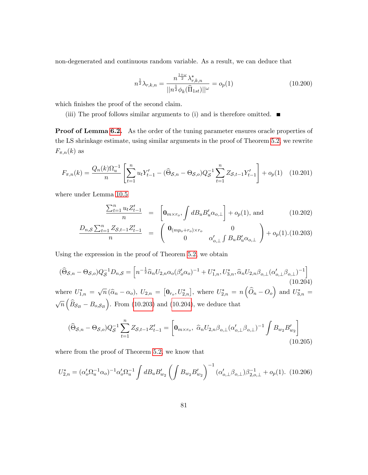non-degenerated and continuous random variable. As a result, we can deduce that

$$
n^{\frac{1}{2}}\lambda_{r,k,n} = \frac{n^{\frac{1+\omega}{2}}\lambda_{r,k,n}^*}{||n^{\frac{1}{2}}\phi_k(\widehat{\Pi}_{1st})||^{\omega}} = o_p(1)
$$
 (10.200)

which finishes the proof of the second claim.

(iii) The proof follows similar arguments to (i) and is therefore omitted.  $\blacksquare$ 

Proof of Lemma [6.2.](#page-27-0) As the order of the tuning parameter ensures oracle properties of the LS shrinkage estimate, using similar arguments in the proof of Theorem [5.2,](#page-21-0) we rewrite  $F_{\pi,n}(k)$  as

$$
F_{\pi,n}(k) = \frac{Q_n(k)\Omega_u^{-1}}{n} \left[ \sum_{t=1}^n u_t Y_{t-1}' - (\widehat{\Theta}_{\mathcal{S},n} - \Theta_{\mathcal{S},o}) Q_{\mathcal{S}}^{-1} \sum_{t=1}^n Z_{\mathcal{S},t-1} Y_{t-1}' \right] + o_p(1) \quad (10.201)
$$

where under Lemma [10.5](#page-70-0)

<span id="page-81-0"></span>
$$
\frac{\sum_{t=1}^{n} u_t Z_{t-1}'}{n} = \left[ \mathbf{0}_{m \times r_o}, \int dB_u B_u' \alpha_{o,\perp} \right] + o_p(1), \text{ and } (10.202)
$$

$$
\frac{D_{n,S} \sum_{t=1}^{n} Z_{S,t-1} Z'_{t-1}}{n} = \begin{pmatrix} \mathbf{0}_{(mp_o+r_o) \times r_o} & 0\\ 0 & \alpha'_{o,\perp} \int B_u B'_u \alpha_{o,\perp} \end{pmatrix} + o_p(1). (10.203)
$$

Using the expression in the proof of Theorem [5.2,](#page-21-0) we obtain

<span id="page-81-1"></span>
$$
(\widehat{\Theta}_{\mathcal{S},n} - \Theta_{\mathcal{S},o})Q_{\mathcal{S}}^{-1}D_{n,\mathcal{S}} = \left[n^{-\frac{1}{2}}\widehat{\alpha}_{n}U_{2,n}\alpha_{o}(\beta'_{o}\alpha_{o})^{-1} + U_{1,n}^{*}, U_{3,n}^{*}, \widehat{\alpha}_{n}U_{2,n}\beta_{o,\perp}(\alpha'_{o,\perp}\beta_{o,\perp})^{-1}\right]
$$
\nwhere  $U_{1,n}^{*} = \sqrt{n}(\widehat{\alpha}_{n} - \alpha_{o}), U_{2,n} = [\mathbf{0}_{r_{o}}, U_{2,n}^{*}],$  where  $U_{2,n}^{*} = n(\widehat{O}_{n} - O_{o})$  and  $U_{3,n}^{*} = \sqrt{n}(\widehat{B}_{\mathcal{S}_{B}} - B_{o,\mathcal{S}_{B}})$ . From (10.203) and (10.204), we deduce that

<span id="page-81-2"></span>
$$
(\widehat{\Theta}_{\mathcal{S},n} - \Theta_{\mathcal{S},o})Q_{\mathcal{S}}^{-1}\sum_{t=1}^{n} Z_{\mathcal{S},t-1}Z_{t-1}' = \left[\mathbf{0}_{m \times r_o}, \ \widehat{\alpha}_n U_{2,n}\beta_{o,\perp}(\alpha'_{o,\perp}\beta_{o,\perp})^{-1} \int B_{w_2}B'_{w_2}\right]
$$
(10.205)

where from the proof of Theorem [5.2,](#page-21-0) we know that

<span id="page-81-3"></span>
$$
U_{2,n}^* = (\alpha_o' \Omega_u^{-1} \alpha_o)^{-1} \alpha_o' \Omega_u^{-1} \int dB_u B_{w_2}' \left( \int B_{w_2} B_{w_2}' \right)^{-1} (\alpha_{o,\perp}' \beta_{o,\perp}) \beta_{2,o,\perp}^{-1} + o_p(1). \tag{10.206}
$$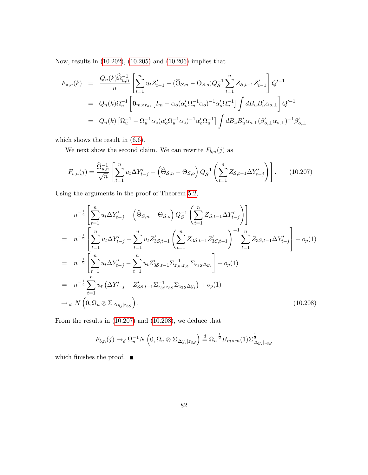Now, results in [\(10.202\)](#page-81-0), [\(10.205\)](#page-81-2) and [\(10.206\)](#page-81-3) implies that

$$
F_{\pi,n}(k) = \frac{Q_n(k)\hat{\Omega}_{u,n}^{-1}}{n} \left[ \sum_{t=1}^n u_t Z_{t-1}' - (\hat{\Theta}_{\mathcal{S},n} - \Theta_{\mathcal{S},o}) Q_{\mathcal{S}}^{-1} \sum_{t=1}^n Z_{\mathcal{S},t-1} Z_{t-1}' \right] Q'^{-1}
$$
  
\n
$$
= Q_n(k)\Omega_u^{-1} \left[ \mathbf{0}_{m \times r_o}, \left[ I_m - \alpha_o(\alpha_o' \Omega_u^{-1} \alpha_o)^{-1} \alpha_o' \Omega_u^{-1} \right] \int dB_u B_u' \alpha_{o,\perp} \right] Q'^{-1}
$$
  
\n
$$
= Q_n(k) \left[ \Omega_u^{-1} - \Omega_u^{-1} \alpha_o(\alpha_o' \Omega_u^{-1} \alpha_o)^{-1} \alpha_o' \Omega_u^{-1} \right] \int dB_u B_u' \alpha_{o,\perp} (\beta_{o,\perp}' \alpha_{o,\perp})^{-1} \beta_{o,\perp}'
$$

which shows the result in [\(6.6\)](#page-27-1).

We next show the second claim. We can rewrite  $F_{b,n}(j)$  as

<span id="page-82-0"></span>
$$
F_{b,n}(j) = \frac{\widehat{\Omega}_{u,n}^{-1}}{\sqrt{n}} \left[ \sum_{t=1}^{n} u_t \Delta Y_{t-j}^{\prime} - \left( \widehat{\Theta}_{\mathcal{S},n} - \Theta_{\mathcal{S},o} \right) Q_{\mathcal{S}}^{-1} \left( \sum_{t=1}^{n} Z_{\mathcal{S},t-1} \Delta Y_{t-j}^{\prime} \right) \right].
$$
 (10.207)

Using the arguments in the proof of Theorem [5.2,](#page-21-0)

<span id="page-82-1"></span>
$$
n^{-\frac{1}{2}} \left[ \sum_{t=1}^{n} u_t \Delta Y'_{t-j} - \left( \widehat{\Theta}_{\mathcal{S},n} - \Theta_{\mathcal{S},o} \right) Q_{\mathcal{S}}^{-1} \left( \sum_{t=1}^{n} Z_{\mathcal{S},t-1} \Delta Y'_{t-j} \right) \right]
$$
  
\n
$$
= n^{-\frac{1}{2}} \left[ \sum_{t=1}^{n} u_t \Delta Y'_{t-j} - \sum_{t=1}^{n} u_t Z'_{3\mathcal{S},t-1} \left( \sum_{t=1}^{n} Z_{3\mathcal{S},t-1} Z'_{3\mathcal{S},t-1} \right) - \sum_{t=1}^{n} Z_{3\mathcal{S},t-1} \Delta Y'_{t-j} \right] + o_p(1)
$$
  
\n
$$
= n^{-\frac{1}{2}} \left[ \sum_{t=1}^{n} u_t \Delta Y'_{t-j} - \sum_{t=1}^{n} u_t Z'_{3\mathcal{S},t-1} \Sigma_{z_{3\mathcal{S}} z_{3\mathcal{S}}}^{-1} \Sigma_{z_{3\mathcal{S}} \Delta y_{j}} \right] + o_p(1)
$$
  
\n
$$
= n^{-\frac{1}{2}} \sum_{t=1}^{n} u_t \left( \Delta Y'_{t-j} - Z'_{3\mathcal{S},t-1} \Sigma_{z_{3\mathcal{S}} z_{3\mathcal{S}}}^{-1} \Sigma_{z_{3\mathcal{S}} \Delta y_{j}} \right) + o_p(1)
$$
  
\n
$$
\rightarrow d N \left( 0, \Omega_u \otimes \Sigma_{\Delta y_{j}} | z_{3\mathcal{S}} \right).
$$
 (10.208)

From the results in [\(10.207\)](#page-82-0) and [\(10.208\)](#page-82-1), we deduce that

$$
F_{b,n}(j) \to_d \Omega_u^{-1} N\left(0, \Omega_u \otimes \Sigma_{\Delta y_j|z_{3S}}\right) \stackrel{d}{=} \Omega_u^{-\frac{1}{2}} B_{m \times m}(1) \Sigma_{\Delta y_j|z_{3S}}^{\frac{1}{2}}
$$

which finishes the proof.  $\blacksquare$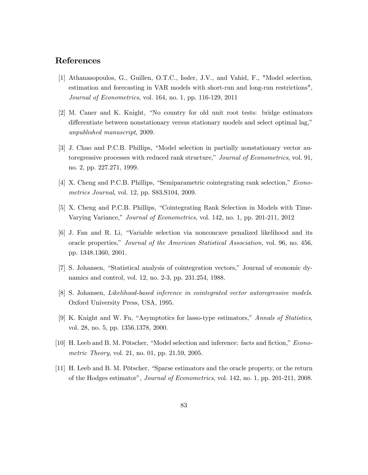## References

- [1] Athanasopoulos, G., Guillen, O.T.C., Issler, J.V., and Vahid, F., "Model selection, estimation and forecasting in VAR models with short-run and long-run restrictions", Journal of Econometrics, vol. 164, no. 1, pp. 116-129, 2011
- [2] M. Caner and K. Knight, "No country for old unit root tests: bridge estimators differentiate between nonstationary versus stationary models and select optimal lag," unpublished manuscript, 2009.
- [3] J. Chao and P.C.B. Phillips, "Model selection in partially nonstationary vector autoregressive processes with reduced rank structure," Journal of Econometrics, vol. 91, no. 2, pp. 227.271, 1999.
- $[4]$  X. Cheng and P.C.B. Phillips, "Semiparametric cointegrating rank selection," *Econo*metrics Journal, vol. 12, pp. S83.S104, 2009.
- [5] X. Cheng and P.C.B. Phillips, "Cointegrating Rank Selection in Models with Time-Varying Variance," Journal of Econometrics, vol. 142, no. 1, pp. 201-211, 2012
- [6] J. Fan and R. Li, "Variable selection via nonconcave penalized likelihood and its oracle properties," Journal of the American Statistical Association, vol. 96, no. 456, pp. 1348.1360, 2001.
- [7] S. Johansen, "Statistical analysis of cointegration vectors," Journal of economic dynamics and control, vol. 12, no. 2-3, pp. 231.254, 1988.
- [8] S. Johansen, Likelihood-based inference in cointegrated vector autoregressive models. Oxford University Press, USA, 1995.
- [9] K. Knight and W. Fu, "Asymptotics for lasso-type estimators," Annals of Statistics, vol. 28, no. 5, pp. 1356.1378, 2000.
- [10] H. Leeb and B. M. Pötscher, "Model selection and inference: facts and fiction," *Econo*metric Theory, vol. 21, no. 01, pp. 21.59, 2005.
- [11] H. Leeb and B. M. Pötscher, "Sparse estimators and the oracle property, or the return of the Hodges estimatorî, Journal of Econometrics, vol. 142, no. 1, pp. 201-211, 2008.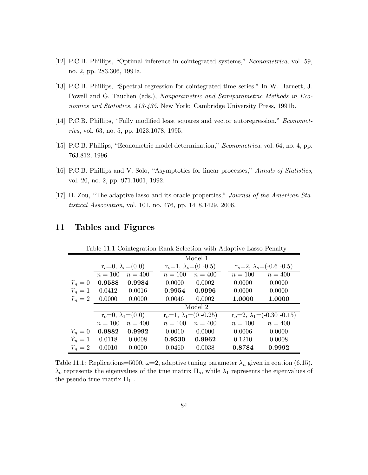- [12] P.C.B. Phillips, "Optimal inference in cointegrated systems," Econometrica, vol. 59, no. 2, pp. 283.306, 1991a.
- [13] P.C.B. Phillips, "Spectral regression for cointegrated time series." In W. Barnett, J. Powell and G. Tauchen (eds.), Nonparametric and Semiparametric Methods in Economics and Statistics, 413-435. New York: Cambridge University Press, 1991b.
- [14] P.C.B. Phillips, "Fully modified least squares and vector autoregression," *Economet*rica, vol. 63, no. 5, pp. 1023.1078, 1995.
- [15] P.C.B. Phillips, "Econometric model determination," *Econometrica*, vol. 64, no. 4, pp. 763.812, 1996.
- [16] P.C.B. Phillips and V. Solo, "Asymptotics for linear processes," Annals of Statistics, vol. 20, no. 2, pp. 971.1001, 1992.
- [17] H. Zou, "The adaptive lasso and its oracle properties," Journal of the American Statistical Association, vol. 101, no. 476, pp. 1418.1429, 2006.

|                   |                           |                           |  |                               | Model 1   |  |                                        |         |  |  |
|-------------------|---------------------------|---------------------------|--|-------------------------------|-----------|--|----------------------------------------|---------|--|--|
|                   | $r_o=0, \lambda_o=(0\ 0)$ |                           |  | $r_o=1, \lambda_o=(0 - 0.5)$  |           |  | $r_o=2, \lambda_o=(-0.6-0.5)$          |         |  |  |
|                   | $n=100$                   | $n = 400$                 |  | $n=100$                       | $n = 400$ |  | $n = 100$                              | $n=400$ |  |  |
| $\widehat{r}_n=0$ | 0.9588                    | 0.9984                    |  | 0.0000                        | 0.0002    |  | 0.0000                                 | 0.0000  |  |  |
| $\widehat{r}_n=1$ | 0.0412                    | 0.0016                    |  | 0.9954                        | 0.9996    |  | 0.0000                                 | 0.0000  |  |  |
| $\widehat{r}_n=2$ | 0.0000                    | 0.0000                    |  | 0.0046                        | 0.0002    |  | 1.0000                                 | 1.0000  |  |  |
|                   |                           |                           |  |                               | Model 2   |  |                                        |         |  |  |
|                   |                           | $r_o=0, \lambda_1=(0\ 0)$ |  | $r_o=1, \lambda_1=(0 - 0.25)$ |           |  | $r_o=2$ , $\lambda_1 = (-0.30 - 0.15)$ |         |  |  |
|                   | $n = 100$                 | $n = 400$                 |  | $n=100$                       | $n=400$   |  | $n=100$                                | $n=400$ |  |  |
| $\widehat{r}_n=0$ | 0.9882                    | 0.9992                    |  | 0.0010                        | 0.0000    |  | 0.0006                                 | 0.0000  |  |  |
| $\widehat{r}_n=1$ | 0.0118                    | 0.0008                    |  | 0.9530                        | 0.9962    |  | 0.1210                                 | 0.0008  |  |  |
| $\widehat{r}_n=2$ | 0.0010                    | 0.0000                    |  | 0.0460                        | 0.0038    |  | 0.8784                                 | 0.9992  |  |  |
|                   |                           |                           |  |                               |           |  |                                        |         |  |  |

## 11 Tables and Figures

Table 11.1 Cointegration Rank Selection with Adaptive Lasso Penalty

Table 11.1: Replications=5000,  $\omega$ =2, adaptive tuning parameter  $\lambda_n$  given in eqation (6.15).  $\lambda_o$  represents the eigenvalues of the true matrix  $\Pi_o$ , while  $\lambda_1$  represents the eigenvalues of the pseudo true matrix  $\Pi_1$ .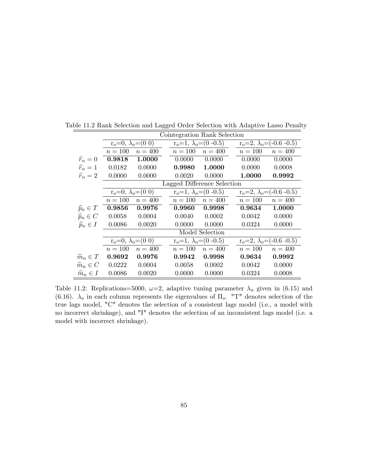|                       | Cointegration Rank Selection |                             |         |                              |  |                                 |                                 |  |  |  |  |  |
|-----------------------|------------------------------|-----------------------------|---------|------------------------------|--|---------------------------------|---------------------------------|--|--|--|--|--|
|                       | $r_o=0, \lambda_o=(0\ 0)$    |                             |         | $r_o=1, \lambda_o=(0 - 0.5)$ |  | $r_o=2, \lambda_o=(-0.6, -0.5)$ |                                 |  |  |  |  |  |
|                       | $n=100$                      | $n=400$                     | $n=100$ | $n = 400$                    |  | $n = 100$                       | $n = 400$                       |  |  |  |  |  |
| $\widehat{r}_n=0$     | 0.9818                       | 1.0000                      | 0.0000  | 0.0000                       |  | 0.0000                          | 0.0000                          |  |  |  |  |  |
| $\widehat{r}_n=1$     | 0.0182                       | 0.0000                      | 0.9980  | 1.0000                       |  | 0.0000                          | 0.0008                          |  |  |  |  |  |
| $\widehat{r}_n=2$     | 0.0000                       | 0.0000                      | 0.0020  | 0.0000                       |  | 1.0000                          | 0.9992                          |  |  |  |  |  |
|                       |                              | Lagged Difference Selection |         |                              |  |                                 |                                 |  |  |  |  |  |
|                       | $r_o=0, \lambda_o=(0,0)$     |                             |         | $r_o=1, \lambda_o=(0 - 0.5)$ |  | $r_o=2, \lambda_o=(-0.6, -0.5)$ |                                 |  |  |  |  |  |
|                       | $n=100$                      | $n=400$                     | $n=100$ | $n=400$                      |  | $n = 100$                       | $n = 400$                       |  |  |  |  |  |
| $\widehat{p}_n \in T$ | 0.9856                       | 0.9976                      | 0.9960  | 0.9998                       |  | 0.9634                          | 1.0000                          |  |  |  |  |  |
| $\widehat{p}_n \in C$ | 0.0058                       | 0.0004                      | 0.0040  | 0.0002                       |  | 0.0042                          | 0.0000                          |  |  |  |  |  |
| $\widehat{p}_n \in I$ | 0.0086                       | 0.0020                      | 0.0000  | 0.0000                       |  | 0.0324                          | 0.0000                          |  |  |  |  |  |
|                       |                              |                             |         | Model Selection              |  |                                 |                                 |  |  |  |  |  |
|                       | $r_o=0, \lambda_o=(0,0)$     |                             |         | $r_o=1, \lambda_o=(0 - 0.5)$ |  |                                 | $r_o=2, \lambda_o=(-0.6, -0.5)$ |  |  |  |  |  |
|                       | $n = 100$                    | $n = 400$                   | $n=100$ | $n = 400$                    |  | $n=100$                         | $n = 400$                       |  |  |  |  |  |
| $\widehat{m}_n \in T$ | 0.9692                       | 0.9976                      | 0.9942  | 0.9998                       |  | 0.9634                          | 0.9992                          |  |  |  |  |  |
| $\widehat{m}_n \in C$ | 0.0222                       | 0.0004                      | 0.0058  | 0.0002                       |  | 0.0042                          | 0.0000                          |  |  |  |  |  |
| $\widehat{m}_n \in I$ | 0.0086                       | 0.0020                      | 0.0000  | 0.0000                       |  | 0.0324                          | 0.0008                          |  |  |  |  |  |

Table 11.2 Rank Selection and Lagged Order Selection with Adaptive Lasso Penalty

Table 11.2: Replications=5000,  $\omega$ =2, adaptive tuning parameter  $\lambda_n$  given in (6.15) and (6.16).  $\lambda_o$  in each column represents the eigenvalues of  $\Pi_o$ . "T" denotes selection of the true lags model, "C" denotes the selection of a consistent lags model (i.e., a model with no incorrect shrinkage), and "I" denotes the selection of an inconsistent lags model (i.e. a model with incorrect shrinkage).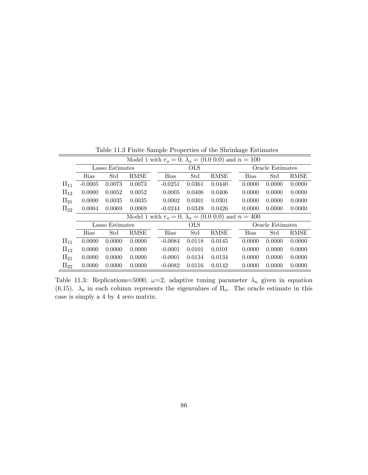|            | Model 1 with $r_o = 0$ , $\lambda_o = (0.0 \ 0.0)$ and $n = 100$ |                 |        |  |             |            |        |                  |             |                  |        |  |  |
|------------|------------------------------------------------------------------|-----------------|--------|--|-------------|------------|--------|------------------|-------------|------------------|--------|--|--|
|            |                                                                  | Lasso Estimates |        |  |             | <b>OLS</b> |        | Oracle Estimates |             |                  |        |  |  |
|            | <b>Bias</b>                                                      | Std             | RMSE   |  | <b>Bias</b> | Std        | RMSE   |                  | <b>Bias</b> | Std              | RMSE   |  |  |
| $\Pi_{11}$ | $-0.0005$                                                        | 0.0073          | 0.0073 |  | $-0.0251$   | 0.0361     | 0.0440 |                  | 0.0000      | 0.0000           | 0.0000 |  |  |
| $\Pi_{12}$ | 0.0000                                                           | 0.0052          | 0.0052 |  | 0.0005      | 0.0406     | 0.0406 |                  | 0.0000      | 0.0000           | 0.0000 |  |  |
| $\Pi_{21}$ | 0.0000                                                           | 0.0035          | 0.0035 |  | 0.0002      | 0.0301     | 0.0301 |                  | 0.0000      | 0.0000           | 0.0000 |  |  |
| $\Pi_{22}$ | 0.0004                                                           | 0.0069          | 0.0069 |  | $-0.0244$   | 0.0349     | 0.0426 |                  | 0.0000      | 0.0000           | 0.0000 |  |  |
|            | Model 1 with $r_o = 0$ , $\lambda_o = (0.0 \ 0.0)$ and $n = 400$ |                 |        |  |             |            |        |                  |             |                  |        |  |  |
|            |                                                                  |                 |        |  |             |            |        |                  |             |                  |        |  |  |
|            |                                                                  | Lasso Estimates |        |  |             | OLS        |        |                  |             | Oracle Estimates |        |  |  |
|            | <b>Bias</b>                                                      | Std             | RMSE   |  | <b>Bias</b> | Std        | RMSE   |                  | <b>Bias</b> | Std              | RMSE   |  |  |
| $\Pi_{11}$ | 0.0000                                                           | 0.0000          | 0.0000 |  | $-0.0084$   | 0.0118     | 0.0145 |                  | 0.0000      | 0.0000           | 0.0000 |  |  |
| $\Pi_{12}$ | 0.0000                                                           | 0.0000          | 0.0000 |  | $-0.0001$   | 0.0101     | 0.0101 |                  | 0.0000      | 0.0000           | 0.0000 |  |  |
| $\Pi_{21}$ | 0.0000                                                           | 0.0000          | 0.0000 |  | $-0.0001$   | 0.0134     | 0.0134 |                  | 0.0000      | 0.0000           | 0.0000 |  |  |

Table 11.3 Finite Sample Properties of the Shrinkage Estimates

Table 11.3: Replications=5000,  $\omega=2$ , adaptive tuning parameter  $\lambda_n$  given in equation (6.15).  $\lambda_o$  in each column represents the eigenvalues of  $\Pi_o$ . The oracle estimate in this case is simply a 4 by 4 zero matrix.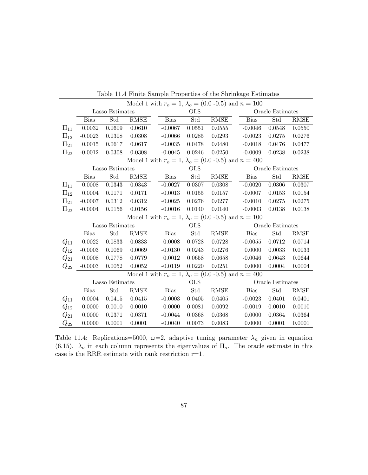|            | Model 1 with $r_o = 1$ , $\lambda_o = (0.0 - 0.5)$ and $n = 100$ |                        |                       |  |             |                      |                                                                  |             |                      |             |  |  |  |
|------------|------------------------------------------------------------------|------------------------|-----------------------|--|-------------|----------------------|------------------------------------------------------------------|-------------|----------------------|-------------|--|--|--|
|            |                                                                  | <b>Lasso Estimates</b> |                       |  |             | <b>OLS</b>           |                                                                  |             | Oracle Estimates     |             |  |  |  |
|            | Bias                                                             | Std                    | RMSE                  |  | <b>Bias</b> | Std                  | RMSE                                                             | <b>Bias</b> | Std                  | <b>RMSE</b> |  |  |  |
| $\Pi_{11}$ | 0.0032                                                           | 0.0609                 | 0.0610                |  | $-0.0067$   | 0.0551               | 0.0555                                                           | $-0.0046$   | 0.0548               | 0.0550      |  |  |  |
| $\Pi_{12}$ | $-0.0023$                                                        | 0.0308                 | 0.0308                |  | $-0.0066$   | 0.0285               | 0.0293                                                           | $-0.0023$   | 0.0275               | 0.0276      |  |  |  |
| $\Pi_{21}$ | 0.0015                                                           | 0.0617                 | 0.0617                |  | $-0.0035$   | 0.0478               | 0.0480                                                           | $-0.0018$   | 0.0476               | 0.0477      |  |  |  |
| $\Pi_{22}$ | $-0.0012$                                                        | 0.0308                 | 0.0308                |  | $-0.0045$   | 0.0246               | 0.0250                                                           | $-0.0009$   | 0.0238               | 0.0238      |  |  |  |
|            | Model 1 with $r_o = 1$ , $\lambda_o = (0.0 - 0.5)$ and $n = 400$ |                        |                       |  |             |                      |                                                                  |             |                      |             |  |  |  |
|            | Lasso Estimates                                                  |                        |                       |  |             | <b>OLS</b>           |                                                                  |             | Oracle Estimates     |             |  |  |  |
|            | Bias                                                             | Std                    | $\operatorname{RMSE}$ |  | Bias        | Std                  | $\operatorname{RMSE}$                                            | <b>Bias</b> | Std                  | <b>RMSE</b> |  |  |  |
| $\Pi_{11}$ | 0.0008                                                           | 0.0343                 | 0.0343                |  | $-0.0027$   | 0.0307               | 0.0308                                                           | $-0.0020$   | 0.0306               | 0.0307      |  |  |  |
| $\Pi_{12}$ | 0.0004                                                           | 0.0171                 | 0.0171                |  | $-0.0013$   | 0.0155               | 0.0157                                                           | $-0.0007$   | 0.0153               | 0.0154      |  |  |  |
| $\Pi_{21}$ | $-0.0007$                                                        | 0.0312                 | 0.0312                |  | $-0.0025$   | 0.0276               | 0.0277                                                           | $-0.0010$   | 0.0275               | 0.0275      |  |  |  |
| $\Pi_{22}$ | $-0.0004$                                                        | 0.0156                 | 0.0156                |  | $-0.0016$   | 0.0140               | 0.0140                                                           | $-0.0003$   | 0.0138               | 0.0138      |  |  |  |
|            |                                                                  |                        |                       |  |             |                      | Model 1 with $r_o = 1$ , $\lambda_o = (0.0 - 0.5)$ and $n = 100$ |             |                      |             |  |  |  |
|            |                                                                  | Lasso Estimates        |                       |  |             | <b>OLS</b>           |                                                                  |             | Oracle Estimates     |             |  |  |  |
|            | <b>Bias</b>                                                      | Std                    | RMSE                  |  | <b>Bias</b> | $\operatorname{Std}$ | $\operatorname{RMSE}$                                            | <b>Bias</b> | $\operatorname{Std}$ | <b>RMSE</b> |  |  |  |
| $Q_{11}$   | 0.0022                                                           | 0.0833                 | 0.0833                |  | 0.0008      | 0.0728               | 0.0728                                                           | $-0.0055$   | 0.0712               | 0.0714      |  |  |  |
| $\,_{12}$  | $-0.0003$                                                        | 0.0069                 | 0.0069                |  | $-0.0130$   | 0.0243               | 0.0276                                                           | 0.0000      | 0.0033               | 0.0033      |  |  |  |
| $Q_{21}$   | 0.0008                                                           | 0.0778                 | 0.0779                |  | 0.0012      | 0.0658               | 0.0658                                                           | $-0.0046$   | 0.0643               | 0.0644      |  |  |  |
| $\,_{22}$  | $-0.0003$                                                        | 0.0052                 | 0.0052                |  | $-0.0119$   | 0.0220               | 0.0251                                                           | 0.0000      | 0.0004               | 0.0004      |  |  |  |
|            |                                                                  |                        |                       |  |             |                      | Model 1 with $r_o = 1$ , $\lambda_o = (0.0 - 0.5)$ and $n = 400$ |             |                      |             |  |  |  |
|            |                                                                  | Lasso Estimates        |                       |  |             | <b>OLS</b>           |                                                                  |             | Oracle Estimates     |             |  |  |  |
|            | <b>Bias</b>                                                      | Std                    | RMSE                  |  | <b>Bias</b> | Std                  | RMSE                                                             | <b>Bias</b> | Std                  | <b>RMSE</b> |  |  |  |
| $Q_{11}$   | 0.0004                                                           | 0.0415                 | 0.0415                |  | $-0.0003$   | 0.0405               | 0.0405                                                           | $-0.0023$   | 0.0401               | 0.0401      |  |  |  |
| $Q_{12}$   | 0.0000                                                           | 0.0010                 | 0.0010                |  | 0.0000      | 0.0081               | 0.0092                                                           | $-0.0019$   | 0.0010               | 0.0010      |  |  |  |
| $Q_{21}$   | 0.0000                                                           | 0.0371                 | 0.0371                |  | $-0.0044$   | 0.0368               | 0.0368                                                           | 0.0000      | 0.0364               | 0.0364      |  |  |  |
| $\,_{22}$  | 0.0000                                                           | 0.0001                 | 0.0001                |  | $-0.0040$   | 0.0073               | 0.0083                                                           | 0.0000      | 0.0001               | 0.0001      |  |  |  |

Table 11.4 Finite Sample Properties of the Shrinkage Estimates

Table 11.4: Replications=5000,  $\omega=2$ , adaptive tuning parameter  $\lambda_n$  given in equation (6.15).  $\lambda_o$  in each column represents the eigenvalues of  $\Pi_o$ . The oracle estimate in this case is the RRR estimate with rank restriction r=1.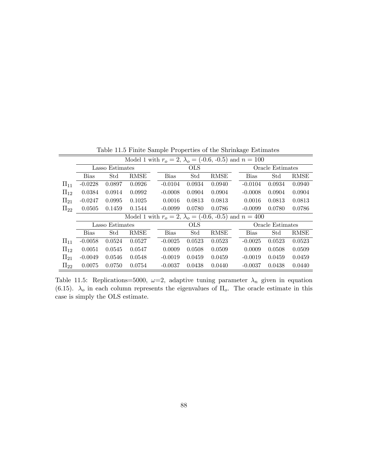|            | Model 1 with $r_o = 2$ , $\lambda_o = (-0.6, -0.5)$ and $n = 100$ |                 |        |  |             |            |        |                  |                  |        |        |  |  |
|------------|-------------------------------------------------------------------|-----------------|--------|--|-------------|------------|--------|------------------|------------------|--------|--------|--|--|
|            |                                                                   | Lasso Estimates |        |  |             | <b>OLS</b> |        |                  | Oracle Estimates |        |        |  |  |
|            | <b>Bias</b>                                                       | Std             | RMSE   |  | <b>Bias</b> | Std        | RMSE   |                  | <b>Bias</b>      | Std    | RMSE   |  |  |
| $\Pi_{11}$ | $-0.0228$                                                         | 0.0897          | 0.0926 |  | $-0.0104$   | 0.0934     | 0.0940 |                  | $-0.0104$        | 0.0934 | 0.0940 |  |  |
| $\Pi_{12}$ | 0.0384                                                            | 0.0914          | 0.0992 |  | $-0.0008$   | 0.0904     | 0.0904 |                  | $-0.0008$        | 0.0904 | 0.0904 |  |  |
| $\Pi_{21}$ | $-0.0247$                                                         | 0.0995          | 0.1025 |  | 0.0016      | 0.0813     | 0.0813 |                  | 0.0016           | 0.0813 | 0.0813 |  |  |
| $\Pi_{22}$ | 0.0505                                                            | 0.1459          | 0.1544 |  | $-0.0099$   | 0.0780     | 0.0786 |                  | $-0.0099$        | 0.0780 | 0.0786 |  |  |
|            | Model 1 with $r_o = 2$ , $\lambda_o = (-0.6, -0.5)$ and $n = 400$ |                 |        |  |             |            |        |                  |                  |        |        |  |  |
|            |                                                                   | Lasso Estimates |        |  |             | <b>OLS</b> |        | Oracle Estimates |                  |        |        |  |  |
|            | <b>Bias</b>                                                       | Std             | RMSE   |  | <b>Bias</b> | Std        | RMSE   |                  | <b>Bias</b>      | Std    | RMSE   |  |  |
| $\Pi_{11}$ | $-0.0058$                                                         | 0.0524          | 0.0527 |  | $-0.0025$   | 0.0523     | 0.0523 |                  | $-0.0025$        | 0.0523 | 0.0523 |  |  |
| $\Pi_{12}$ | 0.0051                                                            | 0.0545          | 0.0547 |  | 0.0009      | 0.0508     | 0.0509 |                  | 0.0009           | 0.0508 | 0.0509 |  |  |
| $\Pi_{21}$ | $-0.0049$                                                         | 0.0546          | 0.0548 |  | $-0.0019$   | 0.0459     | 0.0459 |                  | $-0.0019$        | 0.0459 | 0.0459 |  |  |
| $\Pi_{22}$ | 0.0075                                                            | 0.0750          | 0.0754 |  | $-0.0037$   | 0.0438     | 0.0440 |                  | $-0.0037$        | 0.0438 | 0.0440 |  |  |

Table 11.5 Finite Sample Properties of the Shrinkage Estimates

Table 11.5: Replications=5000,  $\omega=2$ , adaptive tuning parameter  $\lambda_n$  given in equation (6.15).  $\lambda_o$  in each column represents the eigenvalues of  $\Pi_o$ . The oracle estimate in this case is simply the OLS estimate.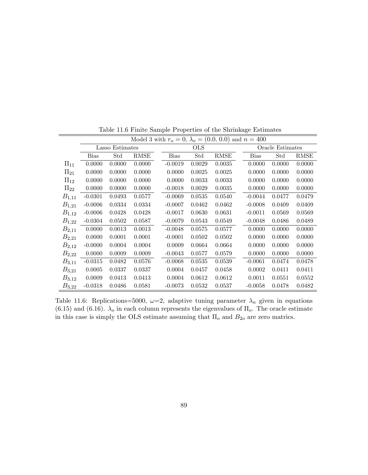|            | Model 3 with $r_o = 0$ , $\lambda_o = (0.0, 0.0)$ and $n = 400$ |                 |        |  |             |            |        |  |                  |        |             |  |  |  |
|------------|-----------------------------------------------------------------|-----------------|--------|--|-------------|------------|--------|--|------------------|--------|-------------|--|--|--|
|            |                                                                 | Lasso Estimates |        |  |             | <b>OLS</b> |        |  | Oracle Estimates |        |             |  |  |  |
|            | <b>Bias</b>                                                     | Std             | RMSE   |  | <b>Bias</b> | Std        | RMSE   |  | <b>Bias</b>      | Std    | <b>RMSE</b> |  |  |  |
| $\Pi_{11}$ | 0.0000                                                          | 0.0000          | 0.0000 |  | $-0.0019$   | 0.0029     | 0.0035 |  | 0.0000           | 0.0000 | 0.0000      |  |  |  |
| $\Pi_{21}$ | 0.0000                                                          | 0.0000          | 0.0000 |  | 0.0000      | 0.0025     | 0.0025 |  | 0.0000           | 0.0000 | 0.0000      |  |  |  |
| $\Pi_{12}$ | 0.0000                                                          | 0.0000          | 0.0000 |  | 0.0000      | 0.0033     | 0.0033 |  | 0.0000           | 0.0000 | 0.0000      |  |  |  |
| $\Pi_{22}$ | 0.0000                                                          | 0.0000          | 0.0000 |  | $-0.0018$   | 0.0029     | 0.0035 |  | 0.0000           | 0.0000 | 0.0000      |  |  |  |
| $B_{1,11}$ | $-0.0301$                                                       | 0.0493          | 0.0577 |  | $-0.0069$   | 0.0535     | 0.0540 |  | $-0.0044$        | 0.0477 | 0.0479      |  |  |  |
| $B_{1,21}$ | $-0.0006$                                                       | 0.0334          | 0.0334 |  | $-0.0007$   | 0.0462     | 0.0462 |  | $-0.0008$        | 0.0409 | 0.0409      |  |  |  |
| $B_{1,12}$ | $-0.0006$                                                       | 0.0428          | 0.0428 |  | $-0.0017$   | 0.0630     | 0.0631 |  | $-0.0011$        | 0.0569 | 0.0569      |  |  |  |
| $B_{1,22}$ | $-0.0304$                                                       | 0.0502          | 0.0587 |  | $-0.0079$   | 0.0543     | 0.0549 |  | $-0.0048$        | 0.0486 | 0.0489      |  |  |  |
| $B_{2,11}$ | 0.0000                                                          | 0.0013          | 0.0013 |  | $-0.0048$   | 0.0575     | 0.0577 |  | 0.0000           | 0.0000 | 0.0000      |  |  |  |
| $B_{2,21}$ | 0.0000                                                          | 0.0001          | 0.0001 |  | $-0.0001$   | 0.0502     | 0.0502 |  | 0.0000           | 0.0000 | 0.0000      |  |  |  |
| $B_{2,12}$ | $-0.0000$                                                       | 0.0004          | 0.0004 |  | 0.0009      | 0.0664     | 0.0664 |  | 0.0000           | 0.0000 | 0.0000      |  |  |  |
| $B_{2,22}$ | 0.0000                                                          | 0.0009          | 0.0009 |  | $-0.0043$   | 0.0577     | 0.0579 |  | 0.0000           | 0.0000 | 0.0000      |  |  |  |
| $B_{3,11}$ | $-0.0315$                                                       | 0.0482          | 0.0576 |  | $-0.0068$   | 0.0535     | 0.0539 |  | $-0.0061$        | 0.0474 | 0.0478      |  |  |  |
| $B_{3,21}$ | 0.0005                                                          | 0.0337          | 0.0337 |  | 0.0004      | 0.0457     | 0.0458 |  | 0.0002           | 0.0411 | 0.0411      |  |  |  |
| $B_{3,12}$ | 0.0009                                                          | 0.0413          | 0.0413 |  | 0.0004      | 0.0612     | 0.0612 |  | 0.0011           | 0.0551 | 0.0552      |  |  |  |
| $B_{3,22}$ | $-0.0318$                                                       | 0.0486          | 0.0581 |  | $-0.0073$   | 0.0532     | 0.0537 |  | $-0.0058$        | 0.0478 | 0.0482      |  |  |  |

Table 11.6 Finite Sample Properties of the Shrinkage Estimates

Table 11.6: Replications=5000,  $\omega=2$ , adaptive tuning parameter  $\lambda_n$  given in equations (6.15) and (6.16).  $\lambda_o$  in each column represents the eigenvalues of  $\Pi_o$ . The oracle estimate in this case is simply the OLS estimate assuming that  $\Pi_o$  and  $B_{2o}$  are zero matrics.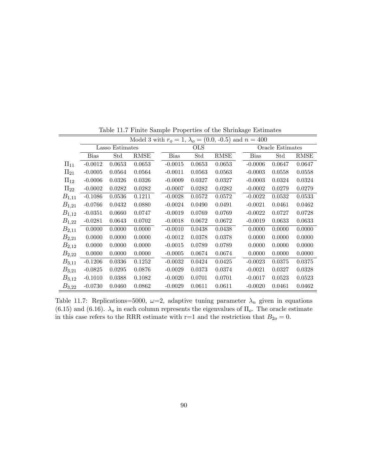|            | Model 3 with $r_o = 1$ , $\lambda_o = (0.0, -0.5)$ and $n = 400$ |                 |        |  |             |            |        |                  |             |        |             |  |  |  |
|------------|------------------------------------------------------------------|-----------------|--------|--|-------------|------------|--------|------------------|-------------|--------|-------------|--|--|--|
|            |                                                                  | Lasso Estimates |        |  |             | <b>OLS</b> |        | Oracle Estimates |             |        |             |  |  |  |
|            | <b>Bias</b>                                                      | Std             | RMSE   |  | <b>Bias</b> | Std        | RMSE   |                  | <b>Bias</b> | Std    | <b>RMSE</b> |  |  |  |
| $\Pi_{11}$ | $-0.0012$                                                        | 0.0653          | 0.0653 |  | $-0.0015$   | 0.0653     | 0.0653 |                  | $-0.0006$   | 0.0647 | 0.0647      |  |  |  |
| $\Pi_{21}$ | $-0.0005$                                                        | 0.0564          | 0.0564 |  | $-0.0011$   | 0.0563     | 0.0563 |                  | $-0.0003$   | 0.0558 | 0.0558      |  |  |  |
| $\Pi_{12}$ | $-0.0006$                                                        | 0.0326          | 0.0326 |  | $-0.0009$   | 0.0327     | 0.0327 |                  | $-0.0003$   | 0.0324 | 0.0324      |  |  |  |
| $\Pi_{22}$ | $-0.0002$                                                        | 0.0282          | 0.0282 |  | $-0.0007$   | 0.0282     | 0.0282 |                  | $-0.0002$   | 0.0279 | 0.0279      |  |  |  |
| $B_{1,11}$ | $-0.1086$                                                        | 0.0536          | 0.1211 |  | $-0.0028$   | 0.0572     | 0.0572 |                  | $-0.0022$   | 0.0532 | 0.0533      |  |  |  |
| $B_{1,21}$ | $-0.0766$                                                        | 0.0432          | 0.0880 |  | $-0.0024$   | 0.0490     | 0.0491 |                  | $-0.0021$   | 0.0461 | 0.0462      |  |  |  |
| $B_{1,12}$ | $-0.0351$                                                        | 0.0660          | 0.0747 |  | $-0.0019$   | 0.0769     | 0.0769 |                  | $-0.0022$   | 0.0727 | 0.0728      |  |  |  |
| $B_{1,22}$ | $-0.0281$                                                        | 0.0643          | 0.0702 |  | $-0.0018$   | 0.0672     | 0.0672 |                  | $-0.0019$   | 0.0633 | 0.0633      |  |  |  |
| $B_{2,11}$ | 0.0000                                                           | 0.0000          | 0.0000 |  | $-0.0010$   | 0.0438     | 0.0438 |                  | 0.0000      | 0.0000 | 0.0000      |  |  |  |
| $B_{2,21}$ | 0.0000                                                           | 0.0000          | 0.0000 |  | $-0.0012$   | 0.0378     | 0.0378 |                  | 0.0000      | 0.0000 | 0.0000      |  |  |  |
| $B_{2,12}$ | 0.0000                                                           | 0.0000          | 0.0000 |  | $-0.0015$   | 0.0789     | 0.0789 |                  | 0.0000      | 0.0000 | 0.0000      |  |  |  |
| $B_{2,22}$ | 0.0000                                                           | 0.0000          | 0.0000 |  | $-0.0005$   | 0.0674     | 0.0674 |                  | 0.0000      | 0.0000 | 0.0000      |  |  |  |
| $B_{3,11}$ | $-0.1206$                                                        | 0.0336          | 0.1252 |  | $-0.0032$   | 0.0424     | 0.0425 |                  | $-0.0023$   | 0.0375 | 0.0375      |  |  |  |
| $B_{3,21}$ | $-0.0825$                                                        | 0.0295          | 0.0876 |  | $-0.0029$   | 0.0373     | 0.0374 |                  | $-0.0021$   | 0.0327 | 0.0328      |  |  |  |
| $B_{3,12}$ | $-0.1010$                                                        | 0.0388          | 0.1082 |  | $-0.0020$   | 0.0701     | 0.0701 |                  | $-0.0017$   | 0.0523 | 0.0523      |  |  |  |
| $B_{3,22}$ | $-0.0730$                                                        | 0.0460          | 0.0862 |  | $-0.0029$   | 0.0611     | 0.0611 |                  | $-0.0020$   | 0.0461 | 0.0462      |  |  |  |

Table 11.7 Finite Sample Properties of the Shrinkage Estimates

Table 11.7: Replications=5000,  $\omega=2$ , adaptive tuning parameter  $\lambda_n$  given in equations (6.15) and (6.16).  $\lambda_o$  in each column represents the eigenvalues of  $\Pi_o$ . The oracle estimate in this case refers to the RRR estimate with r=1 and the restriction that  $B_{2o} = 0$ .